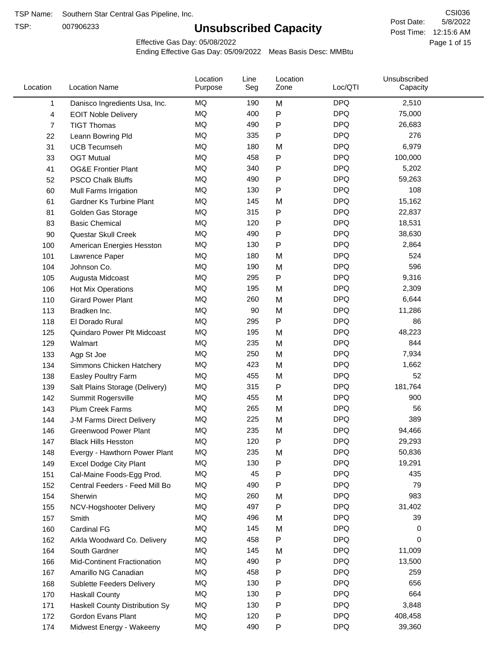TSP:

# **Unsubscribed Capacity**

5/8/2022 Page 1 of 15 Post Time: 12:15:6 AM CSI036 Post Date:

Effective Gas Day: 05/08/2022

| Location | <b>Location Name</b>           | Location<br>Purpose | Line<br>Seg | Location<br>Zone | Loc/QTI    | Unsubscribed<br>Capacity |  |
|----------|--------------------------------|---------------------|-------------|------------------|------------|--------------------------|--|
| 1        | Danisco Ingredients Usa, Inc.  | MQ                  | 190         | M                | <b>DPQ</b> | 2,510                    |  |
| 4        | <b>EOIT Noble Delivery</b>     | MQ                  | 400         | P                | <b>DPQ</b> | 75,000                   |  |
| 7        | <b>TIGT Thomas</b>             | MQ                  | 490         | P                | <b>DPQ</b> | 26,683                   |  |
| 22       | Leann Bowring Pld              | MQ                  | 335         | Ρ                | <b>DPQ</b> | 276                      |  |
| 31       | <b>UCB Tecumseh</b>            | MQ                  | 180         | M                | <b>DPQ</b> | 6,979                    |  |
| 33       | <b>OGT Mutual</b>              | <b>MQ</b>           | 458         | P                | <b>DPQ</b> | 100,000                  |  |
| 41       | <b>OG&amp;E Frontier Plant</b> | MQ                  | 340         | P                | <b>DPQ</b> | 5,202                    |  |
| 52       | <b>PSCO Chalk Bluffs</b>       | MQ                  | 490         | P                | <b>DPQ</b> | 59,263                   |  |
| 60       | Mull Farms Irrigation          | MQ                  | 130         | Ρ                | <b>DPQ</b> | 108                      |  |
| 61       | Gardner Ks Turbine Plant       | MQ                  | 145         | M                | <b>DPQ</b> | 15,162                   |  |
| 81       | Golden Gas Storage             | MQ                  | 315         | Ρ                | <b>DPQ</b> | 22,837                   |  |
| 83       | <b>Basic Chemical</b>          | MQ                  | 120         | P                | <b>DPQ</b> | 18,531                   |  |
| 90       | Questar Skull Creek            | MQ                  | 490         | P                | <b>DPQ</b> | 38,630                   |  |
| 100      | American Energies Hesston      | MQ                  | 130         | P                | <b>DPQ</b> | 2,864                    |  |
| 101      | Lawrence Paper                 | <b>MQ</b>           | 180         | M                | <b>DPQ</b> | 524                      |  |
| 104      | Johnson Co.                    | MQ                  | 190         | M                | <b>DPQ</b> | 596                      |  |
| 105      | Augusta Midcoast               | MQ                  | 295         | P                | <b>DPQ</b> | 9,316                    |  |
| 106      | Hot Mix Operations             | MQ                  | 195         | M                | <b>DPQ</b> | 2,309                    |  |
| 110      | <b>Girard Power Plant</b>      | <b>MQ</b>           | 260         | M                | <b>DPQ</b> | 6,644                    |  |
| 113      | Bradken Inc.                   | MQ                  | 90          | M                | <b>DPQ</b> | 11,286                   |  |
| 118      | El Dorado Rural                | MQ                  | 295         | P                | <b>DPQ</b> | 86                       |  |
| 125      | Quindaro Power Plt Midcoast    | <b>MQ</b>           | 195         | M                | <b>DPQ</b> | 48,223                   |  |
| 129      | Walmart                        | MQ                  | 235         | M                | <b>DPQ</b> | 844                      |  |
| 133      | Agp St Joe                     | MQ                  | 250         | M                | <b>DPQ</b> | 7,934                    |  |
| 134      | Simmons Chicken Hatchery       | MQ                  | 423         | M                | <b>DPQ</b> | 1,662                    |  |
| 138      | Easley Poultry Farm            | MQ                  | 455         | M                | <b>DPQ</b> | 52                       |  |
| 139      | Salt Plains Storage (Delivery) | MQ                  | 315         | Ρ                | <b>DPQ</b> | 181,764                  |  |
| 142      | Summit Rogersville             | MQ                  | 455         | M                | <b>DPQ</b> | 900                      |  |
| 143      | <b>Plum Creek Farms</b>        | MQ                  | 265         | M                | <b>DPQ</b> | 56                       |  |
| 144      | J-M Farms Direct Delivery      | MQ                  | 225         | M                | <b>DPQ</b> | 389                      |  |
| 146      | <b>Greenwood Power Plant</b>   | <b>MQ</b>           | 235         | M                | <b>DPQ</b> | 94,466                   |  |
| 147      | <b>Black Hills Hesston</b>     | MQ                  | 120         | P                | <b>DPQ</b> | 29,293                   |  |
| 148      | Evergy - Hawthorn Power Plant  | MQ                  | 235         | M                | <b>DPQ</b> | 50,836                   |  |
| 149      | <b>Excel Dodge City Plant</b>  | MQ                  | 130         | Ρ                | <b>DPQ</b> | 19,291                   |  |
| 151      | Cal-Maine Foods-Egg Prod.      | MQ                  | 45          | P                | <b>DPQ</b> | 435                      |  |
| 152      | Central Feeders - Feed Mill Bo | MQ                  | 490         | Ρ                | <b>DPQ</b> | 79                       |  |
| 154      | Sherwin                        | MQ                  | 260         | M                | <b>DPQ</b> | 983                      |  |
| 155      | NCV-Hogshooter Delivery        | MQ                  | 497         | P                | <b>DPQ</b> | 31,402                   |  |
| 157      | Smith                          | MQ                  | 496         | M                | <b>DPQ</b> | 39                       |  |
| 160      | Cardinal FG                    | MQ                  | 145         | M                | <b>DPQ</b> | 0                        |  |
| 162      | Arkla Woodward Co. Delivery    | MQ                  | 458         | P                | <b>DPQ</b> | 0                        |  |
| 164      | South Gardner                  | MQ                  | 145         | M                | <b>DPQ</b> | 11,009                   |  |
| 166      | Mid-Continent Fractionation    | MQ                  | 490         | Ρ                | <b>DPQ</b> | 13,500                   |  |
| 167      | Amarillo NG Canadian           | MQ                  | 458         | Ρ                | <b>DPQ</b> | 259                      |  |
| 168      | Sublette Feeders Delivery      | MQ                  | 130         | Ρ                | <b>DPQ</b> | 656                      |  |
| 170      | <b>Haskall County</b>          | MQ                  | 130         | Ρ                | <b>DPQ</b> | 664                      |  |
| 171      | Haskell County Distribution Sy | MQ                  | 130         | Ρ                | <b>DPQ</b> | 3,848                    |  |
| 172      | Gordon Evans Plant             | MQ                  | 120         | Ρ                | <b>DPQ</b> | 408,458                  |  |
| 174      | Midwest Energy - Wakeeny       | MQ                  | 490         | P                | <b>DPQ</b> | 39,360                   |  |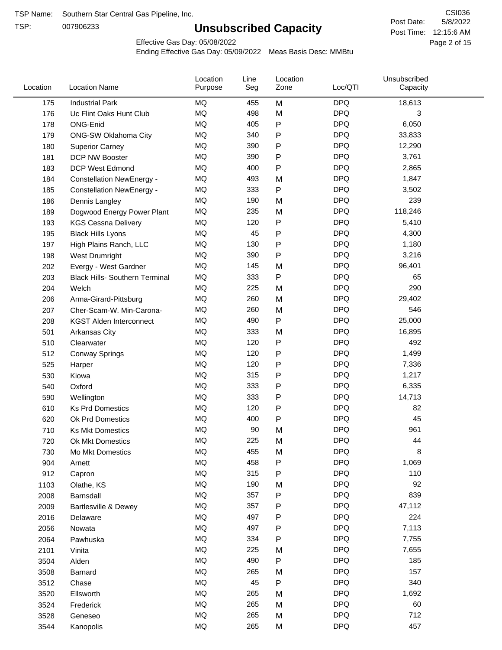TSP:

# **Unsubscribed Capacity**

5/8/2022 Page 2 of 15 Post Time: 12:15:6 AM CSI036 Post Date:

Effective Gas Day: 05/08/2022

| Location | <b>Location Name</b>                  | Location<br>Purpose | Line<br>Seg | Location<br>Zone | Loc/QTI    | Unsubscribed<br>Capacity |  |
|----------|---------------------------------------|---------------------|-------------|------------------|------------|--------------------------|--|
| 175      | <b>Industrial Park</b>                | <b>MQ</b>           | 455         | M                | <b>DPQ</b> | 18,613                   |  |
| 176      | Uc Flint Oaks Hunt Club               | MQ                  | 498         | M                | <b>DPQ</b> | 3                        |  |
| 178      | ONG-Enid                              | MQ                  | 405         | P                | <b>DPQ</b> | 6,050                    |  |
| 179      | <b>ONG-SW Oklahoma City</b>           | <b>MQ</b>           | 340         | P                | <b>DPQ</b> | 33,833                   |  |
| 180      | <b>Superior Carney</b>                | MQ                  | 390         | Ρ                | <b>DPQ</b> | 12,290                   |  |
| 181      | DCP NW Booster                        | <b>MQ</b>           | 390         | P                | <b>DPQ</b> | 3,761                    |  |
| 183      | <b>DCP West Edmond</b>                | <b>MQ</b>           | 400         | P                | <b>DPQ</b> | 2,865                    |  |
| 184      | <b>Constellation NewEnergy -</b>      | <b>MQ</b>           | 493         | M                | <b>DPQ</b> | 1,847                    |  |
| 185      | <b>Constellation NewEnergy -</b>      | MQ                  | 333         | P                | <b>DPQ</b> | 3,502                    |  |
| 186      | Dennis Langley                        | MQ                  | 190         | M                | <b>DPQ</b> | 239                      |  |
| 189      | Dogwood Energy Power Plant            | MQ                  | 235         | M                | <b>DPQ</b> | 118,246                  |  |
| 193      | <b>KGS Cessna Delivery</b>            | MQ                  | 120         | P                | <b>DPQ</b> | 5,410                    |  |
| 195      | <b>Black Hills Lyons</b>              | MQ                  | 45          | P                | <b>DPQ</b> | 4,300                    |  |
| 197      | High Plains Ranch, LLC                | <b>MQ</b>           | 130         | Ρ                | <b>DPQ</b> | 1,180                    |  |
| 198      | West Drumright                        | <b>MQ</b>           | 390         | P                | <b>DPQ</b> | 3,216                    |  |
| 202      | Evergy - West Gardner                 | <b>MQ</b>           | 145         | M                | <b>DPQ</b> | 96,401                   |  |
| 203      | <b>Black Hills- Southern Terminal</b> | MQ                  | 333         | P                | <b>DPQ</b> | 65                       |  |
| 204      | Welch                                 | MQ                  | 225         | M                | <b>DPQ</b> | 290                      |  |
| 206      | Arma-Girard-Pittsburg                 | MQ                  | 260         | M                | <b>DPQ</b> | 29,402                   |  |
| 207      | Cher-Scam-W. Min-Carona-              | MQ                  | 260         | M                | <b>DPQ</b> | 546                      |  |
| 208      | <b>KGST Alden Interconnect</b>        | MQ                  | 490         | P                | <b>DPQ</b> | 25,000                   |  |
| 501      | <b>Arkansas City</b>                  | MQ                  | 333         | M                | <b>DPQ</b> | 16,895                   |  |
| 510      | Clearwater                            | <b>MQ</b>           | 120         | P                | <b>DPQ</b> | 492                      |  |
| 512      | <b>Conway Springs</b>                 | MQ                  | 120         | P                | <b>DPQ</b> | 1,499                    |  |
| 525      | Harper                                | <b>MQ</b>           | 120         | Ρ                | <b>DPQ</b> | 7,336                    |  |
| 530      | Kiowa                                 | MQ                  | 315         | P                | <b>DPQ</b> | 1,217                    |  |
| 540      | Oxford                                | MQ                  | 333         | Ρ                | <b>DPQ</b> | 6,335                    |  |
| 590      | Wellington                            | <b>MQ</b>           | 333         | Ρ                | <b>DPQ</b> | 14,713                   |  |
| 610      | <b>Ks Prd Domestics</b>               | <b>MQ</b>           | 120         | P                | <b>DPQ</b> | 82                       |  |
| 620      | Ok Prd Domestics                      | MQ                  | 400         | P                | <b>DPQ</b> | 45                       |  |
| 710      | <b>Ks Mkt Domestics</b>               | <b>MQ</b>           | 90          | M                | <b>DPQ</b> | 961                      |  |
| 720      | Ok Mkt Domestics                      | MQ                  | 225         | M                | <b>DPQ</b> | 44                       |  |
| 730      | Mo Mkt Domestics                      | MQ                  | 455         | M                | <b>DPQ</b> | 8                        |  |
| 904      | Arnett                                | $\sf{MQ}$           | 458         | Ρ                | <b>DPQ</b> | 1,069                    |  |
| 912      | Capron                                | $\sf{MQ}$           | 315         | Ρ                | <b>DPQ</b> | 110                      |  |
| 1103     | Olathe, KS                            | $\sf{MQ}$           | 190         | M                | <b>DPQ</b> | 92                       |  |
| 2008     | Barnsdall                             | MQ                  | 357         | P                | <b>DPQ</b> | 839                      |  |
| 2009     | Bartlesville & Dewey                  | MQ                  | 357         | P                | <b>DPQ</b> | 47,112                   |  |
| 2016     | Delaware                              | MQ                  | 497         | Ρ                | <b>DPQ</b> | 224                      |  |
| 2056     | Nowata                                | $\sf{MQ}$           | 497         | Ρ                | <b>DPQ</b> | 7,113                    |  |
| 2064     | Pawhuska                              | MQ                  | 334         | Ρ                | <b>DPQ</b> | 7,755                    |  |
| 2101     | Vinita                                | MQ                  | 225         | M                | <b>DPQ</b> | 7,655                    |  |
| 3504     | Alden                                 | MQ                  | 490         | Ρ                | <b>DPQ</b> | 185                      |  |
| 3508     | Barnard                               | $\sf{MQ}$           | 265         | M                | <b>DPQ</b> | 157                      |  |
| 3512     | Chase                                 | MQ                  | 45          | Ρ                | <b>DPQ</b> | 340                      |  |
| 3520     | Ellsworth                             | MQ                  | 265         | M                | <b>DPQ</b> | 1,692                    |  |
| 3524     | Frederick                             | MQ                  | 265         | M                | <b>DPQ</b> | 60                       |  |
| 3528     | Geneseo                               | $\sf{MQ}$           | 265         | M                | <b>DPQ</b> | 712                      |  |
| 3544     | Kanopolis                             | $\sf{MQ}$           | 265         | M                | <b>DPQ</b> | 457                      |  |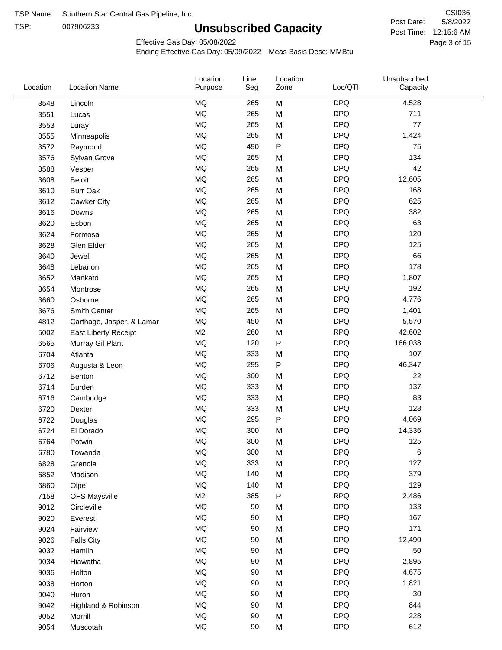TSP: 

# **Unsubscribed Capacity**

5/8/2022 Page 3 of 15 Post Time: 12:15:6 AM CSI036 Post Date:

Unsubscribed

Effective Gas Day: 05/08/2022

Location

Ending Effective Gas Day: 05/09/2022 Meas Basis Desc: MMBtu

Line

Location

| Location | <b>Location Name</b>      | Purpose   | Seg | Zone | Loc/QTI    | Capacity |  |
|----------|---------------------------|-----------|-----|------|------------|----------|--|
| 3548     | Lincoln                   | MQ        | 265 | M    | <b>DPQ</b> | 4,528    |  |
| 3551     | Lucas                     | <b>MQ</b> | 265 | M    | <b>DPQ</b> | 711      |  |
| 3553     | Luray                     | <b>MQ</b> | 265 | M    | <b>DPQ</b> | 77       |  |
| 3555     | Minneapolis               | MQ        | 265 | M    | <b>DPQ</b> | 1,424    |  |
| 3572     | Raymond                   | MQ        | 490 | P    | <b>DPQ</b> | 75       |  |
| 3576     | Sylvan Grove              | MQ        | 265 | M    | <b>DPQ</b> | 134      |  |
| 3588     | Vesper                    | MQ        | 265 | M    | <b>DPQ</b> | 42       |  |
| 3608     | <b>Beloit</b>             | MQ        | 265 | M    | <b>DPQ</b> | 12,605   |  |
| 3610     | <b>Burr Oak</b>           | <b>MQ</b> | 265 | M    | <b>DPQ</b> | 168      |  |
| 3612     | <b>Cawker City</b>        | MQ        | 265 | M    | <b>DPQ</b> | 625      |  |
| 3616     | Downs                     | MQ        | 265 | M    | <b>DPQ</b> | 382      |  |
| 3620     | Esbon                     | <b>MQ</b> | 265 | M    | <b>DPQ</b> | 63       |  |
| 3624     | Formosa                   | MQ        | 265 | M    | <b>DPQ</b> | 120      |  |
| 3628     | Glen Elder                | MQ        | 265 | M    | <b>DPQ</b> | 125      |  |
| 3640     | Jewell                    | MQ        | 265 | M    | <b>DPQ</b> | 66       |  |
| 3648     | Lebanon                   | MQ        | 265 | M    | <b>DPQ</b> | 178      |  |
| 3652     | Mankato                   | MQ        | 265 | M    | <b>DPQ</b> | 1,807    |  |
| 3654     | Montrose                  | MQ        | 265 | M    | <b>DPQ</b> | 192      |  |
| 3660     | Osborne                   | MQ        | 265 | M    | <b>DPQ</b> | 4,776    |  |
| 3676     | Smith Center              | MQ        | 265 | M    | <b>DPQ</b> | 1,401    |  |
| 4812     | Carthage, Jasper, & Lamar | MQ        | 450 | M    | <b>DPQ</b> | 5,570    |  |
| 5002     | East Liberty Receipt      | M2        | 260 | M    | <b>RPQ</b> | 42,602   |  |
| 6565     | Murray Gil Plant          | MQ        | 120 | P    | <b>DPQ</b> | 166,038  |  |
| 6704     | Atlanta                   | MQ        | 333 | M    | <b>DPQ</b> | 107      |  |
| 6706     | Augusta & Leon            | MQ        | 295 | P    | <b>DPQ</b> | 46,347   |  |
| 6712     | Benton                    | MQ        | 300 | M    | <b>DPQ</b> | 22       |  |
| 6714     | <b>Burden</b>             | MQ        | 333 | M    | <b>DPQ</b> | 137      |  |
| 6716     | Cambridge                 | MQ        | 333 | M    | <b>DPQ</b> | 83       |  |
| 6720     | Dexter                    | MQ        | 333 | M    | <b>DPQ</b> | 128      |  |
| 6722     | Douglas                   | MQ        | 295 | P    | <b>DPQ</b> | 4,069    |  |
| 6724     | El Dorado                 | <b>MQ</b> | 300 | M    | <b>DPQ</b> | 14,336   |  |
| 6764     | Potwin                    | <b>MQ</b> | 300 | M    | <b>DPQ</b> | 125      |  |
| 6780     | Towanda                   | MQ        | 300 | M    | <b>DPQ</b> | 6        |  |
| 6828     | Grenola                   | MQ        | 333 | M    | <b>DPQ</b> | 127      |  |
| 6852     | Madison                   | MQ        | 140 | M    | <b>DPQ</b> | 379      |  |
| 6860     | Olpe                      | MQ        | 140 | M    | <b>DPQ</b> | 129      |  |
| 7158     | <b>OFS Maysville</b>      | M2        | 385 | P    | <b>RPQ</b> | 2,486    |  |
| 9012     | Circleville               | MQ        | 90  | M    | <b>DPQ</b> | 133      |  |
| 9020     | Everest                   | MQ        | 90  | M    | <b>DPQ</b> | 167      |  |
| 9024     | Fairview                  | MQ        | 90  | M    | <b>DPQ</b> | 171      |  |
| 9026     | <b>Falls City</b>         | MQ        | 90  | M    | <b>DPQ</b> | 12,490   |  |
| 9032     | Hamlin                    | MQ        | 90  | M    | <b>DPQ</b> | 50       |  |
| 9034     | Hiawatha                  | MQ        | 90  | M    | <b>DPQ</b> | 2,895    |  |
| 9036     | Holton                    | <b>MQ</b> | 90  | M    | <b>DPQ</b> | 4,675    |  |
| 9038     | Horton                    | MQ        | 90  | M    | <b>DPQ</b> | 1,821    |  |
| 9040     | Huron                     | MQ        | 90  | M    | <b>DPQ</b> | 30       |  |
| 9042     | Highland & Robinson       | $\sf{MQ}$ | 90  | M    | <b>DPQ</b> | 844      |  |
| 9052     | Morrill                   | $\sf{MQ}$ | 90  | M    | <b>DPQ</b> | 228      |  |
| 9054     | Muscotah                  | $\sf{MQ}$ | 90  | M    | <b>DPQ</b> | 612      |  |
|          |                           |           |     |      |            |          |  |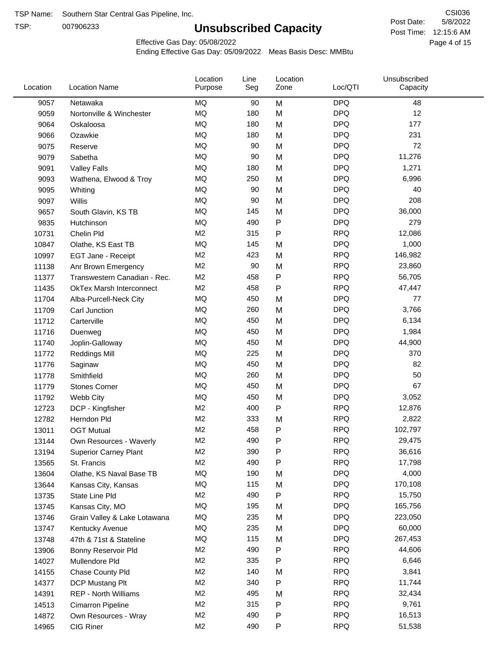TSP:

# **Unsubscribed Capacity**

5/8/2022 Page 4 of 15 Post Time: 12:15:6 AM CSI036 Post Date:

Effective Gas Day: 05/08/2022

| Location | <b>Location Name</b>            | Location<br>Purpose | Line<br>Seg | Location<br>Zone | Loc/QTI    | Unsubscribed<br>Capacity |  |
|----------|---------------------------------|---------------------|-------------|------------------|------------|--------------------------|--|
| 9057     | Netawaka                        | MQ                  | 90          | M                | <b>DPQ</b> | 48                       |  |
| 9059     | Nortonville & Winchester        | MQ                  | 180         | M                | <b>DPQ</b> | 12                       |  |
| 9064     | Oskaloosa                       | MQ                  | 180         | M                | <b>DPQ</b> | 177                      |  |
| 9066     | Ozawkie                         | MQ                  | 180         | M                | <b>DPQ</b> | 231                      |  |
| 9075     | Reserve                         | <b>MQ</b>           | 90          | M                | <b>DPQ</b> | 72                       |  |
| 9079     | Sabetha                         | <b>MQ</b>           | 90          | M                | <b>DPQ</b> | 11,276                   |  |
| 9091     | <b>Valley Falls</b>             | <b>MQ</b>           | 180         | M                | <b>DPQ</b> | 1,271                    |  |
| 9093     | Wathena, Elwood & Troy          | MQ                  | 250         | M                | <b>DPQ</b> | 6,996                    |  |
| 9095     | Whiting                         | MQ                  | 90          | M                | <b>DPQ</b> | 40                       |  |
| 9097     | Willis                          | <b>MQ</b>           | 90          | M                | <b>DPQ</b> | 208                      |  |
| 9657     | South Glavin, KS TB             | MQ                  | 145         | M                | <b>DPQ</b> | 36,000                   |  |
| 9835     | Hutchinson                      | MQ                  | 490         | ${\sf P}$        | <b>DPQ</b> | 279                      |  |
| 10731    | Chelin Pld                      | M <sub>2</sub>      | 315         | P                | <b>RPQ</b> | 12,086                   |  |
| 10847    | Olathe, KS East TB              | <b>MQ</b>           | 145         | M                | <b>DPQ</b> | 1,000                    |  |
| 10997    | EGT Jane - Receipt              | M2                  | 423         | M                | <b>RPQ</b> | 146,982                  |  |
| 11138    | Anr Brown Emergency             | M <sub>2</sub>      | 90          | M                | <b>RPQ</b> | 23,860                   |  |
| 11377    | Transwestern Canadian - Rec.    | M <sub>2</sub>      | 458         | P                | <b>RPQ</b> | 56,705                   |  |
| 11435    | <b>OkTex Marsh Interconnect</b> | M2                  | 458         | $\mathsf{P}$     | <b>RPQ</b> | 47,447                   |  |
| 11704    | Alba-Purcell-Neck City          | MQ                  | 450         | M                | <b>DPQ</b> | 77                       |  |
| 11709    | Carl Junction                   | MQ                  | 260         | M                | <b>DPQ</b> | 3,766                    |  |
| 11712    | Carterville                     | <b>MQ</b>           | 450         | M                | <b>DPQ</b> | 6,134                    |  |
| 11716    | Duenweg                         | <b>MQ</b>           | 450         | M                | <b>DPQ</b> | 1,984                    |  |
| 11740    | Joplin-Galloway                 | <b>MQ</b>           | 450         | M                | <b>DPQ</b> | 44,900                   |  |
| 11772    | <b>Reddings Mill</b>            | <b>MQ</b>           | 225         | M                | <b>DPQ</b> | 370                      |  |
| 11776    | Saginaw                         | <b>MQ</b>           | 450         | M                | <b>DPQ</b> | 82                       |  |
| 11778    | Smithfield                      | MQ                  | 260         | M                | <b>DPQ</b> | 50                       |  |
| 11779    | <b>Stones Corner</b>            | MQ                  | 450         | M                | <b>DPQ</b> | 67                       |  |
| 11792    | Webb City                       | <b>MQ</b>           | 450         | M                | <b>DPQ</b> | 3,052                    |  |
| 12723    | DCP - Kingfisher                | M <sub>2</sub>      | 400         | ${\sf P}$        | <b>RPQ</b> | 12,876                   |  |
| 12782    | Herndon Pld                     | M <sub>2</sub>      | 333         | M                | <b>RPQ</b> | 2,822                    |  |
| 13011    | <b>OGT Mutual</b>               | M <sub>2</sub>      | 458         | P                | <b>RPQ</b> | 102,797                  |  |
| 13144    | Own Resources - Waverly         | M <sub>2</sub>      | 490         | P                | <b>RPQ</b> | 29,475                   |  |
| 13194    | <b>Superior Carney Plant</b>    | M <sub>2</sub>      | 390         | P                | <b>RPQ</b> | 36,616                   |  |
| 13565    | St. Francis                     | M2                  | 490         | P                | <b>RPQ</b> | 17,798                   |  |
| 13604    | Olathe, KS Naval Base TB        | MQ                  | 190         | M                | <b>DPQ</b> | 4,000                    |  |
| 13644    | Kansas City, Kansas             | MQ                  | 115         | M                | <b>DPQ</b> | 170,108                  |  |
| 13735    | State Line Pld                  | M <sub>2</sub>      | 490         | P                | <b>RPQ</b> | 15,750                   |  |
| 13745    | Kansas City, MO                 | MQ                  | 195         | M                | <b>DPQ</b> | 165,756                  |  |
| 13746    | Grain Valley & Lake Lotawana    | MQ                  | 235         | M                | <b>DPQ</b> | 223,050                  |  |
| 13747    | Kentucky Avenue                 | MQ                  | 235         | M                | <b>DPQ</b> | 60,000                   |  |
| 13748    | 47th & 71st & Stateline         | MQ                  | 115         | M                | <b>DPQ</b> | 267,453                  |  |
| 13906    | Bonny Reservoir Pld             | M <sub>2</sub>      | 490         | P                | <b>RPQ</b> | 44,606                   |  |
| 14027    | Mullendore Pld                  | M <sub>2</sub>      | 335         | P                | <b>RPQ</b> | 6,646                    |  |
| 14155    | Chase County Pld                | M <sub>2</sub>      | 140         | M                | <b>RPQ</b> | 3,841                    |  |
| 14377    | DCP Mustang Plt                 | M <sub>2</sub>      | 340         | P                | <b>RPQ</b> | 11,744                   |  |
| 14391    | <b>REP - North Williams</b>     | M <sub>2</sub>      | 495         | M                | <b>RPQ</b> | 32,434                   |  |
| 14513    | Cimarron Pipeline               | M <sub>2</sub>      | 315         | P                | <b>RPQ</b> | 9,761                    |  |
| 14872    | Own Resources - Wray            | M <sub>2</sub>      | 490         | P                | <b>RPQ</b> | 16,513                   |  |
| 14965    | CIG Riner                       | M <sub>2</sub>      | 490         | P                | <b>RPQ</b> | 51,538                   |  |
|          |                                 |                     |             |                  |            |                          |  |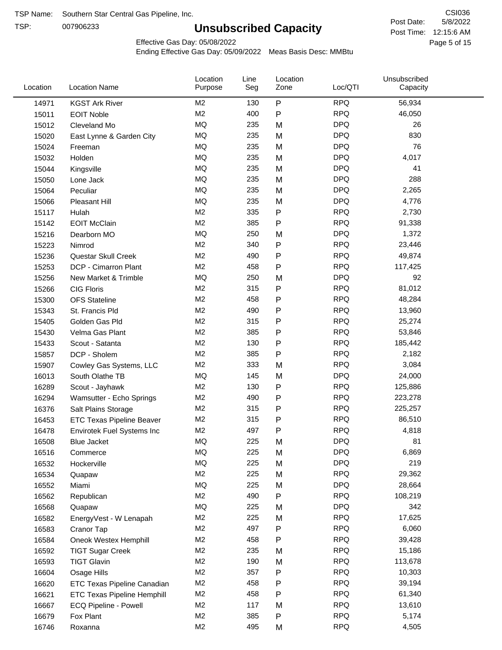TSP:

# **Unsubscribed Capacity**

5/8/2022 Page 5 of 15 Post Time: 12:15:6 AM CSI036 Post Date:

Effective Gas Day: 05/08/2022

| $\sf P$<br><b>RPQ</b><br>M <sub>2</sub><br>56,934<br>130<br>14971<br><b>KGST Ark River</b><br>M <sub>2</sub><br>400<br>${\sf P}$<br><b>RPQ</b><br>46,050<br>15011<br><b>EOIT Noble</b><br><b>MQ</b><br><b>DPQ</b><br>235<br>M<br>26<br>15012<br>Cleveland Mo<br><b>MQ</b><br><b>DPQ</b><br>235<br>830<br>M<br>15020<br>East Lynne & Garden City<br><b>MQ</b><br><b>DPQ</b><br>235<br>M<br>76<br>15024<br>Freeman<br><b>MQ</b><br><b>DPQ</b><br>235<br>M<br>4,017<br>15032<br>Holden<br>MQ<br>235<br><b>DPQ</b><br>41<br>15044<br>M<br>Kingsville<br><b>MQ</b><br><b>DPQ</b><br>288<br>235<br>15050<br>Lone Jack<br>M<br><b>MQ</b><br><b>DPQ</b><br>235<br>2,265<br>15064<br>Peculiar<br>M<br><b>MQ</b><br><b>DPQ</b><br>235<br>M<br>4,776<br>15066<br>Pleasant Hill<br>M <sub>2</sub><br>335<br>${\sf P}$<br><b>RPQ</b><br>2,730<br>15117<br>Hulah<br>M <sub>2</sub><br>${\sf P}$<br><b>RPQ</b><br>385<br><b>EOIT McClain</b><br>91,338<br>15142<br>MQ<br>250<br><b>DPQ</b><br>1,372<br>15216<br>Dearborn MO<br>M<br>M <sub>2</sub><br>${\sf P}$<br><b>RPQ</b><br>340<br>23,446<br>15223<br>Nimrod<br>M <sub>2</sub><br><b>RPQ</b><br>${\sf P}$<br>49,874<br>490<br>15236<br>Questar Skull Creek<br>M <sub>2</sub><br>458<br>P<br><b>RPQ</b><br>DCP - Cimarron Plant<br>117,425<br>15253<br><b>MQ</b><br><b>DPQ</b><br>250<br>92<br>15256<br>New Market & Trimble<br>M<br>M <sub>2</sub><br><b>RPQ</b><br>315<br>P<br>81,012<br><b>CIG Floris</b><br>15266<br>M <sub>2</sub><br><b>RPQ</b><br>458<br>${\sf P}$<br>48,284<br>15300<br><b>OFS Stateline</b><br>M <sub>2</sub><br>490<br>P<br><b>RPQ</b><br>13,960<br>15343<br>St. Francis Pld<br>M <sub>2</sub><br>315<br>$\mathsf{P}$<br><b>RPQ</b><br>25,274<br>Golden Gas Pld<br>15405<br>$\mathsf{P}$<br>M <sub>2</sub><br>385<br><b>RPQ</b><br>53,846<br>15430<br>Velma Gas Plant<br><b>RPQ</b><br>M <sub>2</sub><br>130<br>${\sf P}$<br>Scout - Satanta<br>185,442<br>15433<br>M <sub>2</sub><br>${\sf P}$<br><b>RPQ</b><br>385<br>2,182<br>15857<br>DCP - Sholem<br><b>RPQ</b><br>M <sub>2</sub><br>333<br>3,084<br>M<br>15907<br>Cowley Gas Systems, LLC<br><b>DPQ</b><br>MQ<br>145<br>24,000<br>M<br>16013<br>South Olathe TB<br><b>RPQ</b><br>M <sub>2</sub><br>130<br>P<br>125,886<br>16289<br>Scout - Jayhawk<br>M <sub>2</sub><br>490<br>${\sf P}$<br><b>RPQ</b><br>16294<br>223,278<br>Wamsutter - Echo Springs<br>${\sf P}$<br>M <sub>2</sub><br>315<br><b>RPQ</b><br>225,257<br>16376<br>Salt Plains Storage<br>M <sub>2</sub><br>${\sf P}$<br><b>RPQ</b><br>86,510<br>315<br>16453<br><b>ETC Texas Pipeline Beaver</b><br>M <sub>2</sub><br><b>RPQ</b><br>497<br>P<br>16478<br>4,818<br>Envirotek Fuel Systems Inc<br>MQ<br>225<br><b>DPQ</b><br>81<br>16508<br>M<br>Blue Jacket<br>MQ<br>225<br><b>DPQ</b><br>6,869<br>M<br>16516<br>Commerce<br>MQ<br><b>DPQ</b><br>219<br>225<br>M<br>16532<br>Hockerville<br>M <sub>2</sub><br>225<br>M<br><b>RPQ</b><br>29,362<br>16534<br>Quapaw<br>MQ<br><b>DPQ</b><br>28,664<br>225<br>16552<br>M<br>Miami<br>M <sub>2</sub><br>${\sf P}$<br><b>RPQ</b><br>490<br>108,219<br>16562<br>Republican<br>MQ<br><b>DPQ</b><br>225<br>342<br>16568<br>M<br>Quapaw<br>M <sub>2</sub><br>225<br><b>RPQ</b><br>17,625<br>M<br>16582<br>EnergyVest - W Lenapah<br><b>RPQ</b><br>M <sub>2</sub><br>497<br>P<br>6,060<br>16583<br>Cranor Tap<br>M <sub>2</sub><br>458<br><b>RPQ</b><br>39,428<br>16584<br>Oneok Westex Hemphill<br>P<br><b>RPQ</b><br>M <sub>2</sub><br>235<br>15,186<br>16592<br>M<br><b>TIGT Sugar Creek</b><br>M <sub>2</sub><br>190<br><b>RPQ</b><br>113,678<br><b>TIGT Glavin</b><br>16593<br>M<br>${\sf P}$<br>M <sub>2</sub><br>357<br><b>RPQ</b><br>10,303<br>16604<br>Osage Hills<br>M <sub>2</sub><br>458<br><b>RPQ</b><br>39,194<br>P<br>16620<br>ETC Texas Pipeline Canadian<br><b>RPQ</b><br>M <sub>2</sub><br>458<br>P<br>61,340<br>16621<br><b>ETC Texas Pipeline Hemphill</b><br>M <sub>2</sub><br><b>RPQ</b><br>117<br>13,610<br>16667<br>ECQ Pipeline - Powell<br>M<br>M <sub>2</sub><br>385<br><b>RPQ</b><br>P<br>5,174<br>16679<br>Fox Plant<br>M <sub>2</sub><br><b>RPQ</b><br>495<br>M<br>4,505<br>16746<br>Roxanna | Location | <b>Location Name</b> | Location<br>Purpose | Line<br>Seg | Location<br>Zone | Loc/QTI | Unsubscribed<br>Capacity |  |
|-----------------------------------------------------------------------------------------------------------------------------------------------------------------------------------------------------------------------------------------------------------------------------------------------------------------------------------------------------------------------------------------------------------------------------------------------------------------------------------------------------------------------------------------------------------------------------------------------------------------------------------------------------------------------------------------------------------------------------------------------------------------------------------------------------------------------------------------------------------------------------------------------------------------------------------------------------------------------------------------------------------------------------------------------------------------------------------------------------------------------------------------------------------------------------------------------------------------------------------------------------------------------------------------------------------------------------------------------------------------------------------------------------------------------------------------------------------------------------------------------------------------------------------------------------------------------------------------------------------------------------------------------------------------------------------------------------------------------------------------------------------------------------------------------------------------------------------------------------------------------------------------------------------------------------------------------------------------------------------------------------------------------------------------------------------------------------------------------------------------------------------------------------------------------------------------------------------------------------------------------------------------------------------------------------------------------------------------------------------------------------------------------------------------------------------------------------------------------------------------------------------------------------------------------------------------------------------------------------------------------------------------------------------------------------------------------------------------------------------------------------------------------------------------------------------------------------------------------------------------------------------------------------------------------------------------------------------------------------------------------------------------------------------------------------------------------------------------------------------------------------------------------------------------------------------------------------------------------------------------------------------------------------------------------------------------------------------------------------------------------------------------------------------------------------------------------------------------------------------------------------------------------------------------------------------------------------------------------------------------------------------------------------------------------------------------------------------------------------------------------------------------------------------------------------------------------------------------------------------------------------------------------------------------------------------------------------------------------------------------------------------------------------------------------------------------------------------------------------------------------------------------------------|----------|----------------------|---------------------|-------------|------------------|---------|--------------------------|--|
|                                                                                                                                                                                                                                                                                                                                                                                                                                                                                                                                                                                                                                                                                                                                                                                                                                                                                                                                                                                                                                                                                                                                                                                                                                                                                                                                                                                                                                                                                                                                                                                                                                                                                                                                                                                                                                                                                                                                                                                                                                                                                                                                                                                                                                                                                                                                                                                                                                                                                                                                                                                                                                                                                                                                                                                                                                                                                                                                                                                                                                                                                                                                                                                                                                                                                                                                                                                                                                                                                                                                                                                                                                                                                                                                                                                                                                                                                                                                                                                                                                                                                                                                                     |          |                      |                     |             |                  |         |                          |  |
|                                                                                                                                                                                                                                                                                                                                                                                                                                                                                                                                                                                                                                                                                                                                                                                                                                                                                                                                                                                                                                                                                                                                                                                                                                                                                                                                                                                                                                                                                                                                                                                                                                                                                                                                                                                                                                                                                                                                                                                                                                                                                                                                                                                                                                                                                                                                                                                                                                                                                                                                                                                                                                                                                                                                                                                                                                                                                                                                                                                                                                                                                                                                                                                                                                                                                                                                                                                                                                                                                                                                                                                                                                                                                                                                                                                                                                                                                                                                                                                                                                                                                                                                                     |          |                      |                     |             |                  |         |                          |  |
|                                                                                                                                                                                                                                                                                                                                                                                                                                                                                                                                                                                                                                                                                                                                                                                                                                                                                                                                                                                                                                                                                                                                                                                                                                                                                                                                                                                                                                                                                                                                                                                                                                                                                                                                                                                                                                                                                                                                                                                                                                                                                                                                                                                                                                                                                                                                                                                                                                                                                                                                                                                                                                                                                                                                                                                                                                                                                                                                                                                                                                                                                                                                                                                                                                                                                                                                                                                                                                                                                                                                                                                                                                                                                                                                                                                                                                                                                                                                                                                                                                                                                                                                                     |          |                      |                     |             |                  |         |                          |  |
|                                                                                                                                                                                                                                                                                                                                                                                                                                                                                                                                                                                                                                                                                                                                                                                                                                                                                                                                                                                                                                                                                                                                                                                                                                                                                                                                                                                                                                                                                                                                                                                                                                                                                                                                                                                                                                                                                                                                                                                                                                                                                                                                                                                                                                                                                                                                                                                                                                                                                                                                                                                                                                                                                                                                                                                                                                                                                                                                                                                                                                                                                                                                                                                                                                                                                                                                                                                                                                                                                                                                                                                                                                                                                                                                                                                                                                                                                                                                                                                                                                                                                                                                                     |          |                      |                     |             |                  |         |                          |  |
|                                                                                                                                                                                                                                                                                                                                                                                                                                                                                                                                                                                                                                                                                                                                                                                                                                                                                                                                                                                                                                                                                                                                                                                                                                                                                                                                                                                                                                                                                                                                                                                                                                                                                                                                                                                                                                                                                                                                                                                                                                                                                                                                                                                                                                                                                                                                                                                                                                                                                                                                                                                                                                                                                                                                                                                                                                                                                                                                                                                                                                                                                                                                                                                                                                                                                                                                                                                                                                                                                                                                                                                                                                                                                                                                                                                                                                                                                                                                                                                                                                                                                                                                                     |          |                      |                     |             |                  |         |                          |  |
|                                                                                                                                                                                                                                                                                                                                                                                                                                                                                                                                                                                                                                                                                                                                                                                                                                                                                                                                                                                                                                                                                                                                                                                                                                                                                                                                                                                                                                                                                                                                                                                                                                                                                                                                                                                                                                                                                                                                                                                                                                                                                                                                                                                                                                                                                                                                                                                                                                                                                                                                                                                                                                                                                                                                                                                                                                                                                                                                                                                                                                                                                                                                                                                                                                                                                                                                                                                                                                                                                                                                                                                                                                                                                                                                                                                                                                                                                                                                                                                                                                                                                                                                                     |          |                      |                     |             |                  |         |                          |  |
|                                                                                                                                                                                                                                                                                                                                                                                                                                                                                                                                                                                                                                                                                                                                                                                                                                                                                                                                                                                                                                                                                                                                                                                                                                                                                                                                                                                                                                                                                                                                                                                                                                                                                                                                                                                                                                                                                                                                                                                                                                                                                                                                                                                                                                                                                                                                                                                                                                                                                                                                                                                                                                                                                                                                                                                                                                                                                                                                                                                                                                                                                                                                                                                                                                                                                                                                                                                                                                                                                                                                                                                                                                                                                                                                                                                                                                                                                                                                                                                                                                                                                                                                                     |          |                      |                     |             |                  |         |                          |  |
|                                                                                                                                                                                                                                                                                                                                                                                                                                                                                                                                                                                                                                                                                                                                                                                                                                                                                                                                                                                                                                                                                                                                                                                                                                                                                                                                                                                                                                                                                                                                                                                                                                                                                                                                                                                                                                                                                                                                                                                                                                                                                                                                                                                                                                                                                                                                                                                                                                                                                                                                                                                                                                                                                                                                                                                                                                                                                                                                                                                                                                                                                                                                                                                                                                                                                                                                                                                                                                                                                                                                                                                                                                                                                                                                                                                                                                                                                                                                                                                                                                                                                                                                                     |          |                      |                     |             |                  |         |                          |  |
|                                                                                                                                                                                                                                                                                                                                                                                                                                                                                                                                                                                                                                                                                                                                                                                                                                                                                                                                                                                                                                                                                                                                                                                                                                                                                                                                                                                                                                                                                                                                                                                                                                                                                                                                                                                                                                                                                                                                                                                                                                                                                                                                                                                                                                                                                                                                                                                                                                                                                                                                                                                                                                                                                                                                                                                                                                                                                                                                                                                                                                                                                                                                                                                                                                                                                                                                                                                                                                                                                                                                                                                                                                                                                                                                                                                                                                                                                                                                                                                                                                                                                                                                                     |          |                      |                     |             |                  |         |                          |  |
|                                                                                                                                                                                                                                                                                                                                                                                                                                                                                                                                                                                                                                                                                                                                                                                                                                                                                                                                                                                                                                                                                                                                                                                                                                                                                                                                                                                                                                                                                                                                                                                                                                                                                                                                                                                                                                                                                                                                                                                                                                                                                                                                                                                                                                                                                                                                                                                                                                                                                                                                                                                                                                                                                                                                                                                                                                                                                                                                                                                                                                                                                                                                                                                                                                                                                                                                                                                                                                                                                                                                                                                                                                                                                                                                                                                                                                                                                                                                                                                                                                                                                                                                                     |          |                      |                     |             |                  |         |                          |  |
|                                                                                                                                                                                                                                                                                                                                                                                                                                                                                                                                                                                                                                                                                                                                                                                                                                                                                                                                                                                                                                                                                                                                                                                                                                                                                                                                                                                                                                                                                                                                                                                                                                                                                                                                                                                                                                                                                                                                                                                                                                                                                                                                                                                                                                                                                                                                                                                                                                                                                                                                                                                                                                                                                                                                                                                                                                                                                                                                                                                                                                                                                                                                                                                                                                                                                                                                                                                                                                                                                                                                                                                                                                                                                                                                                                                                                                                                                                                                                                                                                                                                                                                                                     |          |                      |                     |             |                  |         |                          |  |
|                                                                                                                                                                                                                                                                                                                                                                                                                                                                                                                                                                                                                                                                                                                                                                                                                                                                                                                                                                                                                                                                                                                                                                                                                                                                                                                                                                                                                                                                                                                                                                                                                                                                                                                                                                                                                                                                                                                                                                                                                                                                                                                                                                                                                                                                                                                                                                                                                                                                                                                                                                                                                                                                                                                                                                                                                                                                                                                                                                                                                                                                                                                                                                                                                                                                                                                                                                                                                                                                                                                                                                                                                                                                                                                                                                                                                                                                                                                                                                                                                                                                                                                                                     |          |                      |                     |             |                  |         |                          |  |
|                                                                                                                                                                                                                                                                                                                                                                                                                                                                                                                                                                                                                                                                                                                                                                                                                                                                                                                                                                                                                                                                                                                                                                                                                                                                                                                                                                                                                                                                                                                                                                                                                                                                                                                                                                                                                                                                                                                                                                                                                                                                                                                                                                                                                                                                                                                                                                                                                                                                                                                                                                                                                                                                                                                                                                                                                                                                                                                                                                                                                                                                                                                                                                                                                                                                                                                                                                                                                                                                                                                                                                                                                                                                                                                                                                                                                                                                                                                                                                                                                                                                                                                                                     |          |                      |                     |             |                  |         |                          |  |
|                                                                                                                                                                                                                                                                                                                                                                                                                                                                                                                                                                                                                                                                                                                                                                                                                                                                                                                                                                                                                                                                                                                                                                                                                                                                                                                                                                                                                                                                                                                                                                                                                                                                                                                                                                                                                                                                                                                                                                                                                                                                                                                                                                                                                                                                                                                                                                                                                                                                                                                                                                                                                                                                                                                                                                                                                                                                                                                                                                                                                                                                                                                                                                                                                                                                                                                                                                                                                                                                                                                                                                                                                                                                                                                                                                                                                                                                                                                                                                                                                                                                                                                                                     |          |                      |                     |             |                  |         |                          |  |
|                                                                                                                                                                                                                                                                                                                                                                                                                                                                                                                                                                                                                                                                                                                                                                                                                                                                                                                                                                                                                                                                                                                                                                                                                                                                                                                                                                                                                                                                                                                                                                                                                                                                                                                                                                                                                                                                                                                                                                                                                                                                                                                                                                                                                                                                                                                                                                                                                                                                                                                                                                                                                                                                                                                                                                                                                                                                                                                                                                                                                                                                                                                                                                                                                                                                                                                                                                                                                                                                                                                                                                                                                                                                                                                                                                                                                                                                                                                                                                                                                                                                                                                                                     |          |                      |                     |             |                  |         |                          |  |
|                                                                                                                                                                                                                                                                                                                                                                                                                                                                                                                                                                                                                                                                                                                                                                                                                                                                                                                                                                                                                                                                                                                                                                                                                                                                                                                                                                                                                                                                                                                                                                                                                                                                                                                                                                                                                                                                                                                                                                                                                                                                                                                                                                                                                                                                                                                                                                                                                                                                                                                                                                                                                                                                                                                                                                                                                                                                                                                                                                                                                                                                                                                                                                                                                                                                                                                                                                                                                                                                                                                                                                                                                                                                                                                                                                                                                                                                                                                                                                                                                                                                                                                                                     |          |                      |                     |             |                  |         |                          |  |
|                                                                                                                                                                                                                                                                                                                                                                                                                                                                                                                                                                                                                                                                                                                                                                                                                                                                                                                                                                                                                                                                                                                                                                                                                                                                                                                                                                                                                                                                                                                                                                                                                                                                                                                                                                                                                                                                                                                                                                                                                                                                                                                                                                                                                                                                                                                                                                                                                                                                                                                                                                                                                                                                                                                                                                                                                                                                                                                                                                                                                                                                                                                                                                                                                                                                                                                                                                                                                                                                                                                                                                                                                                                                                                                                                                                                                                                                                                                                                                                                                                                                                                                                                     |          |                      |                     |             |                  |         |                          |  |
|                                                                                                                                                                                                                                                                                                                                                                                                                                                                                                                                                                                                                                                                                                                                                                                                                                                                                                                                                                                                                                                                                                                                                                                                                                                                                                                                                                                                                                                                                                                                                                                                                                                                                                                                                                                                                                                                                                                                                                                                                                                                                                                                                                                                                                                                                                                                                                                                                                                                                                                                                                                                                                                                                                                                                                                                                                                                                                                                                                                                                                                                                                                                                                                                                                                                                                                                                                                                                                                                                                                                                                                                                                                                                                                                                                                                                                                                                                                                                                                                                                                                                                                                                     |          |                      |                     |             |                  |         |                          |  |
|                                                                                                                                                                                                                                                                                                                                                                                                                                                                                                                                                                                                                                                                                                                                                                                                                                                                                                                                                                                                                                                                                                                                                                                                                                                                                                                                                                                                                                                                                                                                                                                                                                                                                                                                                                                                                                                                                                                                                                                                                                                                                                                                                                                                                                                                                                                                                                                                                                                                                                                                                                                                                                                                                                                                                                                                                                                                                                                                                                                                                                                                                                                                                                                                                                                                                                                                                                                                                                                                                                                                                                                                                                                                                                                                                                                                                                                                                                                                                                                                                                                                                                                                                     |          |                      |                     |             |                  |         |                          |  |
|                                                                                                                                                                                                                                                                                                                                                                                                                                                                                                                                                                                                                                                                                                                                                                                                                                                                                                                                                                                                                                                                                                                                                                                                                                                                                                                                                                                                                                                                                                                                                                                                                                                                                                                                                                                                                                                                                                                                                                                                                                                                                                                                                                                                                                                                                                                                                                                                                                                                                                                                                                                                                                                                                                                                                                                                                                                                                                                                                                                                                                                                                                                                                                                                                                                                                                                                                                                                                                                                                                                                                                                                                                                                                                                                                                                                                                                                                                                                                                                                                                                                                                                                                     |          |                      |                     |             |                  |         |                          |  |
|                                                                                                                                                                                                                                                                                                                                                                                                                                                                                                                                                                                                                                                                                                                                                                                                                                                                                                                                                                                                                                                                                                                                                                                                                                                                                                                                                                                                                                                                                                                                                                                                                                                                                                                                                                                                                                                                                                                                                                                                                                                                                                                                                                                                                                                                                                                                                                                                                                                                                                                                                                                                                                                                                                                                                                                                                                                                                                                                                                                                                                                                                                                                                                                                                                                                                                                                                                                                                                                                                                                                                                                                                                                                                                                                                                                                                                                                                                                                                                                                                                                                                                                                                     |          |                      |                     |             |                  |         |                          |  |
|                                                                                                                                                                                                                                                                                                                                                                                                                                                                                                                                                                                                                                                                                                                                                                                                                                                                                                                                                                                                                                                                                                                                                                                                                                                                                                                                                                                                                                                                                                                                                                                                                                                                                                                                                                                                                                                                                                                                                                                                                                                                                                                                                                                                                                                                                                                                                                                                                                                                                                                                                                                                                                                                                                                                                                                                                                                                                                                                                                                                                                                                                                                                                                                                                                                                                                                                                                                                                                                                                                                                                                                                                                                                                                                                                                                                                                                                                                                                                                                                                                                                                                                                                     |          |                      |                     |             |                  |         |                          |  |
|                                                                                                                                                                                                                                                                                                                                                                                                                                                                                                                                                                                                                                                                                                                                                                                                                                                                                                                                                                                                                                                                                                                                                                                                                                                                                                                                                                                                                                                                                                                                                                                                                                                                                                                                                                                                                                                                                                                                                                                                                                                                                                                                                                                                                                                                                                                                                                                                                                                                                                                                                                                                                                                                                                                                                                                                                                                                                                                                                                                                                                                                                                                                                                                                                                                                                                                                                                                                                                                                                                                                                                                                                                                                                                                                                                                                                                                                                                                                                                                                                                                                                                                                                     |          |                      |                     |             |                  |         |                          |  |
|                                                                                                                                                                                                                                                                                                                                                                                                                                                                                                                                                                                                                                                                                                                                                                                                                                                                                                                                                                                                                                                                                                                                                                                                                                                                                                                                                                                                                                                                                                                                                                                                                                                                                                                                                                                                                                                                                                                                                                                                                                                                                                                                                                                                                                                                                                                                                                                                                                                                                                                                                                                                                                                                                                                                                                                                                                                                                                                                                                                                                                                                                                                                                                                                                                                                                                                                                                                                                                                                                                                                                                                                                                                                                                                                                                                                                                                                                                                                                                                                                                                                                                                                                     |          |                      |                     |             |                  |         |                          |  |
|                                                                                                                                                                                                                                                                                                                                                                                                                                                                                                                                                                                                                                                                                                                                                                                                                                                                                                                                                                                                                                                                                                                                                                                                                                                                                                                                                                                                                                                                                                                                                                                                                                                                                                                                                                                                                                                                                                                                                                                                                                                                                                                                                                                                                                                                                                                                                                                                                                                                                                                                                                                                                                                                                                                                                                                                                                                                                                                                                                                                                                                                                                                                                                                                                                                                                                                                                                                                                                                                                                                                                                                                                                                                                                                                                                                                                                                                                                                                                                                                                                                                                                                                                     |          |                      |                     |             |                  |         |                          |  |
|                                                                                                                                                                                                                                                                                                                                                                                                                                                                                                                                                                                                                                                                                                                                                                                                                                                                                                                                                                                                                                                                                                                                                                                                                                                                                                                                                                                                                                                                                                                                                                                                                                                                                                                                                                                                                                                                                                                                                                                                                                                                                                                                                                                                                                                                                                                                                                                                                                                                                                                                                                                                                                                                                                                                                                                                                                                                                                                                                                                                                                                                                                                                                                                                                                                                                                                                                                                                                                                                                                                                                                                                                                                                                                                                                                                                                                                                                                                                                                                                                                                                                                                                                     |          |                      |                     |             |                  |         |                          |  |
|                                                                                                                                                                                                                                                                                                                                                                                                                                                                                                                                                                                                                                                                                                                                                                                                                                                                                                                                                                                                                                                                                                                                                                                                                                                                                                                                                                                                                                                                                                                                                                                                                                                                                                                                                                                                                                                                                                                                                                                                                                                                                                                                                                                                                                                                                                                                                                                                                                                                                                                                                                                                                                                                                                                                                                                                                                                                                                                                                                                                                                                                                                                                                                                                                                                                                                                                                                                                                                                                                                                                                                                                                                                                                                                                                                                                                                                                                                                                                                                                                                                                                                                                                     |          |                      |                     |             |                  |         |                          |  |
|                                                                                                                                                                                                                                                                                                                                                                                                                                                                                                                                                                                                                                                                                                                                                                                                                                                                                                                                                                                                                                                                                                                                                                                                                                                                                                                                                                                                                                                                                                                                                                                                                                                                                                                                                                                                                                                                                                                                                                                                                                                                                                                                                                                                                                                                                                                                                                                                                                                                                                                                                                                                                                                                                                                                                                                                                                                                                                                                                                                                                                                                                                                                                                                                                                                                                                                                                                                                                                                                                                                                                                                                                                                                                                                                                                                                                                                                                                                                                                                                                                                                                                                                                     |          |                      |                     |             |                  |         |                          |  |
|                                                                                                                                                                                                                                                                                                                                                                                                                                                                                                                                                                                                                                                                                                                                                                                                                                                                                                                                                                                                                                                                                                                                                                                                                                                                                                                                                                                                                                                                                                                                                                                                                                                                                                                                                                                                                                                                                                                                                                                                                                                                                                                                                                                                                                                                                                                                                                                                                                                                                                                                                                                                                                                                                                                                                                                                                                                                                                                                                                                                                                                                                                                                                                                                                                                                                                                                                                                                                                                                                                                                                                                                                                                                                                                                                                                                                                                                                                                                                                                                                                                                                                                                                     |          |                      |                     |             |                  |         |                          |  |
|                                                                                                                                                                                                                                                                                                                                                                                                                                                                                                                                                                                                                                                                                                                                                                                                                                                                                                                                                                                                                                                                                                                                                                                                                                                                                                                                                                                                                                                                                                                                                                                                                                                                                                                                                                                                                                                                                                                                                                                                                                                                                                                                                                                                                                                                                                                                                                                                                                                                                                                                                                                                                                                                                                                                                                                                                                                                                                                                                                                                                                                                                                                                                                                                                                                                                                                                                                                                                                                                                                                                                                                                                                                                                                                                                                                                                                                                                                                                                                                                                                                                                                                                                     |          |                      |                     |             |                  |         |                          |  |
|                                                                                                                                                                                                                                                                                                                                                                                                                                                                                                                                                                                                                                                                                                                                                                                                                                                                                                                                                                                                                                                                                                                                                                                                                                                                                                                                                                                                                                                                                                                                                                                                                                                                                                                                                                                                                                                                                                                                                                                                                                                                                                                                                                                                                                                                                                                                                                                                                                                                                                                                                                                                                                                                                                                                                                                                                                                                                                                                                                                                                                                                                                                                                                                                                                                                                                                                                                                                                                                                                                                                                                                                                                                                                                                                                                                                                                                                                                                                                                                                                                                                                                                                                     |          |                      |                     |             |                  |         |                          |  |
|                                                                                                                                                                                                                                                                                                                                                                                                                                                                                                                                                                                                                                                                                                                                                                                                                                                                                                                                                                                                                                                                                                                                                                                                                                                                                                                                                                                                                                                                                                                                                                                                                                                                                                                                                                                                                                                                                                                                                                                                                                                                                                                                                                                                                                                                                                                                                                                                                                                                                                                                                                                                                                                                                                                                                                                                                                                                                                                                                                                                                                                                                                                                                                                                                                                                                                                                                                                                                                                                                                                                                                                                                                                                                                                                                                                                                                                                                                                                                                                                                                                                                                                                                     |          |                      |                     |             |                  |         |                          |  |
|                                                                                                                                                                                                                                                                                                                                                                                                                                                                                                                                                                                                                                                                                                                                                                                                                                                                                                                                                                                                                                                                                                                                                                                                                                                                                                                                                                                                                                                                                                                                                                                                                                                                                                                                                                                                                                                                                                                                                                                                                                                                                                                                                                                                                                                                                                                                                                                                                                                                                                                                                                                                                                                                                                                                                                                                                                                                                                                                                                                                                                                                                                                                                                                                                                                                                                                                                                                                                                                                                                                                                                                                                                                                                                                                                                                                                                                                                                                                                                                                                                                                                                                                                     |          |                      |                     |             |                  |         |                          |  |
|                                                                                                                                                                                                                                                                                                                                                                                                                                                                                                                                                                                                                                                                                                                                                                                                                                                                                                                                                                                                                                                                                                                                                                                                                                                                                                                                                                                                                                                                                                                                                                                                                                                                                                                                                                                                                                                                                                                                                                                                                                                                                                                                                                                                                                                                                                                                                                                                                                                                                                                                                                                                                                                                                                                                                                                                                                                                                                                                                                                                                                                                                                                                                                                                                                                                                                                                                                                                                                                                                                                                                                                                                                                                                                                                                                                                                                                                                                                                                                                                                                                                                                                                                     |          |                      |                     |             |                  |         |                          |  |
|                                                                                                                                                                                                                                                                                                                                                                                                                                                                                                                                                                                                                                                                                                                                                                                                                                                                                                                                                                                                                                                                                                                                                                                                                                                                                                                                                                                                                                                                                                                                                                                                                                                                                                                                                                                                                                                                                                                                                                                                                                                                                                                                                                                                                                                                                                                                                                                                                                                                                                                                                                                                                                                                                                                                                                                                                                                                                                                                                                                                                                                                                                                                                                                                                                                                                                                                                                                                                                                                                                                                                                                                                                                                                                                                                                                                                                                                                                                                                                                                                                                                                                                                                     |          |                      |                     |             |                  |         |                          |  |
|                                                                                                                                                                                                                                                                                                                                                                                                                                                                                                                                                                                                                                                                                                                                                                                                                                                                                                                                                                                                                                                                                                                                                                                                                                                                                                                                                                                                                                                                                                                                                                                                                                                                                                                                                                                                                                                                                                                                                                                                                                                                                                                                                                                                                                                                                                                                                                                                                                                                                                                                                                                                                                                                                                                                                                                                                                                                                                                                                                                                                                                                                                                                                                                                                                                                                                                                                                                                                                                                                                                                                                                                                                                                                                                                                                                                                                                                                                                                                                                                                                                                                                                                                     |          |                      |                     |             |                  |         |                          |  |
|                                                                                                                                                                                                                                                                                                                                                                                                                                                                                                                                                                                                                                                                                                                                                                                                                                                                                                                                                                                                                                                                                                                                                                                                                                                                                                                                                                                                                                                                                                                                                                                                                                                                                                                                                                                                                                                                                                                                                                                                                                                                                                                                                                                                                                                                                                                                                                                                                                                                                                                                                                                                                                                                                                                                                                                                                                                                                                                                                                                                                                                                                                                                                                                                                                                                                                                                                                                                                                                                                                                                                                                                                                                                                                                                                                                                                                                                                                                                                                                                                                                                                                                                                     |          |                      |                     |             |                  |         |                          |  |
|                                                                                                                                                                                                                                                                                                                                                                                                                                                                                                                                                                                                                                                                                                                                                                                                                                                                                                                                                                                                                                                                                                                                                                                                                                                                                                                                                                                                                                                                                                                                                                                                                                                                                                                                                                                                                                                                                                                                                                                                                                                                                                                                                                                                                                                                                                                                                                                                                                                                                                                                                                                                                                                                                                                                                                                                                                                                                                                                                                                                                                                                                                                                                                                                                                                                                                                                                                                                                                                                                                                                                                                                                                                                                                                                                                                                                                                                                                                                                                                                                                                                                                                                                     |          |                      |                     |             |                  |         |                          |  |
|                                                                                                                                                                                                                                                                                                                                                                                                                                                                                                                                                                                                                                                                                                                                                                                                                                                                                                                                                                                                                                                                                                                                                                                                                                                                                                                                                                                                                                                                                                                                                                                                                                                                                                                                                                                                                                                                                                                                                                                                                                                                                                                                                                                                                                                                                                                                                                                                                                                                                                                                                                                                                                                                                                                                                                                                                                                                                                                                                                                                                                                                                                                                                                                                                                                                                                                                                                                                                                                                                                                                                                                                                                                                                                                                                                                                                                                                                                                                                                                                                                                                                                                                                     |          |                      |                     |             |                  |         |                          |  |
|                                                                                                                                                                                                                                                                                                                                                                                                                                                                                                                                                                                                                                                                                                                                                                                                                                                                                                                                                                                                                                                                                                                                                                                                                                                                                                                                                                                                                                                                                                                                                                                                                                                                                                                                                                                                                                                                                                                                                                                                                                                                                                                                                                                                                                                                                                                                                                                                                                                                                                                                                                                                                                                                                                                                                                                                                                                                                                                                                                                                                                                                                                                                                                                                                                                                                                                                                                                                                                                                                                                                                                                                                                                                                                                                                                                                                                                                                                                                                                                                                                                                                                                                                     |          |                      |                     |             |                  |         |                          |  |
|                                                                                                                                                                                                                                                                                                                                                                                                                                                                                                                                                                                                                                                                                                                                                                                                                                                                                                                                                                                                                                                                                                                                                                                                                                                                                                                                                                                                                                                                                                                                                                                                                                                                                                                                                                                                                                                                                                                                                                                                                                                                                                                                                                                                                                                                                                                                                                                                                                                                                                                                                                                                                                                                                                                                                                                                                                                                                                                                                                                                                                                                                                                                                                                                                                                                                                                                                                                                                                                                                                                                                                                                                                                                                                                                                                                                                                                                                                                                                                                                                                                                                                                                                     |          |                      |                     |             |                  |         |                          |  |
|                                                                                                                                                                                                                                                                                                                                                                                                                                                                                                                                                                                                                                                                                                                                                                                                                                                                                                                                                                                                                                                                                                                                                                                                                                                                                                                                                                                                                                                                                                                                                                                                                                                                                                                                                                                                                                                                                                                                                                                                                                                                                                                                                                                                                                                                                                                                                                                                                                                                                                                                                                                                                                                                                                                                                                                                                                                                                                                                                                                                                                                                                                                                                                                                                                                                                                                                                                                                                                                                                                                                                                                                                                                                                                                                                                                                                                                                                                                                                                                                                                                                                                                                                     |          |                      |                     |             |                  |         |                          |  |
|                                                                                                                                                                                                                                                                                                                                                                                                                                                                                                                                                                                                                                                                                                                                                                                                                                                                                                                                                                                                                                                                                                                                                                                                                                                                                                                                                                                                                                                                                                                                                                                                                                                                                                                                                                                                                                                                                                                                                                                                                                                                                                                                                                                                                                                                                                                                                                                                                                                                                                                                                                                                                                                                                                                                                                                                                                                                                                                                                                                                                                                                                                                                                                                                                                                                                                                                                                                                                                                                                                                                                                                                                                                                                                                                                                                                                                                                                                                                                                                                                                                                                                                                                     |          |                      |                     |             |                  |         |                          |  |
|                                                                                                                                                                                                                                                                                                                                                                                                                                                                                                                                                                                                                                                                                                                                                                                                                                                                                                                                                                                                                                                                                                                                                                                                                                                                                                                                                                                                                                                                                                                                                                                                                                                                                                                                                                                                                                                                                                                                                                                                                                                                                                                                                                                                                                                                                                                                                                                                                                                                                                                                                                                                                                                                                                                                                                                                                                                                                                                                                                                                                                                                                                                                                                                                                                                                                                                                                                                                                                                                                                                                                                                                                                                                                                                                                                                                                                                                                                                                                                                                                                                                                                                                                     |          |                      |                     |             |                  |         |                          |  |
|                                                                                                                                                                                                                                                                                                                                                                                                                                                                                                                                                                                                                                                                                                                                                                                                                                                                                                                                                                                                                                                                                                                                                                                                                                                                                                                                                                                                                                                                                                                                                                                                                                                                                                                                                                                                                                                                                                                                                                                                                                                                                                                                                                                                                                                                                                                                                                                                                                                                                                                                                                                                                                                                                                                                                                                                                                                                                                                                                                                                                                                                                                                                                                                                                                                                                                                                                                                                                                                                                                                                                                                                                                                                                                                                                                                                                                                                                                                                                                                                                                                                                                                                                     |          |                      |                     |             |                  |         |                          |  |
|                                                                                                                                                                                                                                                                                                                                                                                                                                                                                                                                                                                                                                                                                                                                                                                                                                                                                                                                                                                                                                                                                                                                                                                                                                                                                                                                                                                                                                                                                                                                                                                                                                                                                                                                                                                                                                                                                                                                                                                                                                                                                                                                                                                                                                                                                                                                                                                                                                                                                                                                                                                                                                                                                                                                                                                                                                                                                                                                                                                                                                                                                                                                                                                                                                                                                                                                                                                                                                                                                                                                                                                                                                                                                                                                                                                                                                                                                                                                                                                                                                                                                                                                                     |          |                      |                     |             |                  |         |                          |  |
|                                                                                                                                                                                                                                                                                                                                                                                                                                                                                                                                                                                                                                                                                                                                                                                                                                                                                                                                                                                                                                                                                                                                                                                                                                                                                                                                                                                                                                                                                                                                                                                                                                                                                                                                                                                                                                                                                                                                                                                                                                                                                                                                                                                                                                                                                                                                                                                                                                                                                                                                                                                                                                                                                                                                                                                                                                                                                                                                                                                                                                                                                                                                                                                                                                                                                                                                                                                                                                                                                                                                                                                                                                                                                                                                                                                                                                                                                                                                                                                                                                                                                                                                                     |          |                      |                     |             |                  |         |                          |  |
|                                                                                                                                                                                                                                                                                                                                                                                                                                                                                                                                                                                                                                                                                                                                                                                                                                                                                                                                                                                                                                                                                                                                                                                                                                                                                                                                                                                                                                                                                                                                                                                                                                                                                                                                                                                                                                                                                                                                                                                                                                                                                                                                                                                                                                                                                                                                                                                                                                                                                                                                                                                                                                                                                                                                                                                                                                                                                                                                                                                                                                                                                                                                                                                                                                                                                                                                                                                                                                                                                                                                                                                                                                                                                                                                                                                                                                                                                                                                                                                                                                                                                                                                                     |          |                      |                     |             |                  |         |                          |  |
|                                                                                                                                                                                                                                                                                                                                                                                                                                                                                                                                                                                                                                                                                                                                                                                                                                                                                                                                                                                                                                                                                                                                                                                                                                                                                                                                                                                                                                                                                                                                                                                                                                                                                                                                                                                                                                                                                                                                                                                                                                                                                                                                                                                                                                                                                                                                                                                                                                                                                                                                                                                                                                                                                                                                                                                                                                                                                                                                                                                                                                                                                                                                                                                                                                                                                                                                                                                                                                                                                                                                                                                                                                                                                                                                                                                                                                                                                                                                                                                                                                                                                                                                                     |          |                      |                     |             |                  |         |                          |  |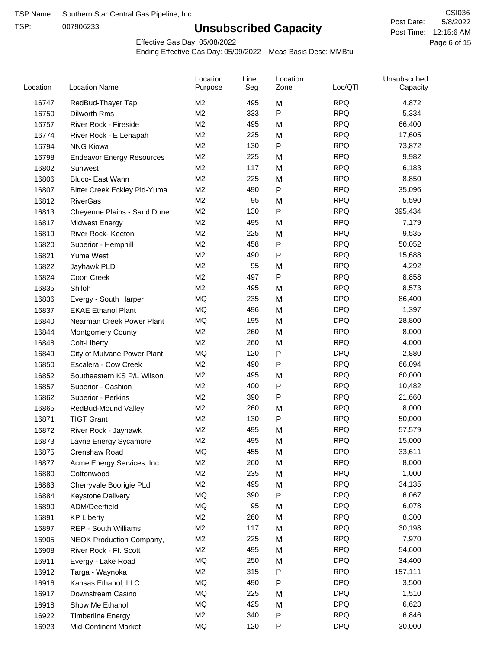TSP:

# **Unsubscribed Capacity**

5/8/2022 Page 6 of 15 Post Time: 12:15:6 AM CSI036 Post Date:

Effective Gas Day: 05/08/2022

| Location | <b>Location Name</b>             | Location<br>Purpose | Line<br>Seg | Location<br>Zone | Loc/QTI    | Unsubscribed<br>Capacity |  |
|----------|----------------------------------|---------------------|-------------|------------------|------------|--------------------------|--|
| 16747    | RedBud-Thayer Tap                | M <sub>2</sub>      | 495         | M                | <b>RPQ</b> | 4,872                    |  |
| 16750    | Dilworth Rms                     | M <sub>2</sub>      | 333         | P                | <b>RPQ</b> | 5,334                    |  |
| 16757    | River Rock - Fireside            | M <sub>2</sub>      | 495         | M                | <b>RPQ</b> | 66,400                   |  |
| 16774    | River Rock - E Lenapah           | M <sub>2</sub>      | 225         | M                | <b>RPQ</b> | 17,605                   |  |
| 16794    | <b>NNG Kiowa</b>                 | M <sub>2</sub>      | 130         | P                | <b>RPQ</b> | 73,872                   |  |
| 16798    | <b>Endeavor Energy Resources</b> | M <sub>2</sub>      | 225         | M                | <b>RPQ</b> | 9,982                    |  |
| 16802    | Sunwest                          | M <sub>2</sub>      | 117         | M                | <b>RPQ</b> | 6,183                    |  |
| 16806    | Bluco- East Wann                 | M <sub>2</sub>      | 225         | M                | <b>RPQ</b> | 8,850                    |  |
| 16807    | Bitter Creek Eckley Pld-Yuma     | M <sub>2</sub>      | 490         | P                | <b>RPQ</b> | 35,096                   |  |
| 16812    | <b>RiverGas</b>                  | M <sub>2</sub>      | 95          | M                | <b>RPQ</b> | 5,590                    |  |
| 16813    | Cheyenne Plains - Sand Dune      | M <sub>2</sub>      | 130         | P                | <b>RPQ</b> | 395,434                  |  |
| 16817    | <b>Midwest Energy</b>            | M <sub>2</sub>      | 495         | M                | <b>RPQ</b> | 7,179                    |  |
| 16819    | River Rock- Keeton               | M <sub>2</sub>      | 225         | M                | <b>RPQ</b> | 9,535                    |  |
| 16820    | Superior - Hemphill              | M <sub>2</sub>      | 458         | P                | <b>RPQ</b> | 50,052                   |  |
| 16821    | Yuma West                        | M <sub>2</sub>      | 490         | Ρ                | <b>RPQ</b> | 15,688                   |  |
| 16822    | Jayhawk PLD                      | M <sub>2</sub>      | 95          | M                | <b>RPQ</b> | 4,292                    |  |
| 16824    | Coon Creek                       | M <sub>2</sub>      | 497         | Ρ                | <b>RPQ</b> | 8,858                    |  |
| 16835    | Shiloh                           | M <sub>2</sub>      | 495         | M                | <b>RPQ</b> | 8,573                    |  |
| 16836    | Evergy - South Harper            | <b>MQ</b>           | 235         | M                | <b>DPQ</b> | 86,400                   |  |
| 16837    | <b>EKAE Ethanol Plant</b>        | MQ                  | 496         | M                | <b>DPQ</b> | 1,397                    |  |
| 16840    | Nearman Creek Power Plant        | MQ                  | 195         | M                | <b>DPQ</b> | 28,800                   |  |
| 16844    | <b>Montgomery County</b>         | M <sub>2</sub>      | 260         | M                | <b>RPQ</b> | 8,000                    |  |
| 16848    | Colt-Liberty                     | M <sub>2</sub>      | 260         | M                | <b>RPQ</b> | 4,000                    |  |
| 16849    | City of Mulvane Power Plant      | <b>MQ</b>           | 120         | Ρ                | <b>DPQ</b> | 2,880                    |  |
| 16850    | Escalera - Cow Creek             | M <sub>2</sub>      | 490         | Ρ                | <b>RPQ</b> | 66,094                   |  |
| 16852    | Southeastern KS P/L Wilson       | M <sub>2</sub>      | 495         | M                | <b>RPQ</b> | 60,000                   |  |
| 16857    | Superior - Cashion               | M2                  | 400         | Ρ                | <b>RPQ</b> | 10,482                   |  |
| 16862    | Superior - Perkins               | M <sub>2</sub>      | 390         | P                | <b>RPQ</b> | 21,660                   |  |
| 16865    | RedBud-Mound Valley              | M <sub>2</sub>      | 260         | M                | <b>RPQ</b> | 8,000                    |  |
| 16871    | <b>TIGT Grant</b>                | M <sub>2</sub>      | 130         | Ρ                | <b>RPQ</b> | 50,000                   |  |
| 16872    | River Rock - Jayhawk             | M <sub>2</sub>      | 495         | M                | <b>RPQ</b> | 57,579                   |  |
| 16873    | Layne Energy Sycamore            | M <sub>2</sub>      | 495         | M                | <b>RPQ</b> | 15,000                   |  |
| 16875    | Crenshaw Road                    | MQ                  | 455         | M                | <b>DPQ</b> | 33,611                   |  |
| 16877    | Acme Energy Services, Inc.       | M <sub>2</sub>      | 260         | M                | <b>RPQ</b> | 8,000                    |  |
| 16880    | Cottonwood                       | M <sub>2</sub>      | 235         | M                | <b>RPQ</b> | 1,000                    |  |
| 16883    | Cherryvale Boorigie PLd          | M2                  | 495         | M                | <b>RPQ</b> | 34,135                   |  |
| 16884    | Keystone Delivery                | MQ                  | 390         | P                | <b>DPQ</b> | 6,067                    |  |
| 16890    | ADM/Deerfield                    | MQ                  | 95          | M                | <b>DPQ</b> | 6,078                    |  |
| 16891    | <b>KP Liberty</b>                | M2                  | 260         | M                | <b>RPQ</b> | 8,300                    |  |
| 16897    | REP - South Williams             | M <sub>2</sub>      | 117         | M                | <b>RPQ</b> | 30,198                   |  |
| 16905    | <b>NEOK Production Company,</b>  | M2                  | 225         | M                | <b>RPQ</b> | 7,970                    |  |
| 16908    | River Rock - Ft. Scott           | M2                  | 495         | M                | <b>RPQ</b> | 54,600                   |  |
| 16911    | Evergy - Lake Road               | MQ                  | 250         | M                | <b>DPQ</b> | 34,400                   |  |
| 16912    | Targa - Waynoka                  | M <sub>2</sub>      | 315         | Ρ                | <b>RPQ</b> | 157,111                  |  |
| 16916    | Kansas Ethanol, LLC              | MQ                  | 490         | Ρ                | <b>DPQ</b> | 3,500                    |  |
| 16917    | Downstream Casino                | MQ                  | 225         | M                | <b>DPQ</b> | 1,510                    |  |
| 16918    | Show Me Ethanol                  | MQ                  | 425         | M                | <b>DPQ</b> | 6,623                    |  |
| 16922    | <b>Timberline Energy</b>         | M2                  | 340         | Ρ                | <b>RPQ</b> | 6,846                    |  |
| 16923    | Mid-Continent Market             | MQ                  | 120         | P                | <b>DPQ</b> | 30,000                   |  |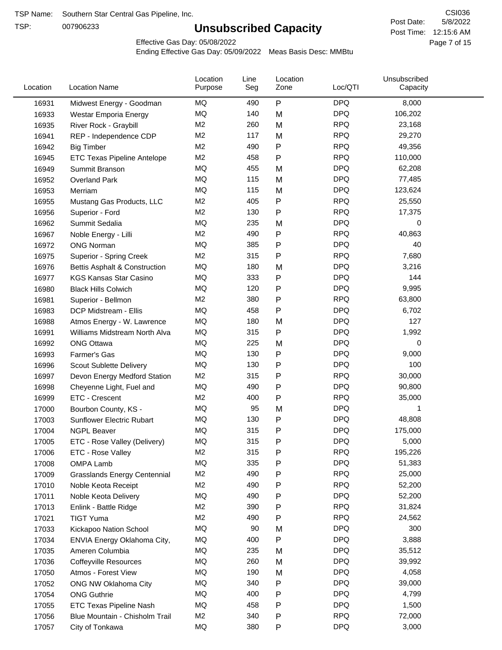TSP:

# **Unsubscribed Capacity**

5/8/2022 Page 7 of 15 Post Time: 12:15:6 AM CSI036 Post Date:

Effective Gas Day: 05/08/2022

| Location | <b>Location Name</b>                | Location<br>Purpose | Line<br>Seg | Location<br>Zone | Loc/QTI    | Unsubscribed<br>Capacity |  |
|----------|-------------------------------------|---------------------|-------------|------------------|------------|--------------------------|--|
| 16931    | Midwest Energy - Goodman            | MQ                  | 490         | P                | <b>DPQ</b> | 8,000                    |  |
| 16933    | Westar Emporia Energy               | MQ                  | 140         | M                | <b>DPQ</b> | 106,202                  |  |
| 16935    | River Rock - Graybill               | M <sub>2</sub>      | 260         | M                | <b>RPQ</b> | 23,168                   |  |
| 16941    | REP - Independence CDP              | M <sub>2</sub>      | 117         | M                | <b>RPQ</b> | 29,270                   |  |
| 16942    | <b>Big Timber</b>                   | M <sub>2</sub>      | 490         | P                | <b>RPQ</b> | 49,356                   |  |
| 16945    | ETC Texas Pipeline Antelope         | M <sub>2</sub>      | 458         | P                | <b>RPQ</b> | 110,000                  |  |
| 16949    | Summit Branson                      | MQ                  | 455         | M                | <b>DPQ</b> | 62,208                   |  |
| 16952    | <b>Overland Park</b>                | MQ                  | 115         | M                | <b>DPQ</b> | 77,485                   |  |
| 16953    | Merriam                             | MQ                  | 115         | M                | <b>DPQ</b> | 123,624                  |  |
| 16955    | Mustang Gas Products, LLC           | M <sub>2</sub>      | 405         | P                | <b>RPQ</b> | 25,550                   |  |
| 16956    | Superior - Ford                     | M <sub>2</sub>      | 130         | P                | <b>RPQ</b> | 17,375                   |  |
| 16962    | Summit Sedalia                      | MQ                  | 235         | M                | <b>DPQ</b> | 0                        |  |
| 16967    | Noble Energy - Lilli                | M <sub>2</sub>      | 490         | P                | <b>RPQ</b> | 40,863                   |  |
| 16972    | <b>ONG Norman</b>                   | MQ                  | 385         | Ρ                | <b>DPQ</b> | 40                       |  |
| 16975    | Superior - Spring Creek             | M <sub>2</sub>      | 315         | Ρ                | <b>RPQ</b> | 7,680                    |  |
| 16976    | Bettis Asphalt & Construction       | MQ                  | 180         | M                | <b>DPQ</b> | 3,216                    |  |
| 16977    | <b>KGS Kansas Star Casino</b>       | MQ                  | 333         | P                | <b>DPQ</b> | 144                      |  |
| 16980    | <b>Black Hills Colwich</b>          | <b>MQ</b>           | 120         | Ρ                | <b>DPQ</b> | 9,995                    |  |
| 16981    | Superior - Bellmon                  | M <sub>2</sub>      | 380         | Ρ                | <b>RPQ</b> | 63,800                   |  |
| 16983    | DCP Midstream - Ellis               | MQ                  | 458         | P                | <b>DPQ</b> | 6,702                    |  |
| 16988    | Atmos Energy - W. Lawrence          | MQ                  | 180         | M                | <b>DPQ</b> | 127                      |  |
| 16991    | Williams Midstream North Alva       | <b>MQ</b>           | 315         | P                | <b>DPQ</b> | 1,992                    |  |
| 16992    | <b>ONG Ottawa</b>                   | <b>MQ</b>           | 225         | M                | <b>DPQ</b> | 0                        |  |
| 16993    | Farmer's Gas                        | MQ                  | 130         | Ρ                | <b>DPQ</b> | 9,000                    |  |
| 16996    | Scout Sublette Delivery             | MQ                  | 130         | Ρ                | <b>DPQ</b> | 100                      |  |
| 16997    | Devon Energy Medford Station        | M <sub>2</sub>      | 315         | Ρ                | <b>RPQ</b> | 30,000                   |  |
| 16998    | Cheyenne Light, Fuel and            | <b>MQ</b>           | 490         | P                | <b>DPQ</b> | 90,800                   |  |
| 16999    | ETC - Crescent                      | M <sub>2</sub>      | 400         | P                | <b>RPQ</b> | 35,000                   |  |
| 17000    | Bourbon County, KS -                | MQ                  | 95          | M                | <b>DPQ</b> | 1                        |  |
| 17003    | <b>Sunflower Electric Rubart</b>    | MQ                  | 130         | Ρ                | <b>DPQ</b> | 48,808                   |  |
| 17004    | <b>NGPL Beaver</b>                  | MQ                  | 315         | Ρ                | <b>DPQ</b> | 175,000                  |  |
| 17005    | ETC - Rose Valley (Delivery)        | MQ                  | 315         | Ρ                | <b>DPQ</b> | 5,000                    |  |
| 17006    | ETC - Rose Valley                   | M <sub>2</sub>      | 315         | P                | <b>RPQ</b> | 195,226                  |  |
| 17008    | OMPA Lamb                           | MQ                  | 335         | P                | <b>DPQ</b> | 51,383                   |  |
| 17009    | <b>Grasslands Energy Centennial</b> | M <sub>2</sub>      | 490         | Ρ                | <b>RPQ</b> | 25,000                   |  |
| 17010    | Noble Keota Receipt                 | M <sub>2</sub>      | 490         | P                | <b>RPQ</b> | 52,200                   |  |
| 17011    | Noble Keota Delivery                | MQ                  | 490         | Ρ                | <b>DPQ</b> | 52,200                   |  |
| 17013    | Enlink - Battle Ridge               | M <sub>2</sub>      | 390         | Ρ                | <b>RPQ</b> | 31,824                   |  |
| 17021    | <b>TIGT Yuma</b>                    | M <sub>2</sub>      | 490         | P                | <b>RPQ</b> | 24,562                   |  |
| 17033    | Kickapoo Nation School              | MQ                  | 90          | M                | <b>DPQ</b> | 300                      |  |
| 17034    | ENVIA Energy Oklahoma City,         | MQ                  | 400         | P                | <b>DPQ</b> | 3,888                    |  |
| 17035    | Ameren Columbia                     | MQ                  | 235         | M                | <b>DPQ</b> | 35,512                   |  |
| 17036    | <b>Coffeyville Resources</b>        | MQ                  | 260         | M                | <b>DPQ</b> | 39,992                   |  |
| 17050    | Atmos - Forest View                 | MQ                  | 190         | M                | <b>DPQ</b> | 4,058                    |  |
| 17052    | ONG NW Oklahoma City                | MQ                  | 340         | P                | <b>DPQ</b> | 39,000                   |  |
| 17054    | <b>ONG Guthrie</b>                  | MQ                  | 400         | Ρ                | <b>DPQ</b> | 4,799                    |  |
| 17055    | ETC Texas Pipeline Nash             | MQ                  | 458         | Ρ                | <b>DPQ</b> | 1,500                    |  |
| 17056    | Blue Mountain - Chisholm Trail      | M <sub>2</sub>      | 340         | Ρ                | <b>RPQ</b> | 72,000                   |  |
| 17057    | City of Tonkawa                     | MQ                  | 380         | P                | <b>DPQ</b> | 3,000                    |  |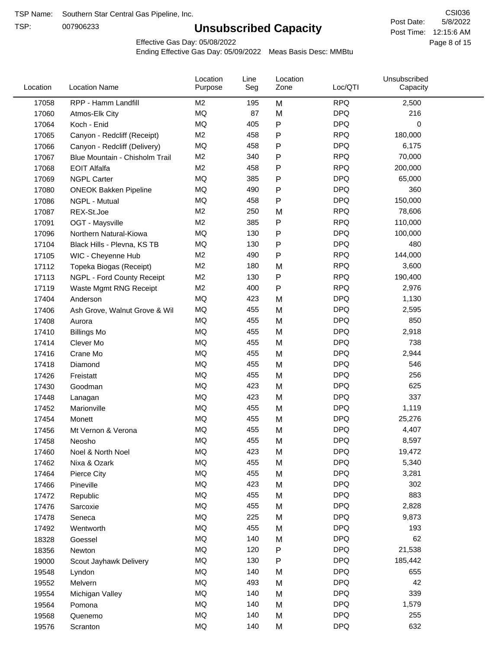TSP:

# **Unsubscribed Capacity**

5/8/2022 Page 8 of 15 Post Time: 12:15:6 AM CSI036 Post Date:

Effective Gas Day: 05/08/2022

| 17058<br>RPP - Hamm Landfill<br>M <sub>2</sub><br>195<br>M<br><b>RPQ</b><br>2,500<br>MQ<br>87<br><b>DPQ</b><br>216<br>M<br>17060<br>Atmos-Elk City<br>${\sf P}$<br>MQ<br><b>DPQ</b><br>0<br>17064<br>405<br>Koch - Enid<br>M <sub>2</sub><br>458<br><b>RPQ</b><br>180,000<br>$\mathsf{P}$<br>17065<br>Canyon - Redcliff (Receipt)<br>MQ<br><b>DPQ</b><br>458<br>P<br>6,175<br>17066<br>Canyon - Redcliff (Delivery)<br>M <sub>2</sub><br><b>RPQ</b><br>340<br>${\sf P}$<br>70,000<br>17067<br>Blue Mountain - Chisholm Trail<br>M <sub>2</sub><br><b>RPQ</b><br><b>EOIT Alfalfa</b><br>458<br>P<br>200,000<br>17068<br><b>MQ</b><br><b>DPQ</b><br>385<br>P<br>65,000<br><b>NGPL Carter</b><br>17069<br>MQ<br>490<br><b>DPQ</b><br>360<br>$\mathsf{P}$<br>17080<br><b>ONEOK Bakken Pipeline</b><br><b>MQ</b><br><b>DPQ</b><br>458<br>P<br>150,000<br>17086<br>NGPL - Mutual<br>M <sub>2</sub><br><b>RPQ</b><br>78,606<br>250<br>17087<br>REX-St.Joe<br>M<br>M <sub>2</sub><br>385<br>P<br><b>RPQ</b><br>110,000<br>17091<br>OGT - Maysville<br><b>DPQ</b><br>MQ<br>130<br>P<br>100,000<br>17096<br>Northern Natural-Kiowa<br>MQ<br><b>DPQ</b><br>130<br>P<br>480<br>17104<br>Black Hills - Plevna, KS TB<br>M <sub>2</sub><br><b>RPQ</b><br>490<br>P<br>144,000<br>17105<br>WIC - Cheyenne Hub<br><b>RPQ</b><br>M <sub>2</sub><br>180<br>3,600<br>M<br>17112<br>Topeka Biogas (Receipt)<br>M <sub>2</sub><br>130<br>P<br><b>RPQ</b><br>190,400<br>17113<br>NGPL - Ford County Receipt<br>P<br>M <sub>2</sub><br>400<br><b>RPQ</b><br>2,976<br>17119<br>Waste Mgmt RNG Receipt<br><b>MQ</b><br><b>DPQ</b><br>423<br>M<br>1,130<br>17404<br>Anderson<br><b>MQ</b><br>455<br>M<br><b>DPQ</b><br>2,595<br>17406<br>Ash Grove, Walnut Grove & Wil<br>MQ<br>455<br><b>DPQ</b><br>850<br>M<br>17408<br>Aurora<br><b>MQ</b><br><b>DPQ</b><br>455<br>M<br>2,918<br>17410<br><b>Billings Mo</b><br><b>MQ</b><br><b>DPQ</b><br>455<br>738<br>M<br>17414<br>Clever Mo<br><b>MQ</b><br><b>DPQ</b><br>455<br>2,944<br>M<br>17416<br>Crane Mo<br><b>MQ</b><br><b>DPQ</b><br>455<br>M<br>546<br>17418<br>Diamond<br>MQ<br><b>DPQ</b><br>256<br>455<br>M<br>17426<br>Freistatt<br><b>MQ</b><br>625<br>423<br><b>DPQ</b><br>M<br>17430<br>Goodman<br><b>MQ</b><br>337<br>423<br><b>DPQ</b><br>M<br>17448<br>Lanagan<br><b>MQ</b><br><b>DPQ</b><br>455<br>M<br>1,119<br>17452<br>Marionville<br>MQ<br>455<br><b>DPQ</b><br>M<br>25,276<br>17454<br>Monett<br>MQ<br><b>DPQ</b><br>455<br>M<br>4,407<br>17456<br>Mt Vernon & Verona<br>MQ<br><b>DPQ</b><br>455<br>8,597<br>17458<br>M<br>Neosho<br>MQ<br><b>DPQ</b><br>423<br>M<br>19,472<br>17460<br>Noel & North Noel<br>$\sf{MQ}$<br><b>DPQ</b><br>455<br>5,340<br>17462<br>M<br>Nixa & Ozark<br>MQ<br>455<br><b>DPQ</b><br>3,281<br>M<br>17464<br>Pierce City<br>MQ<br>423<br><b>DPQ</b><br>302<br>17466<br>Pineville<br>M<br>MQ<br><b>DPQ</b><br>883<br>455<br>M<br>17472<br>Republic<br>MQ<br><b>DPQ</b><br>455<br>M<br>2,828<br>17476<br>Sarcoxie<br>MQ<br>225<br><b>DPQ</b><br>9,873<br>17478<br>M<br>Seneca<br><b>DPQ</b><br>MQ<br>455<br>193<br>17492<br>M<br>Wentworth<br>62<br>MQ<br>140<br><b>DPQ</b><br>18328<br>M<br>Goessel<br>MQ<br><b>DPQ</b><br>120<br>P<br>21,538<br>18356<br>Newton<br>$\sf{MQ}$<br><b>DPQ</b><br>130<br>185,442<br>P<br>19000<br>Scout Jayhawk Delivery<br>MQ<br>140<br><b>DPQ</b><br>655<br>M<br>19548<br>Lyndon<br><b>DPQ</b><br>42<br>MQ<br>493<br>19552<br>Melvern<br>M<br>MQ<br>140<br><b>DPQ</b><br>339<br>M<br>19554<br>Michigan Valley<br>MQ<br><b>DPQ</b><br>140<br>1,579<br>M<br>19564<br>Pomona<br>MQ<br><b>DPQ</b><br>140<br>255<br>19568<br>M<br>Quenemo<br>$\sf{MQ}$<br><b>DPQ</b><br>632<br>19576<br>140<br>M<br>Scranton | Location | <b>Location Name</b> | Location<br>Purpose | Line<br>Seg | Location<br>Zone | Loc/QTI | Unsubscribed<br>Capacity |  |
|----------------------------------------------------------------------------------------------------------------------------------------------------------------------------------------------------------------------------------------------------------------------------------------------------------------------------------------------------------------------------------------------------------------------------------------------------------------------------------------------------------------------------------------------------------------------------------------------------------------------------------------------------------------------------------------------------------------------------------------------------------------------------------------------------------------------------------------------------------------------------------------------------------------------------------------------------------------------------------------------------------------------------------------------------------------------------------------------------------------------------------------------------------------------------------------------------------------------------------------------------------------------------------------------------------------------------------------------------------------------------------------------------------------------------------------------------------------------------------------------------------------------------------------------------------------------------------------------------------------------------------------------------------------------------------------------------------------------------------------------------------------------------------------------------------------------------------------------------------------------------------------------------------------------------------------------------------------------------------------------------------------------------------------------------------------------------------------------------------------------------------------------------------------------------------------------------------------------------------------------------------------------------------------------------------------------------------------------------------------------------------------------------------------------------------------------------------------------------------------------------------------------------------------------------------------------------------------------------------------------------------------------------------------------------------------------------------------------------------------------------------------------------------------------------------------------------------------------------------------------------------------------------------------------------------------------------------------------------------------------------------------------------------------------------------------------------------------------------------------------------------------------------------------------------------------------------------------------------------------------------------------------------------------------------------------------------------------------------------------------------------------------------------------------------------------------------------------------------------------------------------------------------------------------------------------------------------------------------------------------------------------------------------------------------------------------------------|----------|----------------------|---------------------|-------------|------------------|---------|--------------------------|--|
|                                                                                                                                                                                                                                                                                                                                                                                                                                                                                                                                                                                                                                                                                                                                                                                                                                                                                                                                                                                                                                                                                                                                                                                                                                                                                                                                                                                                                                                                                                                                                                                                                                                                                                                                                                                                                                                                                                                                                                                                                                                                                                                                                                                                                                                                                                                                                                                                                                                                                                                                                                                                                                                                                                                                                                                                                                                                                                                                                                                                                                                                                                                                                                                                                                                                                                                                                                                                                                                                                                                                                                                                                                                                                                          |          |                      |                     |             |                  |         |                          |  |
|                                                                                                                                                                                                                                                                                                                                                                                                                                                                                                                                                                                                                                                                                                                                                                                                                                                                                                                                                                                                                                                                                                                                                                                                                                                                                                                                                                                                                                                                                                                                                                                                                                                                                                                                                                                                                                                                                                                                                                                                                                                                                                                                                                                                                                                                                                                                                                                                                                                                                                                                                                                                                                                                                                                                                                                                                                                                                                                                                                                                                                                                                                                                                                                                                                                                                                                                                                                                                                                                                                                                                                                                                                                                                                          |          |                      |                     |             |                  |         |                          |  |
|                                                                                                                                                                                                                                                                                                                                                                                                                                                                                                                                                                                                                                                                                                                                                                                                                                                                                                                                                                                                                                                                                                                                                                                                                                                                                                                                                                                                                                                                                                                                                                                                                                                                                                                                                                                                                                                                                                                                                                                                                                                                                                                                                                                                                                                                                                                                                                                                                                                                                                                                                                                                                                                                                                                                                                                                                                                                                                                                                                                                                                                                                                                                                                                                                                                                                                                                                                                                                                                                                                                                                                                                                                                                                                          |          |                      |                     |             |                  |         |                          |  |
|                                                                                                                                                                                                                                                                                                                                                                                                                                                                                                                                                                                                                                                                                                                                                                                                                                                                                                                                                                                                                                                                                                                                                                                                                                                                                                                                                                                                                                                                                                                                                                                                                                                                                                                                                                                                                                                                                                                                                                                                                                                                                                                                                                                                                                                                                                                                                                                                                                                                                                                                                                                                                                                                                                                                                                                                                                                                                                                                                                                                                                                                                                                                                                                                                                                                                                                                                                                                                                                                                                                                                                                                                                                                                                          |          |                      |                     |             |                  |         |                          |  |
|                                                                                                                                                                                                                                                                                                                                                                                                                                                                                                                                                                                                                                                                                                                                                                                                                                                                                                                                                                                                                                                                                                                                                                                                                                                                                                                                                                                                                                                                                                                                                                                                                                                                                                                                                                                                                                                                                                                                                                                                                                                                                                                                                                                                                                                                                                                                                                                                                                                                                                                                                                                                                                                                                                                                                                                                                                                                                                                                                                                                                                                                                                                                                                                                                                                                                                                                                                                                                                                                                                                                                                                                                                                                                                          |          |                      |                     |             |                  |         |                          |  |
|                                                                                                                                                                                                                                                                                                                                                                                                                                                                                                                                                                                                                                                                                                                                                                                                                                                                                                                                                                                                                                                                                                                                                                                                                                                                                                                                                                                                                                                                                                                                                                                                                                                                                                                                                                                                                                                                                                                                                                                                                                                                                                                                                                                                                                                                                                                                                                                                                                                                                                                                                                                                                                                                                                                                                                                                                                                                                                                                                                                                                                                                                                                                                                                                                                                                                                                                                                                                                                                                                                                                                                                                                                                                                                          |          |                      |                     |             |                  |         |                          |  |
|                                                                                                                                                                                                                                                                                                                                                                                                                                                                                                                                                                                                                                                                                                                                                                                                                                                                                                                                                                                                                                                                                                                                                                                                                                                                                                                                                                                                                                                                                                                                                                                                                                                                                                                                                                                                                                                                                                                                                                                                                                                                                                                                                                                                                                                                                                                                                                                                                                                                                                                                                                                                                                                                                                                                                                                                                                                                                                                                                                                                                                                                                                                                                                                                                                                                                                                                                                                                                                                                                                                                                                                                                                                                                                          |          |                      |                     |             |                  |         |                          |  |
|                                                                                                                                                                                                                                                                                                                                                                                                                                                                                                                                                                                                                                                                                                                                                                                                                                                                                                                                                                                                                                                                                                                                                                                                                                                                                                                                                                                                                                                                                                                                                                                                                                                                                                                                                                                                                                                                                                                                                                                                                                                                                                                                                                                                                                                                                                                                                                                                                                                                                                                                                                                                                                                                                                                                                                                                                                                                                                                                                                                                                                                                                                                                                                                                                                                                                                                                                                                                                                                                                                                                                                                                                                                                                                          |          |                      |                     |             |                  |         |                          |  |
|                                                                                                                                                                                                                                                                                                                                                                                                                                                                                                                                                                                                                                                                                                                                                                                                                                                                                                                                                                                                                                                                                                                                                                                                                                                                                                                                                                                                                                                                                                                                                                                                                                                                                                                                                                                                                                                                                                                                                                                                                                                                                                                                                                                                                                                                                                                                                                                                                                                                                                                                                                                                                                                                                                                                                                                                                                                                                                                                                                                                                                                                                                                                                                                                                                                                                                                                                                                                                                                                                                                                                                                                                                                                                                          |          |                      |                     |             |                  |         |                          |  |
|                                                                                                                                                                                                                                                                                                                                                                                                                                                                                                                                                                                                                                                                                                                                                                                                                                                                                                                                                                                                                                                                                                                                                                                                                                                                                                                                                                                                                                                                                                                                                                                                                                                                                                                                                                                                                                                                                                                                                                                                                                                                                                                                                                                                                                                                                                                                                                                                                                                                                                                                                                                                                                                                                                                                                                                                                                                                                                                                                                                                                                                                                                                                                                                                                                                                                                                                                                                                                                                                                                                                                                                                                                                                                                          |          |                      |                     |             |                  |         |                          |  |
|                                                                                                                                                                                                                                                                                                                                                                                                                                                                                                                                                                                                                                                                                                                                                                                                                                                                                                                                                                                                                                                                                                                                                                                                                                                                                                                                                                                                                                                                                                                                                                                                                                                                                                                                                                                                                                                                                                                                                                                                                                                                                                                                                                                                                                                                                                                                                                                                                                                                                                                                                                                                                                                                                                                                                                                                                                                                                                                                                                                                                                                                                                                                                                                                                                                                                                                                                                                                                                                                                                                                                                                                                                                                                                          |          |                      |                     |             |                  |         |                          |  |
|                                                                                                                                                                                                                                                                                                                                                                                                                                                                                                                                                                                                                                                                                                                                                                                                                                                                                                                                                                                                                                                                                                                                                                                                                                                                                                                                                                                                                                                                                                                                                                                                                                                                                                                                                                                                                                                                                                                                                                                                                                                                                                                                                                                                                                                                                                                                                                                                                                                                                                                                                                                                                                                                                                                                                                                                                                                                                                                                                                                                                                                                                                                                                                                                                                                                                                                                                                                                                                                                                                                                                                                                                                                                                                          |          |                      |                     |             |                  |         |                          |  |
|                                                                                                                                                                                                                                                                                                                                                                                                                                                                                                                                                                                                                                                                                                                                                                                                                                                                                                                                                                                                                                                                                                                                                                                                                                                                                                                                                                                                                                                                                                                                                                                                                                                                                                                                                                                                                                                                                                                                                                                                                                                                                                                                                                                                                                                                                                                                                                                                                                                                                                                                                                                                                                                                                                                                                                                                                                                                                                                                                                                                                                                                                                                                                                                                                                                                                                                                                                                                                                                                                                                                                                                                                                                                                                          |          |                      |                     |             |                  |         |                          |  |
|                                                                                                                                                                                                                                                                                                                                                                                                                                                                                                                                                                                                                                                                                                                                                                                                                                                                                                                                                                                                                                                                                                                                                                                                                                                                                                                                                                                                                                                                                                                                                                                                                                                                                                                                                                                                                                                                                                                                                                                                                                                                                                                                                                                                                                                                                                                                                                                                                                                                                                                                                                                                                                                                                                                                                                                                                                                                                                                                                                                                                                                                                                                                                                                                                                                                                                                                                                                                                                                                                                                                                                                                                                                                                                          |          |                      |                     |             |                  |         |                          |  |
|                                                                                                                                                                                                                                                                                                                                                                                                                                                                                                                                                                                                                                                                                                                                                                                                                                                                                                                                                                                                                                                                                                                                                                                                                                                                                                                                                                                                                                                                                                                                                                                                                                                                                                                                                                                                                                                                                                                                                                                                                                                                                                                                                                                                                                                                                                                                                                                                                                                                                                                                                                                                                                                                                                                                                                                                                                                                                                                                                                                                                                                                                                                                                                                                                                                                                                                                                                                                                                                                                                                                                                                                                                                                                                          |          |                      |                     |             |                  |         |                          |  |
|                                                                                                                                                                                                                                                                                                                                                                                                                                                                                                                                                                                                                                                                                                                                                                                                                                                                                                                                                                                                                                                                                                                                                                                                                                                                                                                                                                                                                                                                                                                                                                                                                                                                                                                                                                                                                                                                                                                                                                                                                                                                                                                                                                                                                                                                                                                                                                                                                                                                                                                                                                                                                                                                                                                                                                                                                                                                                                                                                                                                                                                                                                                                                                                                                                                                                                                                                                                                                                                                                                                                                                                                                                                                                                          |          |                      |                     |             |                  |         |                          |  |
|                                                                                                                                                                                                                                                                                                                                                                                                                                                                                                                                                                                                                                                                                                                                                                                                                                                                                                                                                                                                                                                                                                                                                                                                                                                                                                                                                                                                                                                                                                                                                                                                                                                                                                                                                                                                                                                                                                                                                                                                                                                                                                                                                                                                                                                                                                                                                                                                                                                                                                                                                                                                                                                                                                                                                                                                                                                                                                                                                                                                                                                                                                                                                                                                                                                                                                                                                                                                                                                                                                                                                                                                                                                                                                          |          |                      |                     |             |                  |         |                          |  |
|                                                                                                                                                                                                                                                                                                                                                                                                                                                                                                                                                                                                                                                                                                                                                                                                                                                                                                                                                                                                                                                                                                                                                                                                                                                                                                                                                                                                                                                                                                                                                                                                                                                                                                                                                                                                                                                                                                                                                                                                                                                                                                                                                                                                                                                                                                                                                                                                                                                                                                                                                                                                                                                                                                                                                                                                                                                                                                                                                                                                                                                                                                                                                                                                                                                                                                                                                                                                                                                                                                                                                                                                                                                                                                          |          |                      |                     |             |                  |         |                          |  |
|                                                                                                                                                                                                                                                                                                                                                                                                                                                                                                                                                                                                                                                                                                                                                                                                                                                                                                                                                                                                                                                                                                                                                                                                                                                                                                                                                                                                                                                                                                                                                                                                                                                                                                                                                                                                                                                                                                                                                                                                                                                                                                                                                                                                                                                                                                                                                                                                                                                                                                                                                                                                                                                                                                                                                                                                                                                                                                                                                                                                                                                                                                                                                                                                                                                                                                                                                                                                                                                                                                                                                                                                                                                                                                          |          |                      |                     |             |                  |         |                          |  |
|                                                                                                                                                                                                                                                                                                                                                                                                                                                                                                                                                                                                                                                                                                                                                                                                                                                                                                                                                                                                                                                                                                                                                                                                                                                                                                                                                                                                                                                                                                                                                                                                                                                                                                                                                                                                                                                                                                                                                                                                                                                                                                                                                                                                                                                                                                                                                                                                                                                                                                                                                                                                                                                                                                                                                                                                                                                                                                                                                                                                                                                                                                                                                                                                                                                                                                                                                                                                                                                                                                                                                                                                                                                                                                          |          |                      |                     |             |                  |         |                          |  |
|                                                                                                                                                                                                                                                                                                                                                                                                                                                                                                                                                                                                                                                                                                                                                                                                                                                                                                                                                                                                                                                                                                                                                                                                                                                                                                                                                                                                                                                                                                                                                                                                                                                                                                                                                                                                                                                                                                                                                                                                                                                                                                                                                                                                                                                                                                                                                                                                                                                                                                                                                                                                                                                                                                                                                                                                                                                                                                                                                                                                                                                                                                                                                                                                                                                                                                                                                                                                                                                                                                                                                                                                                                                                                                          |          |                      |                     |             |                  |         |                          |  |
|                                                                                                                                                                                                                                                                                                                                                                                                                                                                                                                                                                                                                                                                                                                                                                                                                                                                                                                                                                                                                                                                                                                                                                                                                                                                                                                                                                                                                                                                                                                                                                                                                                                                                                                                                                                                                                                                                                                                                                                                                                                                                                                                                                                                                                                                                                                                                                                                                                                                                                                                                                                                                                                                                                                                                                                                                                                                                                                                                                                                                                                                                                                                                                                                                                                                                                                                                                                                                                                                                                                                                                                                                                                                                                          |          |                      |                     |             |                  |         |                          |  |
|                                                                                                                                                                                                                                                                                                                                                                                                                                                                                                                                                                                                                                                                                                                                                                                                                                                                                                                                                                                                                                                                                                                                                                                                                                                                                                                                                                                                                                                                                                                                                                                                                                                                                                                                                                                                                                                                                                                                                                                                                                                                                                                                                                                                                                                                                                                                                                                                                                                                                                                                                                                                                                                                                                                                                                                                                                                                                                                                                                                                                                                                                                                                                                                                                                                                                                                                                                                                                                                                                                                                                                                                                                                                                                          |          |                      |                     |             |                  |         |                          |  |
|                                                                                                                                                                                                                                                                                                                                                                                                                                                                                                                                                                                                                                                                                                                                                                                                                                                                                                                                                                                                                                                                                                                                                                                                                                                                                                                                                                                                                                                                                                                                                                                                                                                                                                                                                                                                                                                                                                                                                                                                                                                                                                                                                                                                                                                                                                                                                                                                                                                                                                                                                                                                                                                                                                                                                                                                                                                                                                                                                                                                                                                                                                                                                                                                                                                                                                                                                                                                                                                                                                                                                                                                                                                                                                          |          |                      |                     |             |                  |         |                          |  |
|                                                                                                                                                                                                                                                                                                                                                                                                                                                                                                                                                                                                                                                                                                                                                                                                                                                                                                                                                                                                                                                                                                                                                                                                                                                                                                                                                                                                                                                                                                                                                                                                                                                                                                                                                                                                                                                                                                                                                                                                                                                                                                                                                                                                                                                                                                                                                                                                                                                                                                                                                                                                                                                                                                                                                                                                                                                                                                                                                                                                                                                                                                                                                                                                                                                                                                                                                                                                                                                                                                                                                                                                                                                                                                          |          |                      |                     |             |                  |         |                          |  |
|                                                                                                                                                                                                                                                                                                                                                                                                                                                                                                                                                                                                                                                                                                                                                                                                                                                                                                                                                                                                                                                                                                                                                                                                                                                                                                                                                                                                                                                                                                                                                                                                                                                                                                                                                                                                                                                                                                                                                                                                                                                                                                                                                                                                                                                                                                                                                                                                                                                                                                                                                                                                                                                                                                                                                                                                                                                                                                                                                                                                                                                                                                                                                                                                                                                                                                                                                                                                                                                                                                                                                                                                                                                                                                          |          |                      |                     |             |                  |         |                          |  |
|                                                                                                                                                                                                                                                                                                                                                                                                                                                                                                                                                                                                                                                                                                                                                                                                                                                                                                                                                                                                                                                                                                                                                                                                                                                                                                                                                                                                                                                                                                                                                                                                                                                                                                                                                                                                                                                                                                                                                                                                                                                                                                                                                                                                                                                                                                                                                                                                                                                                                                                                                                                                                                                                                                                                                                                                                                                                                                                                                                                                                                                                                                                                                                                                                                                                                                                                                                                                                                                                                                                                                                                                                                                                                                          |          |                      |                     |             |                  |         |                          |  |
|                                                                                                                                                                                                                                                                                                                                                                                                                                                                                                                                                                                                                                                                                                                                                                                                                                                                                                                                                                                                                                                                                                                                                                                                                                                                                                                                                                                                                                                                                                                                                                                                                                                                                                                                                                                                                                                                                                                                                                                                                                                                                                                                                                                                                                                                                                                                                                                                                                                                                                                                                                                                                                                                                                                                                                                                                                                                                                                                                                                                                                                                                                                                                                                                                                                                                                                                                                                                                                                                                                                                                                                                                                                                                                          |          |                      |                     |             |                  |         |                          |  |
|                                                                                                                                                                                                                                                                                                                                                                                                                                                                                                                                                                                                                                                                                                                                                                                                                                                                                                                                                                                                                                                                                                                                                                                                                                                                                                                                                                                                                                                                                                                                                                                                                                                                                                                                                                                                                                                                                                                                                                                                                                                                                                                                                                                                                                                                                                                                                                                                                                                                                                                                                                                                                                                                                                                                                                                                                                                                                                                                                                                                                                                                                                                                                                                                                                                                                                                                                                                                                                                                                                                                                                                                                                                                                                          |          |                      |                     |             |                  |         |                          |  |
|                                                                                                                                                                                                                                                                                                                                                                                                                                                                                                                                                                                                                                                                                                                                                                                                                                                                                                                                                                                                                                                                                                                                                                                                                                                                                                                                                                                                                                                                                                                                                                                                                                                                                                                                                                                                                                                                                                                                                                                                                                                                                                                                                                                                                                                                                                                                                                                                                                                                                                                                                                                                                                                                                                                                                                                                                                                                                                                                                                                                                                                                                                                                                                                                                                                                                                                                                                                                                                                                                                                                                                                                                                                                                                          |          |                      |                     |             |                  |         |                          |  |
|                                                                                                                                                                                                                                                                                                                                                                                                                                                                                                                                                                                                                                                                                                                                                                                                                                                                                                                                                                                                                                                                                                                                                                                                                                                                                                                                                                                                                                                                                                                                                                                                                                                                                                                                                                                                                                                                                                                                                                                                                                                                                                                                                                                                                                                                                                                                                                                                                                                                                                                                                                                                                                                                                                                                                                                                                                                                                                                                                                                                                                                                                                                                                                                                                                                                                                                                                                                                                                                                                                                                                                                                                                                                                                          |          |                      |                     |             |                  |         |                          |  |
|                                                                                                                                                                                                                                                                                                                                                                                                                                                                                                                                                                                                                                                                                                                                                                                                                                                                                                                                                                                                                                                                                                                                                                                                                                                                                                                                                                                                                                                                                                                                                                                                                                                                                                                                                                                                                                                                                                                                                                                                                                                                                                                                                                                                                                                                                                                                                                                                                                                                                                                                                                                                                                                                                                                                                                                                                                                                                                                                                                                                                                                                                                                                                                                                                                                                                                                                                                                                                                                                                                                                                                                                                                                                                                          |          |                      |                     |             |                  |         |                          |  |
|                                                                                                                                                                                                                                                                                                                                                                                                                                                                                                                                                                                                                                                                                                                                                                                                                                                                                                                                                                                                                                                                                                                                                                                                                                                                                                                                                                                                                                                                                                                                                                                                                                                                                                                                                                                                                                                                                                                                                                                                                                                                                                                                                                                                                                                                                                                                                                                                                                                                                                                                                                                                                                                                                                                                                                                                                                                                                                                                                                                                                                                                                                                                                                                                                                                                                                                                                                                                                                                                                                                                                                                                                                                                                                          |          |                      |                     |             |                  |         |                          |  |
|                                                                                                                                                                                                                                                                                                                                                                                                                                                                                                                                                                                                                                                                                                                                                                                                                                                                                                                                                                                                                                                                                                                                                                                                                                                                                                                                                                                                                                                                                                                                                                                                                                                                                                                                                                                                                                                                                                                                                                                                                                                                                                                                                                                                                                                                                                                                                                                                                                                                                                                                                                                                                                                                                                                                                                                                                                                                                                                                                                                                                                                                                                                                                                                                                                                                                                                                                                                                                                                                                                                                                                                                                                                                                                          |          |                      |                     |             |                  |         |                          |  |
|                                                                                                                                                                                                                                                                                                                                                                                                                                                                                                                                                                                                                                                                                                                                                                                                                                                                                                                                                                                                                                                                                                                                                                                                                                                                                                                                                                                                                                                                                                                                                                                                                                                                                                                                                                                                                                                                                                                                                                                                                                                                                                                                                                                                                                                                                                                                                                                                                                                                                                                                                                                                                                                                                                                                                                                                                                                                                                                                                                                                                                                                                                                                                                                                                                                                                                                                                                                                                                                                                                                                                                                                                                                                                                          |          |                      |                     |             |                  |         |                          |  |
|                                                                                                                                                                                                                                                                                                                                                                                                                                                                                                                                                                                                                                                                                                                                                                                                                                                                                                                                                                                                                                                                                                                                                                                                                                                                                                                                                                                                                                                                                                                                                                                                                                                                                                                                                                                                                                                                                                                                                                                                                                                                                                                                                                                                                                                                                                                                                                                                                                                                                                                                                                                                                                                                                                                                                                                                                                                                                                                                                                                                                                                                                                                                                                                                                                                                                                                                                                                                                                                                                                                                                                                                                                                                                                          |          |                      |                     |             |                  |         |                          |  |
|                                                                                                                                                                                                                                                                                                                                                                                                                                                                                                                                                                                                                                                                                                                                                                                                                                                                                                                                                                                                                                                                                                                                                                                                                                                                                                                                                                                                                                                                                                                                                                                                                                                                                                                                                                                                                                                                                                                                                                                                                                                                                                                                                                                                                                                                                                                                                                                                                                                                                                                                                                                                                                                                                                                                                                                                                                                                                                                                                                                                                                                                                                                                                                                                                                                                                                                                                                                                                                                                                                                                                                                                                                                                                                          |          |                      |                     |             |                  |         |                          |  |
|                                                                                                                                                                                                                                                                                                                                                                                                                                                                                                                                                                                                                                                                                                                                                                                                                                                                                                                                                                                                                                                                                                                                                                                                                                                                                                                                                                                                                                                                                                                                                                                                                                                                                                                                                                                                                                                                                                                                                                                                                                                                                                                                                                                                                                                                                                                                                                                                                                                                                                                                                                                                                                                                                                                                                                                                                                                                                                                                                                                                                                                                                                                                                                                                                                                                                                                                                                                                                                                                                                                                                                                                                                                                                                          |          |                      |                     |             |                  |         |                          |  |
|                                                                                                                                                                                                                                                                                                                                                                                                                                                                                                                                                                                                                                                                                                                                                                                                                                                                                                                                                                                                                                                                                                                                                                                                                                                                                                                                                                                                                                                                                                                                                                                                                                                                                                                                                                                                                                                                                                                                                                                                                                                                                                                                                                                                                                                                                                                                                                                                                                                                                                                                                                                                                                                                                                                                                                                                                                                                                                                                                                                                                                                                                                                                                                                                                                                                                                                                                                                                                                                                                                                                                                                                                                                                                                          |          |                      |                     |             |                  |         |                          |  |
|                                                                                                                                                                                                                                                                                                                                                                                                                                                                                                                                                                                                                                                                                                                                                                                                                                                                                                                                                                                                                                                                                                                                                                                                                                                                                                                                                                                                                                                                                                                                                                                                                                                                                                                                                                                                                                                                                                                                                                                                                                                                                                                                                                                                                                                                                                                                                                                                                                                                                                                                                                                                                                                                                                                                                                                                                                                                                                                                                                                                                                                                                                                                                                                                                                                                                                                                                                                                                                                                                                                                                                                                                                                                                                          |          |                      |                     |             |                  |         |                          |  |
|                                                                                                                                                                                                                                                                                                                                                                                                                                                                                                                                                                                                                                                                                                                                                                                                                                                                                                                                                                                                                                                                                                                                                                                                                                                                                                                                                                                                                                                                                                                                                                                                                                                                                                                                                                                                                                                                                                                                                                                                                                                                                                                                                                                                                                                                                                                                                                                                                                                                                                                                                                                                                                                                                                                                                                                                                                                                                                                                                                                                                                                                                                                                                                                                                                                                                                                                                                                                                                                                                                                                                                                                                                                                                                          |          |                      |                     |             |                  |         |                          |  |
|                                                                                                                                                                                                                                                                                                                                                                                                                                                                                                                                                                                                                                                                                                                                                                                                                                                                                                                                                                                                                                                                                                                                                                                                                                                                                                                                                                                                                                                                                                                                                                                                                                                                                                                                                                                                                                                                                                                                                                                                                                                                                                                                                                                                                                                                                                                                                                                                                                                                                                                                                                                                                                                                                                                                                                                                                                                                                                                                                                                                                                                                                                                                                                                                                                                                                                                                                                                                                                                                                                                                                                                                                                                                                                          |          |                      |                     |             |                  |         |                          |  |
|                                                                                                                                                                                                                                                                                                                                                                                                                                                                                                                                                                                                                                                                                                                                                                                                                                                                                                                                                                                                                                                                                                                                                                                                                                                                                                                                                                                                                                                                                                                                                                                                                                                                                                                                                                                                                                                                                                                                                                                                                                                                                                                                                                                                                                                                                                                                                                                                                                                                                                                                                                                                                                                                                                                                                                                                                                                                                                                                                                                                                                                                                                                                                                                                                                                                                                                                                                                                                                                                                                                                                                                                                                                                                                          |          |                      |                     |             |                  |         |                          |  |
|                                                                                                                                                                                                                                                                                                                                                                                                                                                                                                                                                                                                                                                                                                                                                                                                                                                                                                                                                                                                                                                                                                                                                                                                                                                                                                                                                                                                                                                                                                                                                                                                                                                                                                                                                                                                                                                                                                                                                                                                                                                                                                                                                                                                                                                                                                                                                                                                                                                                                                                                                                                                                                                                                                                                                                                                                                                                                                                                                                                                                                                                                                                                                                                                                                                                                                                                                                                                                                                                                                                                                                                                                                                                                                          |          |                      |                     |             |                  |         |                          |  |
|                                                                                                                                                                                                                                                                                                                                                                                                                                                                                                                                                                                                                                                                                                                                                                                                                                                                                                                                                                                                                                                                                                                                                                                                                                                                                                                                                                                                                                                                                                                                                                                                                                                                                                                                                                                                                                                                                                                                                                                                                                                                                                                                                                                                                                                                                                                                                                                                                                                                                                                                                                                                                                                                                                                                                                                                                                                                                                                                                                                                                                                                                                                                                                                                                                                                                                                                                                                                                                                                                                                                                                                                                                                                                                          |          |                      |                     |             |                  |         |                          |  |
|                                                                                                                                                                                                                                                                                                                                                                                                                                                                                                                                                                                                                                                                                                                                                                                                                                                                                                                                                                                                                                                                                                                                                                                                                                                                                                                                                                                                                                                                                                                                                                                                                                                                                                                                                                                                                                                                                                                                                                                                                                                                                                                                                                                                                                                                                                                                                                                                                                                                                                                                                                                                                                                                                                                                                                                                                                                                                                                                                                                                                                                                                                                                                                                                                                                                                                                                                                                                                                                                                                                                                                                                                                                                                                          |          |                      |                     |             |                  |         |                          |  |
|                                                                                                                                                                                                                                                                                                                                                                                                                                                                                                                                                                                                                                                                                                                                                                                                                                                                                                                                                                                                                                                                                                                                                                                                                                                                                                                                                                                                                                                                                                                                                                                                                                                                                                                                                                                                                                                                                                                                                                                                                                                                                                                                                                                                                                                                                                                                                                                                                                                                                                                                                                                                                                                                                                                                                                                                                                                                                                                                                                                                                                                                                                                                                                                                                                                                                                                                                                                                                                                                                                                                                                                                                                                                                                          |          |                      |                     |             |                  |         |                          |  |
|                                                                                                                                                                                                                                                                                                                                                                                                                                                                                                                                                                                                                                                                                                                                                                                                                                                                                                                                                                                                                                                                                                                                                                                                                                                                                                                                                                                                                                                                                                                                                                                                                                                                                                                                                                                                                                                                                                                                                                                                                                                                                                                                                                                                                                                                                                                                                                                                                                                                                                                                                                                                                                                                                                                                                                                                                                                                                                                                                                                                                                                                                                                                                                                                                                                                                                                                                                                                                                                                                                                                                                                                                                                                                                          |          |                      |                     |             |                  |         |                          |  |
|                                                                                                                                                                                                                                                                                                                                                                                                                                                                                                                                                                                                                                                                                                                                                                                                                                                                                                                                                                                                                                                                                                                                                                                                                                                                                                                                                                                                                                                                                                                                                                                                                                                                                                                                                                                                                                                                                                                                                                                                                                                                                                                                                                                                                                                                                                                                                                                                                                                                                                                                                                                                                                                                                                                                                                                                                                                                                                                                                                                                                                                                                                                                                                                                                                                                                                                                                                                                                                                                                                                                                                                                                                                                                                          |          |                      |                     |             |                  |         |                          |  |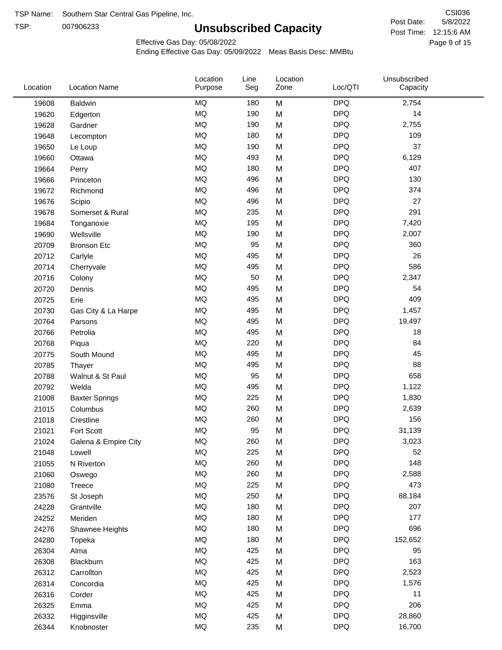TSP: 

# **Unsubscribed Capacity**

5/8/2022 Page 9 of 15 Post Time: 12:15:6 AM CSI036 Post Date:

Effective Gas Day: 05/08/2022

| Location | <b>Location Name</b>  | Location<br>Purpose | Line<br>Seg | Location<br>Zone | Loc/QTI    | Unsubscribed<br>Capacity |
|----------|-----------------------|---------------------|-------------|------------------|------------|--------------------------|
| 19608    | <b>Baldwin</b>        | <b>MQ</b>           | 180         | M                | <b>DPQ</b> | 2,754                    |
| 19620    | Edgerton              | <b>MQ</b>           | 190         | M                | <b>DPQ</b> | 14                       |
| 19628    | Gardner               | <b>MQ</b>           | 190         | M                | <b>DPQ</b> | 2,755                    |
| 19648    | Lecompton             | <b>MQ</b>           | 180         | M                | <b>DPQ</b> | 109                      |
| 19650    | Le Loup               | <b>MQ</b>           | 190         | M                | <b>DPQ</b> | 37                       |
| 19660    | Ottawa                | <b>MQ</b>           | 493         | M                | <b>DPQ</b> | 6,129                    |
| 19664    | Perry                 | <b>MQ</b>           | 180         | M                | <b>DPQ</b> | 407                      |
| 19666    | Princeton             | <b>MQ</b>           | 496         | M                | <b>DPQ</b> | 130                      |
| 19672    | Richmond              | <b>MQ</b>           | 496         | M                | <b>DPQ</b> | 374                      |
| 19676    | Scipio                | <b>MQ</b>           | 496         | M                | <b>DPQ</b> | 27                       |
| 19678    | Somerset & Rural      | <b>MQ</b>           | 235         | M                | <b>DPQ</b> | 291                      |
| 19684    | Tonganoxie            | <b>MQ</b>           | 195         | M                | <b>DPQ</b> | 7,420                    |
| 19690    | Wellsville            | <b>MQ</b>           | 190         | M                | <b>DPQ</b> | 2,007                    |
| 20709    | <b>Bronson Etc</b>    | <b>MQ</b>           | 95          | M                | <b>DPQ</b> | 360                      |
| 20712    | Carlyle               | <b>MQ</b>           | 495         | M                | <b>DPQ</b> | 26                       |
| 20714    | Cherryvale            | <b>MQ</b>           | 495         | M                | <b>DPQ</b> | 586                      |
| 20716    | Colony                | <b>MQ</b>           | 50          | M                | <b>DPQ</b> | 2,347                    |
| 20720    | Dennis                | <b>MQ</b>           | 495         | M                | <b>DPQ</b> | 54                       |
| 20725    | Erie                  | <b>MQ</b>           | 495         | M                | <b>DPQ</b> | 409                      |
| 20730    | Gas City & La Harpe   | MQ                  | 495         | M                | <b>DPQ</b> | 1,457                    |
| 20764    | Parsons               | <b>MQ</b>           | 495         | M                | <b>DPQ</b> | 19,497                   |
| 20766    | Petrolia              | <b>MQ</b>           | 495         | M                | <b>DPQ</b> | 18                       |
| 20768    | Piqua                 | <b>MQ</b>           | 220         | M                | <b>DPQ</b> | 84                       |
| 20775    | South Mound           | <b>MQ</b>           | 495         | M                | <b>DPQ</b> | 45                       |
| 20785    | Thayer                | <b>MQ</b>           | 495         | M                | <b>DPQ</b> | 88                       |
| 20788    | Walnut & St Paul      | <b>MQ</b>           | 95          | M                | <b>DPQ</b> | 658                      |
| 20792    | Welda                 | <b>MQ</b>           | 495         | M                | <b>DPQ</b> | 1,122                    |
| 21008    | <b>Baxter Springs</b> | <b>MQ</b>           | 225         | M                | <b>DPQ</b> | 1,830                    |
| 21015    | Columbus              | <b>MQ</b>           | 260         | M                | <b>DPQ</b> | 2,639                    |
| 21018    | Crestline             | <b>MQ</b>           | 260         | M                | <b>DPQ</b> | 156                      |
| 21021    | Fort Scott            | <b>MQ</b>           | 95          | M                | <b>DPQ</b> | 31,139                   |
| 21024    | Galena & Empire City  | <b>MQ</b>           | 260         | M                | <b>DPQ</b> | 3,023                    |
| 21048    | Lowell                | MQ                  | 225         | M                | <b>DPQ</b> | 52                       |
| 21055    | N Riverton            | <b>MQ</b>           | 260         | M                | <b>DPQ</b> | 148                      |
| 21060    | Oswego                | <b>MQ</b>           | 260         | M                | <b>DPQ</b> | 2,588                    |
| 21080    | Treece                | <b>MQ</b>           | 225         | M                | <b>DPQ</b> | 473                      |
| 23576    | St Joseph             | <b>MQ</b>           | 250         | M                | <b>DPQ</b> | 88,184                   |
| 24228    | Grantville            | <b>MQ</b>           | 180         | M                | <b>DPQ</b> | 207                      |
| 24252    | Meriden               | <b>MQ</b>           | 180         | M                | <b>DPQ</b> | 177                      |
| 24276    | Shawnee Heights       | <b>MQ</b>           | 180         | M                | <b>DPQ</b> | 696                      |
| 24280    | Topeka                | <b>MQ</b>           | 180         | M                | <b>DPQ</b> | 152,652                  |
| 26304    | Alma                  | <b>MQ</b>           | 425         | M                | <b>DPQ</b> | 95                       |
| 26308    | Blackburn             | <b>MQ</b>           | 425         | M                | <b>DPQ</b> | 163                      |
| 26312    | Carrollton            | <b>MQ</b>           | 425         | M                | <b>DPQ</b> | 2,523                    |
| 26314    | Concordia             | <b>MQ</b>           | 425         | M                | <b>DPQ</b> | 1,576                    |
| 26316    | Corder                | <b>MQ</b>           | 425         | M                | <b>DPQ</b> | 11                       |
| 26325    | Emma                  | <b>MQ</b>           | 425         | M                | <b>DPQ</b> | 206                      |
| 26332    | Higginsville          | <b>MQ</b>           | 425         | M                | <b>DPQ</b> | 28,860                   |
| 26344    | Knobnoster            | <b>MQ</b>           | 235         | M                | <b>DPQ</b> | 16,700                   |
|          |                       |                     |             |                  |            |                          |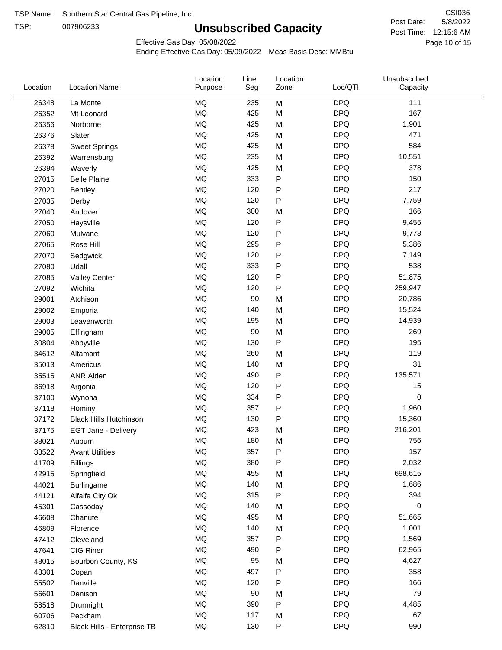TSP:

# **Unsubscribed Capacity**

5/8/2022 Page 10 of 15 Post Time: 12:15:6 AM CSI036 Post Date:

Unsubscribed

Effective Gas Day: 05/08/2022

Location

Ending Effective Gas Day: 05/09/2022 Meas Basis Desc: MMBtu

Line

Location

| Location | <b>Location Name</b>          | Purpose   | Seg | Zone      | Loc/QTI    | Capacity |  |
|----------|-------------------------------|-----------|-----|-----------|------------|----------|--|
| 26348    | La Monte                      | <b>MQ</b> | 235 | M         | <b>DPQ</b> | 111      |  |
| 26352    | Mt Leonard                    | MQ        | 425 | M         | <b>DPQ</b> | 167      |  |
| 26356    | Norborne                      | MQ        | 425 | M         | <b>DPQ</b> | 1,901    |  |
| 26376    | Slater                        | MQ        | 425 | M         | <b>DPQ</b> | 471      |  |
| 26378    | <b>Sweet Springs</b>          | <b>MQ</b> | 425 | M         | <b>DPQ</b> | 584      |  |
| 26392    | Warrensburg                   | <b>MQ</b> | 235 | M         | <b>DPQ</b> | 10,551   |  |
| 26394    | Waverly                       | <b>MQ</b> | 425 | M         | <b>DPQ</b> | 378      |  |
| 27015    | <b>Belle Plaine</b>           | MQ        | 333 | P         | <b>DPQ</b> | 150      |  |
| 27020    | <b>Bentley</b>                | MQ        | 120 | P         | <b>DPQ</b> | 217      |  |
| 27035    | Derby                         | <b>MQ</b> | 120 | P         | <b>DPQ</b> | 7,759    |  |
| 27040    | Andover                       | <b>MQ</b> | 300 | M         | <b>DPQ</b> | 166      |  |
| 27050    | Haysville                     | MQ        | 120 | P         | <b>DPQ</b> | 9,455    |  |
| 27060    | Mulvane                       | MQ        | 120 | P         | <b>DPQ</b> | 9,778    |  |
| 27065    | Rose Hill                     | <b>MQ</b> | 295 | P         | <b>DPQ</b> | 5,386    |  |
| 27070    | Sedgwick                      | MQ        | 120 | ${\sf P}$ | <b>DPQ</b> | 7,149    |  |
| 27080    | Udall                         | MQ        | 333 | P         | <b>DPQ</b> | 538      |  |
| 27085    | <b>Valley Center</b>          | MQ        | 120 | ${\sf P}$ | <b>DPQ</b> | 51,875   |  |
| 27092    | Wichita                       | MQ        | 120 | P         | <b>DPQ</b> | 259,947  |  |
| 29001    | Atchison                      | <b>MQ</b> | 90  | M         | <b>DPQ</b> | 20,786   |  |
| 29002    | Emporia                       | <b>MQ</b> | 140 | M         | <b>DPQ</b> | 15,524   |  |
| 29003    | Leavenworth                   | MQ        | 195 | M         | <b>DPQ</b> | 14,939   |  |
| 29005    | Effingham                     | MQ        | 90  | M         | <b>DPQ</b> | 269      |  |
| 30804    | Abbyville                     | MQ        | 130 | P         | <b>DPQ</b> | 195      |  |
| 34612    | Altamont                      | <b>MQ</b> | 260 | M         | <b>DPQ</b> | 119      |  |
| 35013    | Americus                      | <b>MQ</b> | 140 | M         | <b>DPQ</b> | 31       |  |
| 35515    | <b>ANR Alden</b>              | MQ        | 490 | P         | <b>DPQ</b> | 135,571  |  |
| 36918    | Argonia                       | <b>MQ</b> | 120 | P         | <b>DPQ</b> | 15       |  |
| 37100    | Wynona                        | <b>MQ</b> | 334 | P         | <b>DPQ</b> | 0        |  |
| 37118    | Hominy                        | <b>MQ</b> | 357 | P         | <b>DPQ</b> | 1,960    |  |
| 37172    | <b>Black Hills Hutchinson</b> | MQ        | 130 | P         | <b>DPQ</b> | 15,360   |  |
| 37175    | EGT Jane - Delivery           | MQ        | 423 | M         | <b>DPQ</b> | 216,201  |  |
| 38021    | Auburn                        | MQ        | 180 | M         | <b>DPQ</b> | 756      |  |
| 38522    | <b>Avant Utilities</b>        | $\sf{MQ}$ | 357 | P         | <b>DPQ</b> | 157      |  |
| 41709    | Billings                      | MQ        | 380 | P         | <b>DPQ</b> | 2,032    |  |
| 42915    | Springfield                   | $\sf{MQ}$ | 455 | M         | <b>DPQ</b> | 698,615  |  |
| 44021    | <b>Burlingame</b>             | MQ        | 140 | M         | <b>DPQ</b> | 1,686    |  |
| 44121    | Alfalfa City Ok               | MQ        | 315 | P         | <b>DPQ</b> | 394      |  |
| 45301    | Cassoday                      | MQ        | 140 | M         | <b>DPQ</b> | 0        |  |
| 46608    | Chanute                       | MQ        | 495 | M         | <b>DPQ</b> | 51,665   |  |
| 46809    | Florence                      | $\sf{MQ}$ | 140 | M         | <b>DPQ</b> | 1,001    |  |
| 47412    | Cleveland                     | MQ        | 357 | P         | <b>DPQ</b> | 1,569    |  |
| 47641    | CIG Riner                     | MQ        | 490 | P         | <b>DPQ</b> | 62,965   |  |
| 48015    | Bourbon County, KS            | MQ        | 95  | M         | <b>DPQ</b> | 4,627    |  |
| 48301    | Copan                         | MQ        | 497 | P         | <b>DPQ</b> | 358      |  |
| 55502    | Danville                      | MQ        | 120 | P         | <b>DPQ</b> | 166      |  |
| 56601    | Denison                       | MQ        | 90  | M         | <b>DPQ</b> | 79       |  |
| 58518    | Drumright                     | MQ        | 390 | P         | <b>DPQ</b> | 4,485    |  |
| 60706    | Peckham                       | MQ        | 117 | M         | <b>DPQ</b> | 67       |  |
| 62810    | Black Hills - Enterprise TB   | $\sf{MQ}$ | 130 | P         | <b>DPQ</b> | 990      |  |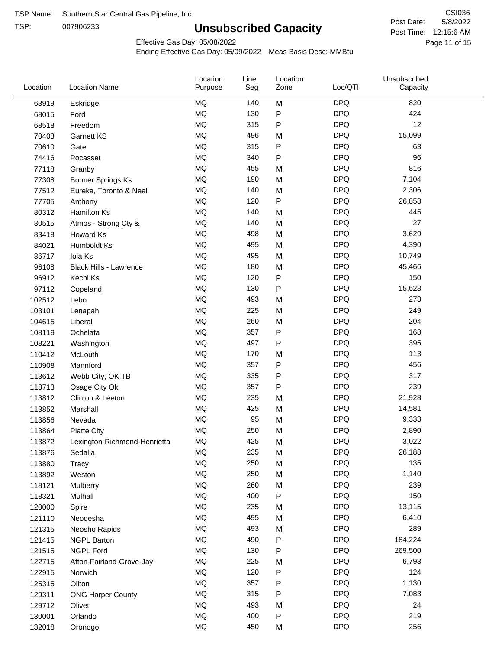TSP:

# **Unsubscribed Capacity**

5/8/2022 Page 11 of 15 Post Time: 12:15:6 AM CSI036 Post Date:

Effective Gas Day: 05/08/2022

| <b>MQ</b><br><b>DPQ</b><br>140<br>M<br>820<br>63919<br>Eskridge<br>MQ<br><b>DPQ</b><br>424<br>130<br>${\sf P}$<br>68015<br>Ford<br><b>MQ</b><br>${\sf P}$<br><b>DPQ</b><br>12<br>315<br>68518<br>Freedom<br><b>MQ</b><br><b>DPQ</b><br>496<br>15,099<br>M<br>70408<br><b>Garnett KS</b><br>$\sf P$<br><b>MQ</b><br>315<br><b>DPQ</b><br>63<br>70610<br>Gate<br><b>MQ</b><br><b>DPQ</b><br>96<br>340<br>$\mathsf{P}$<br>74416<br>Pocasset<br>MQ<br><b>DPQ</b><br>816<br>455<br>M<br>77118<br>Granby<br><b>MQ</b><br><b>DPQ</b><br>190<br>7,104<br><b>Bonner Springs Ks</b><br>M<br>77308<br><b>MQ</b><br><b>DPQ</b><br>140<br>M<br>77512<br>Eureka, Toronto & Neal<br>2,306<br>$\sf P$<br><b>MQ</b><br><b>DPQ</b><br>120<br>26,858<br>77705<br>Anthony<br><b>MQ</b><br><b>DPQ</b><br>140<br>445<br>80312<br>M<br><b>Hamilton Ks</b><br>MQ<br><b>DPQ</b><br>27<br>140<br>M<br>80515<br>Atmos - Strong Cty &<br>MQ<br><b>DPQ</b><br>498<br>3,629<br>83418<br>Howard Ks<br>M<br><b>MQ</b><br><b>DPQ</b><br>495<br>M<br>4,390<br>84021<br>Humboldt Ks<br><b>MQ</b><br><b>DPQ</b><br>495<br>10,749<br>86717<br>Iola Ks<br>M<br>MQ<br><b>DPQ</b><br>180<br>M<br>45,466<br>96108<br><b>Black Hills - Lawrence</b><br><b>MQ</b><br>${\sf P}$<br><b>DPQ</b><br>150<br>120<br>96912<br>Kechi Ks<br><b>MQ</b><br><b>DPQ</b><br>130<br>P<br>15,628<br>97112<br>Copeland<br><b>MQ</b><br><b>DPQ</b><br>493<br>273<br>M<br>102512<br>Lebo<br><b>MQ</b><br><b>DPQ</b><br>249<br>225<br>M<br>103101<br>Lenapah<br>MQ<br><b>DPQ</b><br>204<br>260<br>104615<br>M<br>Liberal<br><b>MQ</b><br>357<br>${\sf P}$<br><b>DPQ</b><br>168<br>108119<br>Ochelata<br><b>MQ</b><br><b>DPQ</b><br>395<br>497<br>$\mathsf{P}$<br>108221<br>Washington<br><b>MQ</b><br><b>DPQ</b><br>113<br>110412<br>170<br>M<br>McLouth<br><b>MQ</b><br><b>DPQ</b><br>456<br>357<br>Ρ<br>110908<br>Mannford<br><b>MQ</b><br><b>DPQ</b><br>317<br>335<br>$\mathsf{P}$<br>113612<br>Webb City, OK TB<br><b>MQ</b><br><b>DPQ</b><br>239<br>357<br>P<br>113713<br>Osage City Ok<br>MQ<br><b>DPQ</b><br>235<br>113812<br>Clinton & Leeton<br>M<br>21,928<br>MQ<br><b>DPQ</b><br>425<br>M<br>14,581<br>113852<br>Marshall<br>MQ<br>95<br><b>DPQ</b><br>9,333<br>M<br>113856<br>Nevada<br>MQ<br>250<br><b>DPQ</b><br>M<br>2,890<br>113864<br><b>Platte City</b><br>MQ<br>425<br><b>DPQ</b><br>3,022<br>113872<br>M<br>Lexington-Richmond-Henrietta<br>26,188<br>ΜQ<br>235<br>M<br><b>DPQ</b><br>113876<br>Sedalia<br>MQ<br><b>DPQ</b><br>135<br>250<br>M<br>113880<br>Tracy<br>MQ<br><b>DPQ</b><br>250<br>M<br>1,140<br>113892<br>Weston<br>MQ<br>260<br><b>DPQ</b><br>239<br>118121<br>M<br>Mulberry<br>MQ<br>${\sf P}$<br><b>DPQ</b><br>400<br>150<br>118321<br>Mulhall<br>MQ<br><b>DPQ</b><br>13,115<br>235<br>M<br>120000<br>Spire<br>MQ<br><b>DPQ</b><br>495<br>6,410<br>121110<br>M<br>Neodesha<br>MQ<br><b>DPQ</b><br>289<br>493<br>M<br>121315<br>Neosho Rapids<br>MQ<br>490<br><b>DPQ</b><br>184,224<br>P<br>121415<br><b>NGPL Barton</b><br>MQ<br>${\sf P}$<br><b>DPQ</b><br>130<br>269,500<br>121515<br>NGPL Ford<br>MQ<br><b>DPQ</b><br>6,793<br>225<br>122715<br>Afton-Fairland-Grove-Jay<br>M<br>${\sf P}$<br><b>DPQ</b><br>124<br>MQ<br>120<br>122915<br>Norwich<br>MQ<br>357<br>${\sf P}$<br><b>DPQ</b><br>1,130<br>125315<br>Oilton<br>MQ<br><b>DPQ</b><br>315<br>P<br>7,083<br>129311<br><b>ONG Harper County</b><br>MQ<br><b>DPQ</b><br>493<br>24<br>129712<br>Olivet<br>M<br>MQ<br><b>DPQ</b><br>219<br>400<br>P<br>130001<br>Orlando<br>$\sf{MQ}$<br><b>DPQ</b><br>450<br>256<br>M<br>132018<br>Oronogo | Location | <b>Location Name</b> | Location<br>Purpose | Line<br>Seg | Location<br>Zone | Loc/QTI | Unsubscribed<br>Capacity |  |
|-------------------------------------------------------------------------------------------------------------------------------------------------------------------------------------------------------------------------------------------------------------------------------------------------------------------------------------------------------------------------------------------------------------------------------------------------------------------------------------------------------------------------------------------------------------------------------------------------------------------------------------------------------------------------------------------------------------------------------------------------------------------------------------------------------------------------------------------------------------------------------------------------------------------------------------------------------------------------------------------------------------------------------------------------------------------------------------------------------------------------------------------------------------------------------------------------------------------------------------------------------------------------------------------------------------------------------------------------------------------------------------------------------------------------------------------------------------------------------------------------------------------------------------------------------------------------------------------------------------------------------------------------------------------------------------------------------------------------------------------------------------------------------------------------------------------------------------------------------------------------------------------------------------------------------------------------------------------------------------------------------------------------------------------------------------------------------------------------------------------------------------------------------------------------------------------------------------------------------------------------------------------------------------------------------------------------------------------------------------------------------------------------------------------------------------------------------------------------------------------------------------------------------------------------------------------------------------------------------------------------------------------------------------------------------------------------------------------------------------------------------------------------------------------------------------------------------------------------------------------------------------------------------------------------------------------------------------------------------------------------------------------------------------------------------------------------------------------------------------------------------------------------------------------------------------------------------------------------------------------------------------------------------------------------------------------------------------------------------------------------------------------------------------------------------------------------------------------------------------------------------------------------------------------------------------------------|----------|----------------------|---------------------|-------------|------------------|---------|--------------------------|--|
|                                                                                                                                                                                                                                                                                                                                                                                                                                                                                                                                                                                                                                                                                                                                                                                                                                                                                                                                                                                                                                                                                                                                                                                                                                                                                                                                                                                                                                                                                                                                                                                                                                                                                                                                                                                                                                                                                                                                                                                                                                                                                                                                                                                                                                                                                                                                                                                                                                                                                                                                                                                                                                                                                                                                                                                                                                                                                                                                                                                                                                                                                                                                                                                                                                                                                                                                                                                                                                                                                                                                                                         |          |                      |                     |             |                  |         |                          |  |
|                                                                                                                                                                                                                                                                                                                                                                                                                                                                                                                                                                                                                                                                                                                                                                                                                                                                                                                                                                                                                                                                                                                                                                                                                                                                                                                                                                                                                                                                                                                                                                                                                                                                                                                                                                                                                                                                                                                                                                                                                                                                                                                                                                                                                                                                                                                                                                                                                                                                                                                                                                                                                                                                                                                                                                                                                                                                                                                                                                                                                                                                                                                                                                                                                                                                                                                                                                                                                                                                                                                                                                         |          |                      |                     |             |                  |         |                          |  |
|                                                                                                                                                                                                                                                                                                                                                                                                                                                                                                                                                                                                                                                                                                                                                                                                                                                                                                                                                                                                                                                                                                                                                                                                                                                                                                                                                                                                                                                                                                                                                                                                                                                                                                                                                                                                                                                                                                                                                                                                                                                                                                                                                                                                                                                                                                                                                                                                                                                                                                                                                                                                                                                                                                                                                                                                                                                                                                                                                                                                                                                                                                                                                                                                                                                                                                                                                                                                                                                                                                                                                                         |          |                      |                     |             |                  |         |                          |  |
|                                                                                                                                                                                                                                                                                                                                                                                                                                                                                                                                                                                                                                                                                                                                                                                                                                                                                                                                                                                                                                                                                                                                                                                                                                                                                                                                                                                                                                                                                                                                                                                                                                                                                                                                                                                                                                                                                                                                                                                                                                                                                                                                                                                                                                                                                                                                                                                                                                                                                                                                                                                                                                                                                                                                                                                                                                                                                                                                                                                                                                                                                                                                                                                                                                                                                                                                                                                                                                                                                                                                                                         |          |                      |                     |             |                  |         |                          |  |
|                                                                                                                                                                                                                                                                                                                                                                                                                                                                                                                                                                                                                                                                                                                                                                                                                                                                                                                                                                                                                                                                                                                                                                                                                                                                                                                                                                                                                                                                                                                                                                                                                                                                                                                                                                                                                                                                                                                                                                                                                                                                                                                                                                                                                                                                                                                                                                                                                                                                                                                                                                                                                                                                                                                                                                                                                                                                                                                                                                                                                                                                                                                                                                                                                                                                                                                                                                                                                                                                                                                                                                         |          |                      |                     |             |                  |         |                          |  |
|                                                                                                                                                                                                                                                                                                                                                                                                                                                                                                                                                                                                                                                                                                                                                                                                                                                                                                                                                                                                                                                                                                                                                                                                                                                                                                                                                                                                                                                                                                                                                                                                                                                                                                                                                                                                                                                                                                                                                                                                                                                                                                                                                                                                                                                                                                                                                                                                                                                                                                                                                                                                                                                                                                                                                                                                                                                                                                                                                                                                                                                                                                                                                                                                                                                                                                                                                                                                                                                                                                                                                                         |          |                      |                     |             |                  |         |                          |  |
|                                                                                                                                                                                                                                                                                                                                                                                                                                                                                                                                                                                                                                                                                                                                                                                                                                                                                                                                                                                                                                                                                                                                                                                                                                                                                                                                                                                                                                                                                                                                                                                                                                                                                                                                                                                                                                                                                                                                                                                                                                                                                                                                                                                                                                                                                                                                                                                                                                                                                                                                                                                                                                                                                                                                                                                                                                                                                                                                                                                                                                                                                                                                                                                                                                                                                                                                                                                                                                                                                                                                                                         |          |                      |                     |             |                  |         |                          |  |
|                                                                                                                                                                                                                                                                                                                                                                                                                                                                                                                                                                                                                                                                                                                                                                                                                                                                                                                                                                                                                                                                                                                                                                                                                                                                                                                                                                                                                                                                                                                                                                                                                                                                                                                                                                                                                                                                                                                                                                                                                                                                                                                                                                                                                                                                                                                                                                                                                                                                                                                                                                                                                                                                                                                                                                                                                                                                                                                                                                                                                                                                                                                                                                                                                                                                                                                                                                                                                                                                                                                                                                         |          |                      |                     |             |                  |         |                          |  |
|                                                                                                                                                                                                                                                                                                                                                                                                                                                                                                                                                                                                                                                                                                                                                                                                                                                                                                                                                                                                                                                                                                                                                                                                                                                                                                                                                                                                                                                                                                                                                                                                                                                                                                                                                                                                                                                                                                                                                                                                                                                                                                                                                                                                                                                                                                                                                                                                                                                                                                                                                                                                                                                                                                                                                                                                                                                                                                                                                                                                                                                                                                                                                                                                                                                                                                                                                                                                                                                                                                                                                                         |          |                      |                     |             |                  |         |                          |  |
|                                                                                                                                                                                                                                                                                                                                                                                                                                                                                                                                                                                                                                                                                                                                                                                                                                                                                                                                                                                                                                                                                                                                                                                                                                                                                                                                                                                                                                                                                                                                                                                                                                                                                                                                                                                                                                                                                                                                                                                                                                                                                                                                                                                                                                                                                                                                                                                                                                                                                                                                                                                                                                                                                                                                                                                                                                                                                                                                                                                                                                                                                                                                                                                                                                                                                                                                                                                                                                                                                                                                                                         |          |                      |                     |             |                  |         |                          |  |
|                                                                                                                                                                                                                                                                                                                                                                                                                                                                                                                                                                                                                                                                                                                                                                                                                                                                                                                                                                                                                                                                                                                                                                                                                                                                                                                                                                                                                                                                                                                                                                                                                                                                                                                                                                                                                                                                                                                                                                                                                                                                                                                                                                                                                                                                                                                                                                                                                                                                                                                                                                                                                                                                                                                                                                                                                                                                                                                                                                                                                                                                                                                                                                                                                                                                                                                                                                                                                                                                                                                                                                         |          |                      |                     |             |                  |         |                          |  |
|                                                                                                                                                                                                                                                                                                                                                                                                                                                                                                                                                                                                                                                                                                                                                                                                                                                                                                                                                                                                                                                                                                                                                                                                                                                                                                                                                                                                                                                                                                                                                                                                                                                                                                                                                                                                                                                                                                                                                                                                                                                                                                                                                                                                                                                                                                                                                                                                                                                                                                                                                                                                                                                                                                                                                                                                                                                                                                                                                                                                                                                                                                                                                                                                                                                                                                                                                                                                                                                                                                                                                                         |          |                      |                     |             |                  |         |                          |  |
|                                                                                                                                                                                                                                                                                                                                                                                                                                                                                                                                                                                                                                                                                                                                                                                                                                                                                                                                                                                                                                                                                                                                                                                                                                                                                                                                                                                                                                                                                                                                                                                                                                                                                                                                                                                                                                                                                                                                                                                                                                                                                                                                                                                                                                                                                                                                                                                                                                                                                                                                                                                                                                                                                                                                                                                                                                                                                                                                                                                                                                                                                                                                                                                                                                                                                                                                                                                                                                                                                                                                                                         |          |                      |                     |             |                  |         |                          |  |
|                                                                                                                                                                                                                                                                                                                                                                                                                                                                                                                                                                                                                                                                                                                                                                                                                                                                                                                                                                                                                                                                                                                                                                                                                                                                                                                                                                                                                                                                                                                                                                                                                                                                                                                                                                                                                                                                                                                                                                                                                                                                                                                                                                                                                                                                                                                                                                                                                                                                                                                                                                                                                                                                                                                                                                                                                                                                                                                                                                                                                                                                                                                                                                                                                                                                                                                                                                                                                                                                                                                                                                         |          |                      |                     |             |                  |         |                          |  |
|                                                                                                                                                                                                                                                                                                                                                                                                                                                                                                                                                                                                                                                                                                                                                                                                                                                                                                                                                                                                                                                                                                                                                                                                                                                                                                                                                                                                                                                                                                                                                                                                                                                                                                                                                                                                                                                                                                                                                                                                                                                                                                                                                                                                                                                                                                                                                                                                                                                                                                                                                                                                                                                                                                                                                                                                                                                                                                                                                                                                                                                                                                                                                                                                                                                                                                                                                                                                                                                                                                                                                                         |          |                      |                     |             |                  |         |                          |  |
|                                                                                                                                                                                                                                                                                                                                                                                                                                                                                                                                                                                                                                                                                                                                                                                                                                                                                                                                                                                                                                                                                                                                                                                                                                                                                                                                                                                                                                                                                                                                                                                                                                                                                                                                                                                                                                                                                                                                                                                                                                                                                                                                                                                                                                                                                                                                                                                                                                                                                                                                                                                                                                                                                                                                                                                                                                                                                                                                                                                                                                                                                                                                                                                                                                                                                                                                                                                                                                                                                                                                                                         |          |                      |                     |             |                  |         |                          |  |
|                                                                                                                                                                                                                                                                                                                                                                                                                                                                                                                                                                                                                                                                                                                                                                                                                                                                                                                                                                                                                                                                                                                                                                                                                                                                                                                                                                                                                                                                                                                                                                                                                                                                                                                                                                                                                                                                                                                                                                                                                                                                                                                                                                                                                                                                                                                                                                                                                                                                                                                                                                                                                                                                                                                                                                                                                                                                                                                                                                                                                                                                                                                                                                                                                                                                                                                                                                                                                                                                                                                                                                         |          |                      |                     |             |                  |         |                          |  |
|                                                                                                                                                                                                                                                                                                                                                                                                                                                                                                                                                                                                                                                                                                                                                                                                                                                                                                                                                                                                                                                                                                                                                                                                                                                                                                                                                                                                                                                                                                                                                                                                                                                                                                                                                                                                                                                                                                                                                                                                                                                                                                                                                                                                                                                                                                                                                                                                                                                                                                                                                                                                                                                                                                                                                                                                                                                                                                                                                                                                                                                                                                                                                                                                                                                                                                                                                                                                                                                                                                                                                                         |          |                      |                     |             |                  |         |                          |  |
|                                                                                                                                                                                                                                                                                                                                                                                                                                                                                                                                                                                                                                                                                                                                                                                                                                                                                                                                                                                                                                                                                                                                                                                                                                                                                                                                                                                                                                                                                                                                                                                                                                                                                                                                                                                                                                                                                                                                                                                                                                                                                                                                                                                                                                                                                                                                                                                                                                                                                                                                                                                                                                                                                                                                                                                                                                                                                                                                                                                                                                                                                                                                                                                                                                                                                                                                                                                                                                                                                                                                                                         |          |                      |                     |             |                  |         |                          |  |
|                                                                                                                                                                                                                                                                                                                                                                                                                                                                                                                                                                                                                                                                                                                                                                                                                                                                                                                                                                                                                                                                                                                                                                                                                                                                                                                                                                                                                                                                                                                                                                                                                                                                                                                                                                                                                                                                                                                                                                                                                                                                                                                                                                                                                                                                                                                                                                                                                                                                                                                                                                                                                                                                                                                                                                                                                                                                                                                                                                                                                                                                                                                                                                                                                                                                                                                                                                                                                                                                                                                                                                         |          |                      |                     |             |                  |         |                          |  |
|                                                                                                                                                                                                                                                                                                                                                                                                                                                                                                                                                                                                                                                                                                                                                                                                                                                                                                                                                                                                                                                                                                                                                                                                                                                                                                                                                                                                                                                                                                                                                                                                                                                                                                                                                                                                                                                                                                                                                                                                                                                                                                                                                                                                                                                                                                                                                                                                                                                                                                                                                                                                                                                                                                                                                                                                                                                                                                                                                                                                                                                                                                                                                                                                                                                                                                                                                                                                                                                                                                                                                                         |          |                      |                     |             |                  |         |                          |  |
|                                                                                                                                                                                                                                                                                                                                                                                                                                                                                                                                                                                                                                                                                                                                                                                                                                                                                                                                                                                                                                                                                                                                                                                                                                                                                                                                                                                                                                                                                                                                                                                                                                                                                                                                                                                                                                                                                                                                                                                                                                                                                                                                                                                                                                                                                                                                                                                                                                                                                                                                                                                                                                                                                                                                                                                                                                                                                                                                                                                                                                                                                                                                                                                                                                                                                                                                                                                                                                                                                                                                                                         |          |                      |                     |             |                  |         |                          |  |
|                                                                                                                                                                                                                                                                                                                                                                                                                                                                                                                                                                                                                                                                                                                                                                                                                                                                                                                                                                                                                                                                                                                                                                                                                                                                                                                                                                                                                                                                                                                                                                                                                                                                                                                                                                                                                                                                                                                                                                                                                                                                                                                                                                                                                                                                                                                                                                                                                                                                                                                                                                                                                                                                                                                                                                                                                                                                                                                                                                                                                                                                                                                                                                                                                                                                                                                                                                                                                                                                                                                                                                         |          |                      |                     |             |                  |         |                          |  |
|                                                                                                                                                                                                                                                                                                                                                                                                                                                                                                                                                                                                                                                                                                                                                                                                                                                                                                                                                                                                                                                                                                                                                                                                                                                                                                                                                                                                                                                                                                                                                                                                                                                                                                                                                                                                                                                                                                                                                                                                                                                                                                                                                                                                                                                                                                                                                                                                                                                                                                                                                                                                                                                                                                                                                                                                                                                                                                                                                                                                                                                                                                                                                                                                                                                                                                                                                                                                                                                                                                                                                                         |          |                      |                     |             |                  |         |                          |  |
|                                                                                                                                                                                                                                                                                                                                                                                                                                                                                                                                                                                                                                                                                                                                                                                                                                                                                                                                                                                                                                                                                                                                                                                                                                                                                                                                                                                                                                                                                                                                                                                                                                                                                                                                                                                                                                                                                                                                                                                                                                                                                                                                                                                                                                                                                                                                                                                                                                                                                                                                                                                                                                                                                                                                                                                                                                                                                                                                                                                                                                                                                                                                                                                                                                                                                                                                                                                                                                                                                                                                                                         |          |                      |                     |             |                  |         |                          |  |
|                                                                                                                                                                                                                                                                                                                                                                                                                                                                                                                                                                                                                                                                                                                                                                                                                                                                                                                                                                                                                                                                                                                                                                                                                                                                                                                                                                                                                                                                                                                                                                                                                                                                                                                                                                                                                                                                                                                                                                                                                                                                                                                                                                                                                                                                                                                                                                                                                                                                                                                                                                                                                                                                                                                                                                                                                                                                                                                                                                                                                                                                                                                                                                                                                                                                                                                                                                                                                                                                                                                                                                         |          |                      |                     |             |                  |         |                          |  |
|                                                                                                                                                                                                                                                                                                                                                                                                                                                                                                                                                                                                                                                                                                                                                                                                                                                                                                                                                                                                                                                                                                                                                                                                                                                                                                                                                                                                                                                                                                                                                                                                                                                                                                                                                                                                                                                                                                                                                                                                                                                                                                                                                                                                                                                                                                                                                                                                                                                                                                                                                                                                                                                                                                                                                                                                                                                                                                                                                                                                                                                                                                                                                                                                                                                                                                                                                                                                                                                                                                                                                                         |          |                      |                     |             |                  |         |                          |  |
|                                                                                                                                                                                                                                                                                                                                                                                                                                                                                                                                                                                                                                                                                                                                                                                                                                                                                                                                                                                                                                                                                                                                                                                                                                                                                                                                                                                                                                                                                                                                                                                                                                                                                                                                                                                                                                                                                                                                                                                                                                                                                                                                                                                                                                                                                                                                                                                                                                                                                                                                                                                                                                                                                                                                                                                                                                                                                                                                                                                                                                                                                                                                                                                                                                                                                                                                                                                                                                                                                                                                                                         |          |                      |                     |             |                  |         |                          |  |
|                                                                                                                                                                                                                                                                                                                                                                                                                                                                                                                                                                                                                                                                                                                                                                                                                                                                                                                                                                                                                                                                                                                                                                                                                                                                                                                                                                                                                                                                                                                                                                                                                                                                                                                                                                                                                                                                                                                                                                                                                                                                                                                                                                                                                                                                                                                                                                                                                                                                                                                                                                                                                                                                                                                                                                                                                                                                                                                                                                                                                                                                                                                                                                                                                                                                                                                                                                                                                                                                                                                                                                         |          |                      |                     |             |                  |         |                          |  |
|                                                                                                                                                                                                                                                                                                                                                                                                                                                                                                                                                                                                                                                                                                                                                                                                                                                                                                                                                                                                                                                                                                                                                                                                                                                                                                                                                                                                                                                                                                                                                                                                                                                                                                                                                                                                                                                                                                                                                                                                                                                                                                                                                                                                                                                                                                                                                                                                                                                                                                                                                                                                                                                                                                                                                                                                                                                                                                                                                                                                                                                                                                                                                                                                                                                                                                                                                                                                                                                                                                                                                                         |          |                      |                     |             |                  |         |                          |  |
|                                                                                                                                                                                                                                                                                                                                                                                                                                                                                                                                                                                                                                                                                                                                                                                                                                                                                                                                                                                                                                                                                                                                                                                                                                                                                                                                                                                                                                                                                                                                                                                                                                                                                                                                                                                                                                                                                                                                                                                                                                                                                                                                                                                                                                                                                                                                                                                                                                                                                                                                                                                                                                                                                                                                                                                                                                                                                                                                                                                                                                                                                                                                                                                                                                                                                                                                                                                                                                                                                                                                                                         |          |                      |                     |             |                  |         |                          |  |
|                                                                                                                                                                                                                                                                                                                                                                                                                                                                                                                                                                                                                                                                                                                                                                                                                                                                                                                                                                                                                                                                                                                                                                                                                                                                                                                                                                                                                                                                                                                                                                                                                                                                                                                                                                                                                                                                                                                                                                                                                                                                                                                                                                                                                                                                                                                                                                                                                                                                                                                                                                                                                                                                                                                                                                                                                                                                                                                                                                                                                                                                                                                                                                                                                                                                                                                                                                                                                                                                                                                                                                         |          |                      |                     |             |                  |         |                          |  |
|                                                                                                                                                                                                                                                                                                                                                                                                                                                                                                                                                                                                                                                                                                                                                                                                                                                                                                                                                                                                                                                                                                                                                                                                                                                                                                                                                                                                                                                                                                                                                                                                                                                                                                                                                                                                                                                                                                                                                                                                                                                                                                                                                                                                                                                                                                                                                                                                                                                                                                                                                                                                                                                                                                                                                                                                                                                                                                                                                                                                                                                                                                                                                                                                                                                                                                                                                                                                                                                                                                                                                                         |          |                      |                     |             |                  |         |                          |  |
|                                                                                                                                                                                                                                                                                                                                                                                                                                                                                                                                                                                                                                                                                                                                                                                                                                                                                                                                                                                                                                                                                                                                                                                                                                                                                                                                                                                                                                                                                                                                                                                                                                                                                                                                                                                                                                                                                                                                                                                                                                                                                                                                                                                                                                                                                                                                                                                                                                                                                                                                                                                                                                                                                                                                                                                                                                                                                                                                                                                                                                                                                                                                                                                                                                                                                                                                                                                                                                                                                                                                                                         |          |                      |                     |             |                  |         |                          |  |
|                                                                                                                                                                                                                                                                                                                                                                                                                                                                                                                                                                                                                                                                                                                                                                                                                                                                                                                                                                                                                                                                                                                                                                                                                                                                                                                                                                                                                                                                                                                                                                                                                                                                                                                                                                                                                                                                                                                                                                                                                                                                                                                                                                                                                                                                                                                                                                                                                                                                                                                                                                                                                                                                                                                                                                                                                                                                                                                                                                                                                                                                                                                                                                                                                                                                                                                                                                                                                                                                                                                                                                         |          |                      |                     |             |                  |         |                          |  |
|                                                                                                                                                                                                                                                                                                                                                                                                                                                                                                                                                                                                                                                                                                                                                                                                                                                                                                                                                                                                                                                                                                                                                                                                                                                                                                                                                                                                                                                                                                                                                                                                                                                                                                                                                                                                                                                                                                                                                                                                                                                                                                                                                                                                                                                                                                                                                                                                                                                                                                                                                                                                                                                                                                                                                                                                                                                                                                                                                                                                                                                                                                                                                                                                                                                                                                                                                                                                                                                                                                                                                                         |          |                      |                     |             |                  |         |                          |  |
|                                                                                                                                                                                                                                                                                                                                                                                                                                                                                                                                                                                                                                                                                                                                                                                                                                                                                                                                                                                                                                                                                                                                                                                                                                                                                                                                                                                                                                                                                                                                                                                                                                                                                                                                                                                                                                                                                                                                                                                                                                                                                                                                                                                                                                                                                                                                                                                                                                                                                                                                                                                                                                                                                                                                                                                                                                                                                                                                                                                                                                                                                                                                                                                                                                                                                                                                                                                                                                                                                                                                                                         |          |                      |                     |             |                  |         |                          |  |
|                                                                                                                                                                                                                                                                                                                                                                                                                                                                                                                                                                                                                                                                                                                                                                                                                                                                                                                                                                                                                                                                                                                                                                                                                                                                                                                                                                                                                                                                                                                                                                                                                                                                                                                                                                                                                                                                                                                                                                                                                                                                                                                                                                                                                                                                                                                                                                                                                                                                                                                                                                                                                                                                                                                                                                                                                                                                                                                                                                                                                                                                                                                                                                                                                                                                                                                                                                                                                                                                                                                                                                         |          |                      |                     |             |                  |         |                          |  |
|                                                                                                                                                                                                                                                                                                                                                                                                                                                                                                                                                                                                                                                                                                                                                                                                                                                                                                                                                                                                                                                                                                                                                                                                                                                                                                                                                                                                                                                                                                                                                                                                                                                                                                                                                                                                                                                                                                                                                                                                                                                                                                                                                                                                                                                                                                                                                                                                                                                                                                                                                                                                                                                                                                                                                                                                                                                                                                                                                                                                                                                                                                                                                                                                                                                                                                                                                                                                                                                                                                                                                                         |          |                      |                     |             |                  |         |                          |  |
|                                                                                                                                                                                                                                                                                                                                                                                                                                                                                                                                                                                                                                                                                                                                                                                                                                                                                                                                                                                                                                                                                                                                                                                                                                                                                                                                                                                                                                                                                                                                                                                                                                                                                                                                                                                                                                                                                                                                                                                                                                                                                                                                                                                                                                                                                                                                                                                                                                                                                                                                                                                                                                                                                                                                                                                                                                                                                                                                                                                                                                                                                                                                                                                                                                                                                                                                                                                                                                                                                                                                                                         |          |                      |                     |             |                  |         |                          |  |
|                                                                                                                                                                                                                                                                                                                                                                                                                                                                                                                                                                                                                                                                                                                                                                                                                                                                                                                                                                                                                                                                                                                                                                                                                                                                                                                                                                                                                                                                                                                                                                                                                                                                                                                                                                                                                                                                                                                                                                                                                                                                                                                                                                                                                                                                                                                                                                                                                                                                                                                                                                                                                                                                                                                                                                                                                                                                                                                                                                                                                                                                                                                                                                                                                                                                                                                                                                                                                                                                                                                                                                         |          |                      |                     |             |                  |         |                          |  |
|                                                                                                                                                                                                                                                                                                                                                                                                                                                                                                                                                                                                                                                                                                                                                                                                                                                                                                                                                                                                                                                                                                                                                                                                                                                                                                                                                                                                                                                                                                                                                                                                                                                                                                                                                                                                                                                                                                                                                                                                                                                                                                                                                                                                                                                                                                                                                                                                                                                                                                                                                                                                                                                                                                                                                                                                                                                                                                                                                                                                                                                                                                                                                                                                                                                                                                                                                                                                                                                                                                                                                                         |          |                      |                     |             |                  |         |                          |  |
|                                                                                                                                                                                                                                                                                                                                                                                                                                                                                                                                                                                                                                                                                                                                                                                                                                                                                                                                                                                                                                                                                                                                                                                                                                                                                                                                                                                                                                                                                                                                                                                                                                                                                                                                                                                                                                                                                                                                                                                                                                                                                                                                                                                                                                                                                                                                                                                                                                                                                                                                                                                                                                                                                                                                                                                                                                                                                                                                                                                                                                                                                                                                                                                                                                                                                                                                                                                                                                                                                                                                                                         |          |                      |                     |             |                  |         |                          |  |
|                                                                                                                                                                                                                                                                                                                                                                                                                                                                                                                                                                                                                                                                                                                                                                                                                                                                                                                                                                                                                                                                                                                                                                                                                                                                                                                                                                                                                                                                                                                                                                                                                                                                                                                                                                                                                                                                                                                                                                                                                                                                                                                                                                                                                                                                                                                                                                                                                                                                                                                                                                                                                                                                                                                                                                                                                                                                                                                                                                                                                                                                                                                                                                                                                                                                                                                                                                                                                                                                                                                                                                         |          |                      |                     |             |                  |         |                          |  |
|                                                                                                                                                                                                                                                                                                                                                                                                                                                                                                                                                                                                                                                                                                                                                                                                                                                                                                                                                                                                                                                                                                                                                                                                                                                                                                                                                                                                                                                                                                                                                                                                                                                                                                                                                                                                                                                                                                                                                                                                                                                                                                                                                                                                                                                                                                                                                                                                                                                                                                                                                                                                                                                                                                                                                                                                                                                                                                                                                                                                                                                                                                                                                                                                                                                                                                                                                                                                                                                                                                                                                                         |          |                      |                     |             |                  |         |                          |  |
|                                                                                                                                                                                                                                                                                                                                                                                                                                                                                                                                                                                                                                                                                                                                                                                                                                                                                                                                                                                                                                                                                                                                                                                                                                                                                                                                                                                                                                                                                                                                                                                                                                                                                                                                                                                                                                                                                                                                                                                                                                                                                                                                                                                                                                                                                                                                                                                                                                                                                                                                                                                                                                                                                                                                                                                                                                                                                                                                                                                                                                                                                                                                                                                                                                                                                                                                                                                                                                                                                                                                                                         |          |                      |                     |             |                  |         |                          |  |
|                                                                                                                                                                                                                                                                                                                                                                                                                                                                                                                                                                                                                                                                                                                                                                                                                                                                                                                                                                                                                                                                                                                                                                                                                                                                                                                                                                                                                                                                                                                                                                                                                                                                                                                                                                                                                                                                                                                                                                                                                                                                                                                                                                                                                                                                                                                                                                                                                                                                                                                                                                                                                                                                                                                                                                                                                                                                                                                                                                                                                                                                                                                                                                                                                                                                                                                                                                                                                                                                                                                                                                         |          |                      |                     |             |                  |         |                          |  |
|                                                                                                                                                                                                                                                                                                                                                                                                                                                                                                                                                                                                                                                                                                                                                                                                                                                                                                                                                                                                                                                                                                                                                                                                                                                                                                                                                                                                                                                                                                                                                                                                                                                                                                                                                                                                                                                                                                                                                                                                                                                                                                                                                                                                                                                                                                                                                                                                                                                                                                                                                                                                                                                                                                                                                                                                                                                                                                                                                                                                                                                                                                                                                                                                                                                                                                                                                                                                                                                                                                                                                                         |          |                      |                     |             |                  |         |                          |  |
|                                                                                                                                                                                                                                                                                                                                                                                                                                                                                                                                                                                                                                                                                                                                                                                                                                                                                                                                                                                                                                                                                                                                                                                                                                                                                                                                                                                                                                                                                                                                                                                                                                                                                                                                                                                                                                                                                                                                                                                                                                                                                                                                                                                                                                                                                                                                                                                                                                                                                                                                                                                                                                                                                                                                                                                                                                                                                                                                                                                                                                                                                                                                                                                                                                                                                                                                                                                                                                                                                                                                                                         |          |                      |                     |             |                  |         |                          |  |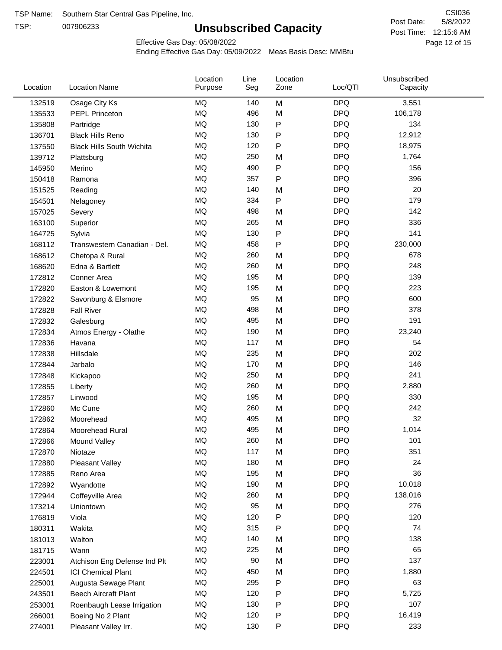TSP:

# **Unsubscribed Capacity**

5/8/2022 Page 12 of 15 Post Time: 12:15:6 AM CSI036 Post Date:

Effective Gas Day: 05/08/2022

| Location | <b>Location Name</b>             | Location<br>Purpose | Line<br>Seg | Location<br>Zone | Loc/QTI    | Unsubscribed<br>Capacity |  |
|----------|----------------------------------|---------------------|-------------|------------------|------------|--------------------------|--|
| 132519   | Osage City Ks                    | MQ                  | 140         | M                | <b>DPQ</b> | 3,551                    |  |
| 135533   | <b>PEPL Princeton</b>            | MQ                  | 496         | M                | <b>DPQ</b> | 106,178                  |  |
| 135808   | Partridge                        | MQ                  | 130         | P                | <b>DPQ</b> | 134                      |  |
| 136701   | <b>Black Hills Reno</b>          | <b>MQ</b>           | 130         | P                | <b>DPQ</b> | 12,912                   |  |
| 137550   | <b>Black Hills South Wichita</b> | <b>MQ</b>           | 120         | P                | <b>DPQ</b> | 18,975                   |  |
| 139712   | Plattsburg                       | <b>MQ</b>           | 250         | M                | <b>DPQ</b> | 1,764                    |  |
| 145950   | Merino                           | <b>MQ</b>           | 490         | P                | <b>DPQ</b> | 156                      |  |
| 150418   | Ramona                           | <b>MQ</b>           | 357         | P                | <b>DPQ</b> | 396                      |  |
| 151525   | Reading                          | MQ                  | 140         | M                | <b>DPQ</b> | 20                       |  |
| 154501   | Nelagoney                        | <b>MQ</b>           | 334         | P                | <b>DPQ</b> | 179                      |  |
| 157025   | Severy                           | MQ                  | 498         | M                | <b>DPQ</b> | 142                      |  |
| 163100   | Superior                         | MQ                  | 265         | M                | <b>DPQ</b> | 336                      |  |
| 164725   | Sylvia                           | <b>MQ</b>           | 130         | P                | <b>DPQ</b> | 141                      |  |
| 168112   | Transwestern Canadian - Del.     | <b>MQ</b>           | 458         | P                | <b>DPQ</b> | 230,000                  |  |
| 168612   | Chetopa & Rural                  | <b>MQ</b>           | 260         | M                | <b>DPQ</b> | 678                      |  |
| 168620   | Edna & Bartlett                  | <b>MQ</b>           | 260         | M                | <b>DPQ</b> | 248                      |  |
| 172812   | Conner Area                      | MQ                  | 195         | M                | <b>DPQ</b> | 139                      |  |
| 172820   | Easton & Lowemont                | MQ                  | 195         | M                | <b>DPQ</b> | 223                      |  |
| 172822   | Savonburg & Elsmore              | <b>MQ</b>           | 95          | M                | <b>DPQ</b> | 600                      |  |
| 172828   | <b>Fall River</b>                | <b>MQ</b>           | 498         | M                | <b>DPQ</b> | 378                      |  |
| 172832   | Galesburg                        | MQ                  | 495         | M                | <b>DPQ</b> | 191                      |  |
| 172834   | Atmos Energy - Olathe            | MQ                  | 190         | M                | <b>DPQ</b> | 23,240                   |  |
| 172836   | Havana                           | MQ                  | 117         | M                | <b>DPQ</b> | 54                       |  |
| 172838   | Hillsdale                        | <b>MQ</b>           | 235         | M                | <b>DPQ</b> | 202                      |  |
| 172844   | Jarbalo                          | <b>MQ</b>           | 170         | M                | <b>DPQ</b> | 146                      |  |
| 172848   | Kickapoo                         | MQ                  | 250         | M                | <b>DPQ</b> | 241                      |  |
| 172855   | Liberty                          | MQ                  | 260         | M                | <b>DPQ</b> | 2,880                    |  |
| 172857   | Linwood                          | MQ                  | 195         | M                | <b>DPQ</b> | 330                      |  |
| 172860   | Mc Cune                          | MQ                  | 260         | M                | <b>DPQ</b> | 242                      |  |
| 172862   | Moorehead                        | MQ                  | 495         | M                | <b>DPQ</b> | 32                       |  |
| 172864   | Moorehead Rural                  | MQ                  | 495         | M                | <b>DPQ</b> | 1,014                    |  |
| 172866   | Mound Valley                     | MQ                  | 260         | M                | <b>DPQ</b> | 101                      |  |
| 172870   | Niotaze                          | MQ                  | 117         | M                | <b>DPQ</b> | 351                      |  |
| 172880   | Pleasant Valley                  | $\sf{MQ}$           | 180         | M                | <b>DPQ</b> | 24                       |  |
| 172885   | Reno Area                        | MQ                  | 195         | M                | <b>DPQ</b> | 36                       |  |
| 172892   | Wyandotte                        | $\sf{MQ}$           | 190         | M                | <b>DPQ</b> | 10,018                   |  |
| 172944   | Coffeyville Area                 | MQ                  | 260         | M                | <b>DPQ</b> | 138,016                  |  |
| 173214   | Uniontown                        | MQ                  | 95          | M                | <b>DPQ</b> | 276                      |  |
| 176819   | Viola                            | MQ                  | 120         | Ρ                | <b>DPQ</b> | 120                      |  |
| 180311   | Wakita                           | MQ                  | 315         | P                | <b>DPQ</b> | 74                       |  |
| 181013   | Walton                           | MQ                  | 140         | M                | <b>DPQ</b> | 138                      |  |
| 181715   | Wann                             | MQ                  | 225         | M                | <b>DPQ</b> | 65                       |  |
| 223001   | Atchison Eng Defense Ind Plt     | $\sf{MQ}$           | 90          | M                | <b>DPQ</b> | 137                      |  |
| 224501   | <b>ICI Chemical Plant</b>        | MQ                  | 450         | M                | <b>DPQ</b> | 1,880                    |  |
| 225001   | Augusta Sewage Plant             | MQ                  | 295         | P                | <b>DPQ</b> | 63                       |  |
| 243501   | <b>Beech Aircraft Plant</b>      | MQ                  | 120         | P                | <b>DPQ</b> | 5,725                    |  |
| 253001   | Roenbaugh Lease Irrigation       | MQ                  | 130         | P                | <b>DPQ</b> | 107                      |  |
| 266001   | Boeing No 2 Plant                | MQ                  | 120         | P                | <b>DPQ</b> | 16,419                   |  |
| 274001   | Pleasant Valley Irr.             | MQ                  | 130         | P                | <b>DPQ</b> | 233                      |  |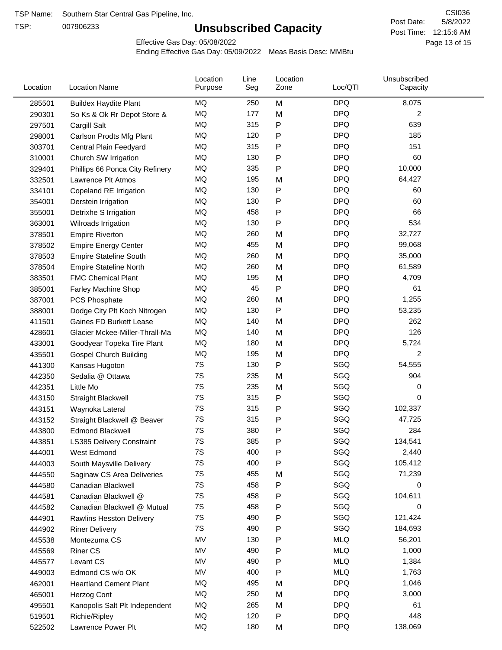TSP:

# **Unsubscribed Capacity**

5/8/2022 Page 13 of 15 Post Time: 12:15:6 AM CSI036 Post Date:

Effective Gas Day: 05/08/2022

| <b>DPQ</b><br>MQ<br>M<br>8,075<br>250<br>285501<br><b>Buildex Haydite Plant</b><br>MQ<br>177<br><b>DPQ</b><br>2<br>M<br>290301<br>So Ks & Ok Rr Depot Store &<br>MQ<br>315<br>Ρ<br><b>DPQ</b><br>639<br>297501<br>Cargill Salt<br>MQ<br><b>DPQ</b><br>120<br>185<br>$\mathsf{P}$<br>298001<br>Carlson Prodts Mfg Plant<br><b>MQ</b><br><b>DPQ</b><br>315<br>P<br>151<br>303701<br>Central Plain Feedyard<br>MQ<br><b>DPQ</b><br>130<br>60<br>$\mathsf{P}$<br>310001<br>Church SW Irrigation<br><b>DPQ</b><br>MQ<br>335<br>10,000<br>$\mathsf{P}$<br>329401<br>Phillips 66 Ponca City Refinery<br><b>DPQ</b><br>MQ<br>64,427<br>195<br>332501<br>Lawrence Plt Atmos<br>M<br>${\sf P}$<br><b>DPQ</b><br>MQ<br>130<br>60<br>334101<br>Copeland RE Irrigation<br>MQ<br>130<br>$\mathsf{P}$<br><b>DPQ</b><br>60<br>354001<br>Derstein Irrigation<br>MQ<br>$\mathsf{P}$<br><b>DPQ</b><br>66<br>458<br>355001<br>Detrixhe S Irrigation<br>MQ<br>$\mathsf{P}$<br><b>DPQ</b><br>534<br>130<br>363001<br>Wilroads Irrigation<br><b>MQ</b><br><b>DPQ</b><br>260<br>32,727<br>378501<br><b>Empire Riverton</b><br>M<br><b>MQ</b><br><b>DPQ</b><br>455<br>M<br>99,068<br>378502<br><b>Empire Energy Center</b><br><b>DPQ</b><br>MQ<br>260<br>35,000<br>M<br><b>Empire Stateline South</b><br>378503<br><b>DPQ</b><br>MQ<br>260<br>M<br>61,589<br>378504<br><b>Empire Stateline North</b><br>MQ<br><b>DPQ</b><br>195<br>4,709<br>383501<br><b>FMC Chemical Plant</b><br>M<br>$\mathsf{P}$<br><b>DPQ</b><br>MQ<br>45<br>61<br>385001<br><b>Farley Machine Shop</b><br>MQ<br><b>DPQ</b><br>260<br>1,255<br>387001<br>M<br>PCS Phosphate<br>MQ<br>Ρ<br><b>DPQ</b><br>130<br>53,235<br>388001<br>Dodge City Plt Koch Nitrogen<br>MQ<br>140<br><b>DPQ</b><br>262<br>411501<br>Gaines FD Burkett Lease<br>M<br>MQ<br><b>DPQ</b><br>126<br>140<br>M<br>428601<br>Glacier Mckee-Miller-Thrall-Ma<br><b>DPQ</b><br>MQ<br>180<br>M<br>5,724<br>433001<br>Goodyear Topeka Tire Plant<br><b>MQ</b><br><b>DPQ</b><br>2<br>435501<br><b>Gospel Church Building</b><br>195<br>M<br>$\mathsf{P}$<br>7S<br>130<br>SGQ<br>54,555<br>441300<br>Kansas Hugoton<br>7S<br>SGQ<br>904<br>235<br>442350<br>Sedalia @ Ottawa<br>M<br>7S<br>SGQ<br>235<br>M<br>0<br>442351<br>Little Mo<br>7S<br>SGQ<br>315<br>$\mathsf{P}$<br>0<br>443150<br><b>Straight Blackwell</b><br>7S<br>315<br>P<br>SGQ<br>102,337<br>443151<br>Waynoka Lateral<br>7S<br>315<br>SGQ<br>P<br>47,725<br>443152<br>Straight Blackwell @ Beaver<br>7S<br>SGQ<br>380<br>Ρ<br>284<br>443800<br><b>Edmond Blackwell</b><br>7S<br>385<br>SGQ<br>134,541<br>P<br>443851<br>LS385 Delivery Constraint<br>P<br>7S<br>400<br>SGQ<br>2,440<br>444001<br>West Edmond<br>7S<br>400<br>$\mathsf{P}$<br>SGQ<br>105,412<br>444003<br>South Maysville Delivery<br>7S<br>455<br>SGQ<br>M<br>71,239<br>444550<br>Saginaw CS Area Deliveries<br>7S<br>458<br>SGQ<br>$\mathsf{P}$<br>0<br>444580<br>Canadian Blackwell<br>7S<br>SGQ<br>458<br>$\mathsf{P}$<br>104,611<br>444581<br>Canadian Blackwell @<br>SGQ<br>7S<br>458<br>$\mathsf{P}$<br>0<br>444582<br>Canadian Blackwell @ Mutual<br>7S<br>490<br>SGQ<br>121,424<br>$\mathsf{P}$<br>444901<br><b>Rawlins Hesston Delivery</b><br>7S<br>490<br>$\mathsf{P}$<br>SGQ<br>184,693<br>444902<br><b>Riner Delivery</b><br>MV<br><b>MLQ</b><br>130<br>${\sf P}$<br>56,201<br>Montezuma CS<br>445538<br><b>MLQ</b><br>MV<br>P<br>1,000<br>490<br>445569<br><b>Riner CS</b><br>MV<br><b>MLQ</b><br>490<br>$\mathsf{P}$<br>1,384<br>445577<br>Levant CS<br>MV<br>400<br>$\mathsf{P}$<br><b>MLQ</b><br>1,763<br>449003<br>Edmond CS w/o OK<br>MQ<br>495<br><b>DPQ</b><br><b>Heartland Cement Plant</b><br>1,046<br>462001<br>M<br><b>DPQ</b><br>MQ<br>250<br>M<br>3,000<br>465001<br>Herzog Cont<br>MQ<br><b>DPQ</b><br>265<br>61<br>495501<br>Kanopolis Salt Plt Independent<br>M<br><b>DPQ</b><br>MQ<br>120<br>$\mathsf{P}$<br>448<br>519501<br>Richie/Ripley<br>MQ<br><b>DPQ</b><br>138,069<br>180<br>522502<br>Lawrence Power Plt<br>M | Location | <b>Location Name</b> | Location<br>Purpose | Line<br>Seg | Location<br>Zone | Loc/QTI | Unsubscribed<br>Capacity |  |
|--------------------------------------------------------------------------------------------------------------------------------------------------------------------------------------------------------------------------------------------------------------------------------------------------------------------------------------------------------------------------------------------------------------------------------------------------------------------------------------------------------------------------------------------------------------------------------------------------------------------------------------------------------------------------------------------------------------------------------------------------------------------------------------------------------------------------------------------------------------------------------------------------------------------------------------------------------------------------------------------------------------------------------------------------------------------------------------------------------------------------------------------------------------------------------------------------------------------------------------------------------------------------------------------------------------------------------------------------------------------------------------------------------------------------------------------------------------------------------------------------------------------------------------------------------------------------------------------------------------------------------------------------------------------------------------------------------------------------------------------------------------------------------------------------------------------------------------------------------------------------------------------------------------------------------------------------------------------------------------------------------------------------------------------------------------------------------------------------------------------------------------------------------------------------------------------------------------------------------------------------------------------------------------------------------------------------------------------------------------------------------------------------------------------------------------------------------------------------------------------------------------------------------------------------------------------------------------------------------------------------------------------------------------------------------------------------------------------------------------------------------------------------------------------------------------------------------------------------------------------------------------------------------------------------------------------------------------------------------------------------------------------------------------------------------------------------------------------------------------------------------------------------------------------------------------------------------------------------------------------------------------------------------------------------------------------------------------------------------------------------------------------------------------------------------------------------------------------------------------------------------------------------------------------------------------------------------------------------------------------------------------------------------------------------------------------------------------------------------------------------------------------------------------------------------------------------------------------------------------------------------------------------------------------------------------------------------------------------------------------------|----------|----------------------|---------------------|-------------|------------------|---------|--------------------------|--|
|                                                                                                                                                                                                                                                                                                                                                                                                                                                                                                                                                                                                                                                                                                                                                                                                                                                                                                                                                                                                                                                                                                                                                                                                                                                                                                                                                                                                                                                                                                                                                                                                                                                                                                                                                                                                                                                                                                                                                                                                                                                                                                                                                                                                                                                                                                                                                                                                                                                                                                                                                                                                                                                                                                                                                                                                                                                                                                                                                                                                                                                                                                                                                                                                                                                                                                                                                                                                                                                                                                                                                                                                                                                                                                                                                                                                                                                                                                                                                                                                  |          |                      |                     |             |                  |         |                          |  |
|                                                                                                                                                                                                                                                                                                                                                                                                                                                                                                                                                                                                                                                                                                                                                                                                                                                                                                                                                                                                                                                                                                                                                                                                                                                                                                                                                                                                                                                                                                                                                                                                                                                                                                                                                                                                                                                                                                                                                                                                                                                                                                                                                                                                                                                                                                                                                                                                                                                                                                                                                                                                                                                                                                                                                                                                                                                                                                                                                                                                                                                                                                                                                                                                                                                                                                                                                                                                                                                                                                                                                                                                                                                                                                                                                                                                                                                                                                                                                                                                  |          |                      |                     |             |                  |         |                          |  |
|                                                                                                                                                                                                                                                                                                                                                                                                                                                                                                                                                                                                                                                                                                                                                                                                                                                                                                                                                                                                                                                                                                                                                                                                                                                                                                                                                                                                                                                                                                                                                                                                                                                                                                                                                                                                                                                                                                                                                                                                                                                                                                                                                                                                                                                                                                                                                                                                                                                                                                                                                                                                                                                                                                                                                                                                                                                                                                                                                                                                                                                                                                                                                                                                                                                                                                                                                                                                                                                                                                                                                                                                                                                                                                                                                                                                                                                                                                                                                                                                  |          |                      |                     |             |                  |         |                          |  |
|                                                                                                                                                                                                                                                                                                                                                                                                                                                                                                                                                                                                                                                                                                                                                                                                                                                                                                                                                                                                                                                                                                                                                                                                                                                                                                                                                                                                                                                                                                                                                                                                                                                                                                                                                                                                                                                                                                                                                                                                                                                                                                                                                                                                                                                                                                                                                                                                                                                                                                                                                                                                                                                                                                                                                                                                                                                                                                                                                                                                                                                                                                                                                                                                                                                                                                                                                                                                                                                                                                                                                                                                                                                                                                                                                                                                                                                                                                                                                                                                  |          |                      |                     |             |                  |         |                          |  |
|                                                                                                                                                                                                                                                                                                                                                                                                                                                                                                                                                                                                                                                                                                                                                                                                                                                                                                                                                                                                                                                                                                                                                                                                                                                                                                                                                                                                                                                                                                                                                                                                                                                                                                                                                                                                                                                                                                                                                                                                                                                                                                                                                                                                                                                                                                                                                                                                                                                                                                                                                                                                                                                                                                                                                                                                                                                                                                                                                                                                                                                                                                                                                                                                                                                                                                                                                                                                                                                                                                                                                                                                                                                                                                                                                                                                                                                                                                                                                                                                  |          |                      |                     |             |                  |         |                          |  |
|                                                                                                                                                                                                                                                                                                                                                                                                                                                                                                                                                                                                                                                                                                                                                                                                                                                                                                                                                                                                                                                                                                                                                                                                                                                                                                                                                                                                                                                                                                                                                                                                                                                                                                                                                                                                                                                                                                                                                                                                                                                                                                                                                                                                                                                                                                                                                                                                                                                                                                                                                                                                                                                                                                                                                                                                                                                                                                                                                                                                                                                                                                                                                                                                                                                                                                                                                                                                                                                                                                                                                                                                                                                                                                                                                                                                                                                                                                                                                                                                  |          |                      |                     |             |                  |         |                          |  |
|                                                                                                                                                                                                                                                                                                                                                                                                                                                                                                                                                                                                                                                                                                                                                                                                                                                                                                                                                                                                                                                                                                                                                                                                                                                                                                                                                                                                                                                                                                                                                                                                                                                                                                                                                                                                                                                                                                                                                                                                                                                                                                                                                                                                                                                                                                                                                                                                                                                                                                                                                                                                                                                                                                                                                                                                                                                                                                                                                                                                                                                                                                                                                                                                                                                                                                                                                                                                                                                                                                                                                                                                                                                                                                                                                                                                                                                                                                                                                                                                  |          |                      |                     |             |                  |         |                          |  |
|                                                                                                                                                                                                                                                                                                                                                                                                                                                                                                                                                                                                                                                                                                                                                                                                                                                                                                                                                                                                                                                                                                                                                                                                                                                                                                                                                                                                                                                                                                                                                                                                                                                                                                                                                                                                                                                                                                                                                                                                                                                                                                                                                                                                                                                                                                                                                                                                                                                                                                                                                                                                                                                                                                                                                                                                                                                                                                                                                                                                                                                                                                                                                                                                                                                                                                                                                                                                                                                                                                                                                                                                                                                                                                                                                                                                                                                                                                                                                                                                  |          |                      |                     |             |                  |         |                          |  |
|                                                                                                                                                                                                                                                                                                                                                                                                                                                                                                                                                                                                                                                                                                                                                                                                                                                                                                                                                                                                                                                                                                                                                                                                                                                                                                                                                                                                                                                                                                                                                                                                                                                                                                                                                                                                                                                                                                                                                                                                                                                                                                                                                                                                                                                                                                                                                                                                                                                                                                                                                                                                                                                                                                                                                                                                                                                                                                                                                                                                                                                                                                                                                                                                                                                                                                                                                                                                                                                                                                                                                                                                                                                                                                                                                                                                                                                                                                                                                                                                  |          |                      |                     |             |                  |         |                          |  |
|                                                                                                                                                                                                                                                                                                                                                                                                                                                                                                                                                                                                                                                                                                                                                                                                                                                                                                                                                                                                                                                                                                                                                                                                                                                                                                                                                                                                                                                                                                                                                                                                                                                                                                                                                                                                                                                                                                                                                                                                                                                                                                                                                                                                                                                                                                                                                                                                                                                                                                                                                                                                                                                                                                                                                                                                                                                                                                                                                                                                                                                                                                                                                                                                                                                                                                                                                                                                                                                                                                                                                                                                                                                                                                                                                                                                                                                                                                                                                                                                  |          |                      |                     |             |                  |         |                          |  |
|                                                                                                                                                                                                                                                                                                                                                                                                                                                                                                                                                                                                                                                                                                                                                                                                                                                                                                                                                                                                                                                                                                                                                                                                                                                                                                                                                                                                                                                                                                                                                                                                                                                                                                                                                                                                                                                                                                                                                                                                                                                                                                                                                                                                                                                                                                                                                                                                                                                                                                                                                                                                                                                                                                                                                                                                                                                                                                                                                                                                                                                                                                                                                                                                                                                                                                                                                                                                                                                                                                                                                                                                                                                                                                                                                                                                                                                                                                                                                                                                  |          |                      |                     |             |                  |         |                          |  |
|                                                                                                                                                                                                                                                                                                                                                                                                                                                                                                                                                                                                                                                                                                                                                                                                                                                                                                                                                                                                                                                                                                                                                                                                                                                                                                                                                                                                                                                                                                                                                                                                                                                                                                                                                                                                                                                                                                                                                                                                                                                                                                                                                                                                                                                                                                                                                                                                                                                                                                                                                                                                                                                                                                                                                                                                                                                                                                                                                                                                                                                                                                                                                                                                                                                                                                                                                                                                                                                                                                                                                                                                                                                                                                                                                                                                                                                                                                                                                                                                  |          |                      |                     |             |                  |         |                          |  |
|                                                                                                                                                                                                                                                                                                                                                                                                                                                                                                                                                                                                                                                                                                                                                                                                                                                                                                                                                                                                                                                                                                                                                                                                                                                                                                                                                                                                                                                                                                                                                                                                                                                                                                                                                                                                                                                                                                                                                                                                                                                                                                                                                                                                                                                                                                                                                                                                                                                                                                                                                                                                                                                                                                                                                                                                                                                                                                                                                                                                                                                                                                                                                                                                                                                                                                                                                                                                                                                                                                                                                                                                                                                                                                                                                                                                                                                                                                                                                                                                  |          |                      |                     |             |                  |         |                          |  |
|                                                                                                                                                                                                                                                                                                                                                                                                                                                                                                                                                                                                                                                                                                                                                                                                                                                                                                                                                                                                                                                                                                                                                                                                                                                                                                                                                                                                                                                                                                                                                                                                                                                                                                                                                                                                                                                                                                                                                                                                                                                                                                                                                                                                                                                                                                                                                                                                                                                                                                                                                                                                                                                                                                                                                                                                                                                                                                                                                                                                                                                                                                                                                                                                                                                                                                                                                                                                                                                                                                                                                                                                                                                                                                                                                                                                                                                                                                                                                                                                  |          |                      |                     |             |                  |         |                          |  |
|                                                                                                                                                                                                                                                                                                                                                                                                                                                                                                                                                                                                                                                                                                                                                                                                                                                                                                                                                                                                                                                                                                                                                                                                                                                                                                                                                                                                                                                                                                                                                                                                                                                                                                                                                                                                                                                                                                                                                                                                                                                                                                                                                                                                                                                                                                                                                                                                                                                                                                                                                                                                                                                                                                                                                                                                                                                                                                                                                                                                                                                                                                                                                                                                                                                                                                                                                                                                                                                                                                                                                                                                                                                                                                                                                                                                                                                                                                                                                                                                  |          |                      |                     |             |                  |         |                          |  |
|                                                                                                                                                                                                                                                                                                                                                                                                                                                                                                                                                                                                                                                                                                                                                                                                                                                                                                                                                                                                                                                                                                                                                                                                                                                                                                                                                                                                                                                                                                                                                                                                                                                                                                                                                                                                                                                                                                                                                                                                                                                                                                                                                                                                                                                                                                                                                                                                                                                                                                                                                                                                                                                                                                                                                                                                                                                                                                                                                                                                                                                                                                                                                                                                                                                                                                                                                                                                                                                                                                                                                                                                                                                                                                                                                                                                                                                                                                                                                                                                  |          |                      |                     |             |                  |         |                          |  |
|                                                                                                                                                                                                                                                                                                                                                                                                                                                                                                                                                                                                                                                                                                                                                                                                                                                                                                                                                                                                                                                                                                                                                                                                                                                                                                                                                                                                                                                                                                                                                                                                                                                                                                                                                                                                                                                                                                                                                                                                                                                                                                                                                                                                                                                                                                                                                                                                                                                                                                                                                                                                                                                                                                                                                                                                                                                                                                                                                                                                                                                                                                                                                                                                                                                                                                                                                                                                                                                                                                                                                                                                                                                                                                                                                                                                                                                                                                                                                                                                  |          |                      |                     |             |                  |         |                          |  |
|                                                                                                                                                                                                                                                                                                                                                                                                                                                                                                                                                                                                                                                                                                                                                                                                                                                                                                                                                                                                                                                                                                                                                                                                                                                                                                                                                                                                                                                                                                                                                                                                                                                                                                                                                                                                                                                                                                                                                                                                                                                                                                                                                                                                                                                                                                                                                                                                                                                                                                                                                                                                                                                                                                                                                                                                                                                                                                                                                                                                                                                                                                                                                                                                                                                                                                                                                                                                                                                                                                                                                                                                                                                                                                                                                                                                                                                                                                                                                                                                  |          |                      |                     |             |                  |         |                          |  |
|                                                                                                                                                                                                                                                                                                                                                                                                                                                                                                                                                                                                                                                                                                                                                                                                                                                                                                                                                                                                                                                                                                                                                                                                                                                                                                                                                                                                                                                                                                                                                                                                                                                                                                                                                                                                                                                                                                                                                                                                                                                                                                                                                                                                                                                                                                                                                                                                                                                                                                                                                                                                                                                                                                                                                                                                                                                                                                                                                                                                                                                                                                                                                                                                                                                                                                                                                                                                                                                                                                                                                                                                                                                                                                                                                                                                                                                                                                                                                                                                  |          |                      |                     |             |                  |         |                          |  |
|                                                                                                                                                                                                                                                                                                                                                                                                                                                                                                                                                                                                                                                                                                                                                                                                                                                                                                                                                                                                                                                                                                                                                                                                                                                                                                                                                                                                                                                                                                                                                                                                                                                                                                                                                                                                                                                                                                                                                                                                                                                                                                                                                                                                                                                                                                                                                                                                                                                                                                                                                                                                                                                                                                                                                                                                                                                                                                                                                                                                                                                                                                                                                                                                                                                                                                                                                                                                                                                                                                                                                                                                                                                                                                                                                                                                                                                                                                                                                                                                  |          |                      |                     |             |                  |         |                          |  |
|                                                                                                                                                                                                                                                                                                                                                                                                                                                                                                                                                                                                                                                                                                                                                                                                                                                                                                                                                                                                                                                                                                                                                                                                                                                                                                                                                                                                                                                                                                                                                                                                                                                                                                                                                                                                                                                                                                                                                                                                                                                                                                                                                                                                                                                                                                                                                                                                                                                                                                                                                                                                                                                                                                                                                                                                                                                                                                                                                                                                                                                                                                                                                                                                                                                                                                                                                                                                                                                                                                                                                                                                                                                                                                                                                                                                                                                                                                                                                                                                  |          |                      |                     |             |                  |         |                          |  |
|                                                                                                                                                                                                                                                                                                                                                                                                                                                                                                                                                                                                                                                                                                                                                                                                                                                                                                                                                                                                                                                                                                                                                                                                                                                                                                                                                                                                                                                                                                                                                                                                                                                                                                                                                                                                                                                                                                                                                                                                                                                                                                                                                                                                                                                                                                                                                                                                                                                                                                                                                                                                                                                                                                                                                                                                                                                                                                                                                                                                                                                                                                                                                                                                                                                                                                                                                                                                                                                                                                                                                                                                                                                                                                                                                                                                                                                                                                                                                                                                  |          |                      |                     |             |                  |         |                          |  |
|                                                                                                                                                                                                                                                                                                                                                                                                                                                                                                                                                                                                                                                                                                                                                                                                                                                                                                                                                                                                                                                                                                                                                                                                                                                                                                                                                                                                                                                                                                                                                                                                                                                                                                                                                                                                                                                                                                                                                                                                                                                                                                                                                                                                                                                                                                                                                                                                                                                                                                                                                                                                                                                                                                                                                                                                                                                                                                                                                                                                                                                                                                                                                                                                                                                                                                                                                                                                                                                                                                                                                                                                                                                                                                                                                                                                                                                                                                                                                                                                  |          |                      |                     |             |                  |         |                          |  |
|                                                                                                                                                                                                                                                                                                                                                                                                                                                                                                                                                                                                                                                                                                                                                                                                                                                                                                                                                                                                                                                                                                                                                                                                                                                                                                                                                                                                                                                                                                                                                                                                                                                                                                                                                                                                                                                                                                                                                                                                                                                                                                                                                                                                                                                                                                                                                                                                                                                                                                                                                                                                                                                                                                                                                                                                                                                                                                                                                                                                                                                                                                                                                                                                                                                                                                                                                                                                                                                                                                                                                                                                                                                                                                                                                                                                                                                                                                                                                                                                  |          |                      |                     |             |                  |         |                          |  |
|                                                                                                                                                                                                                                                                                                                                                                                                                                                                                                                                                                                                                                                                                                                                                                                                                                                                                                                                                                                                                                                                                                                                                                                                                                                                                                                                                                                                                                                                                                                                                                                                                                                                                                                                                                                                                                                                                                                                                                                                                                                                                                                                                                                                                                                                                                                                                                                                                                                                                                                                                                                                                                                                                                                                                                                                                                                                                                                                                                                                                                                                                                                                                                                                                                                                                                                                                                                                                                                                                                                                                                                                                                                                                                                                                                                                                                                                                                                                                                                                  |          |                      |                     |             |                  |         |                          |  |
|                                                                                                                                                                                                                                                                                                                                                                                                                                                                                                                                                                                                                                                                                                                                                                                                                                                                                                                                                                                                                                                                                                                                                                                                                                                                                                                                                                                                                                                                                                                                                                                                                                                                                                                                                                                                                                                                                                                                                                                                                                                                                                                                                                                                                                                                                                                                                                                                                                                                                                                                                                                                                                                                                                                                                                                                                                                                                                                                                                                                                                                                                                                                                                                                                                                                                                                                                                                                                                                                                                                                                                                                                                                                                                                                                                                                                                                                                                                                                                                                  |          |                      |                     |             |                  |         |                          |  |
|                                                                                                                                                                                                                                                                                                                                                                                                                                                                                                                                                                                                                                                                                                                                                                                                                                                                                                                                                                                                                                                                                                                                                                                                                                                                                                                                                                                                                                                                                                                                                                                                                                                                                                                                                                                                                                                                                                                                                                                                                                                                                                                                                                                                                                                                                                                                                                                                                                                                                                                                                                                                                                                                                                                                                                                                                                                                                                                                                                                                                                                                                                                                                                                                                                                                                                                                                                                                                                                                                                                                                                                                                                                                                                                                                                                                                                                                                                                                                                                                  |          |                      |                     |             |                  |         |                          |  |
|                                                                                                                                                                                                                                                                                                                                                                                                                                                                                                                                                                                                                                                                                                                                                                                                                                                                                                                                                                                                                                                                                                                                                                                                                                                                                                                                                                                                                                                                                                                                                                                                                                                                                                                                                                                                                                                                                                                                                                                                                                                                                                                                                                                                                                                                                                                                                                                                                                                                                                                                                                                                                                                                                                                                                                                                                                                                                                                                                                                                                                                                                                                                                                                                                                                                                                                                                                                                                                                                                                                                                                                                                                                                                                                                                                                                                                                                                                                                                                                                  |          |                      |                     |             |                  |         |                          |  |
|                                                                                                                                                                                                                                                                                                                                                                                                                                                                                                                                                                                                                                                                                                                                                                                                                                                                                                                                                                                                                                                                                                                                                                                                                                                                                                                                                                                                                                                                                                                                                                                                                                                                                                                                                                                                                                                                                                                                                                                                                                                                                                                                                                                                                                                                                                                                                                                                                                                                                                                                                                                                                                                                                                                                                                                                                                                                                                                                                                                                                                                                                                                                                                                                                                                                                                                                                                                                                                                                                                                                                                                                                                                                                                                                                                                                                                                                                                                                                                                                  |          |                      |                     |             |                  |         |                          |  |
|                                                                                                                                                                                                                                                                                                                                                                                                                                                                                                                                                                                                                                                                                                                                                                                                                                                                                                                                                                                                                                                                                                                                                                                                                                                                                                                                                                                                                                                                                                                                                                                                                                                                                                                                                                                                                                                                                                                                                                                                                                                                                                                                                                                                                                                                                                                                                                                                                                                                                                                                                                                                                                                                                                                                                                                                                                                                                                                                                                                                                                                                                                                                                                                                                                                                                                                                                                                                                                                                                                                                                                                                                                                                                                                                                                                                                                                                                                                                                                                                  |          |                      |                     |             |                  |         |                          |  |
|                                                                                                                                                                                                                                                                                                                                                                                                                                                                                                                                                                                                                                                                                                                                                                                                                                                                                                                                                                                                                                                                                                                                                                                                                                                                                                                                                                                                                                                                                                                                                                                                                                                                                                                                                                                                                                                                                                                                                                                                                                                                                                                                                                                                                                                                                                                                                                                                                                                                                                                                                                                                                                                                                                                                                                                                                                                                                                                                                                                                                                                                                                                                                                                                                                                                                                                                                                                                                                                                                                                                                                                                                                                                                                                                                                                                                                                                                                                                                                                                  |          |                      |                     |             |                  |         |                          |  |
|                                                                                                                                                                                                                                                                                                                                                                                                                                                                                                                                                                                                                                                                                                                                                                                                                                                                                                                                                                                                                                                                                                                                                                                                                                                                                                                                                                                                                                                                                                                                                                                                                                                                                                                                                                                                                                                                                                                                                                                                                                                                                                                                                                                                                                                                                                                                                                                                                                                                                                                                                                                                                                                                                                                                                                                                                                                                                                                                                                                                                                                                                                                                                                                                                                                                                                                                                                                                                                                                                                                                                                                                                                                                                                                                                                                                                                                                                                                                                                                                  |          |                      |                     |             |                  |         |                          |  |
|                                                                                                                                                                                                                                                                                                                                                                                                                                                                                                                                                                                                                                                                                                                                                                                                                                                                                                                                                                                                                                                                                                                                                                                                                                                                                                                                                                                                                                                                                                                                                                                                                                                                                                                                                                                                                                                                                                                                                                                                                                                                                                                                                                                                                                                                                                                                                                                                                                                                                                                                                                                                                                                                                                                                                                                                                                                                                                                                                                                                                                                                                                                                                                                                                                                                                                                                                                                                                                                                                                                                                                                                                                                                                                                                                                                                                                                                                                                                                                                                  |          |                      |                     |             |                  |         |                          |  |
|                                                                                                                                                                                                                                                                                                                                                                                                                                                                                                                                                                                                                                                                                                                                                                                                                                                                                                                                                                                                                                                                                                                                                                                                                                                                                                                                                                                                                                                                                                                                                                                                                                                                                                                                                                                                                                                                                                                                                                                                                                                                                                                                                                                                                                                                                                                                                                                                                                                                                                                                                                                                                                                                                                                                                                                                                                                                                                                                                                                                                                                                                                                                                                                                                                                                                                                                                                                                                                                                                                                                                                                                                                                                                                                                                                                                                                                                                                                                                                                                  |          |                      |                     |             |                  |         |                          |  |
|                                                                                                                                                                                                                                                                                                                                                                                                                                                                                                                                                                                                                                                                                                                                                                                                                                                                                                                                                                                                                                                                                                                                                                                                                                                                                                                                                                                                                                                                                                                                                                                                                                                                                                                                                                                                                                                                                                                                                                                                                                                                                                                                                                                                                                                                                                                                                                                                                                                                                                                                                                                                                                                                                                                                                                                                                                                                                                                                                                                                                                                                                                                                                                                                                                                                                                                                                                                                                                                                                                                                                                                                                                                                                                                                                                                                                                                                                                                                                                                                  |          |                      |                     |             |                  |         |                          |  |
|                                                                                                                                                                                                                                                                                                                                                                                                                                                                                                                                                                                                                                                                                                                                                                                                                                                                                                                                                                                                                                                                                                                                                                                                                                                                                                                                                                                                                                                                                                                                                                                                                                                                                                                                                                                                                                                                                                                                                                                                                                                                                                                                                                                                                                                                                                                                                                                                                                                                                                                                                                                                                                                                                                                                                                                                                                                                                                                                                                                                                                                                                                                                                                                                                                                                                                                                                                                                                                                                                                                                                                                                                                                                                                                                                                                                                                                                                                                                                                                                  |          |                      |                     |             |                  |         |                          |  |
|                                                                                                                                                                                                                                                                                                                                                                                                                                                                                                                                                                                                                                                                                                                                                                                                                                                                                                                                                                                                                                                                                                                                                                                                                                                                                                                                                                                                                                                                                                                                                                                                                                                                                                                                                                                                                                                                                                                                                                                                                                                                                                                                                                                                                                                                                                                                                                                                                                                                                                                                                                                                                                                                                                                                                                                                                                                                                                                                                                                                                                                                                                                                                                                                                                                                                                                                                                                                                                                                                                                                                                                                                                                                                                                                                                                                                                                                                                                                                                                                  |          |                      |                     |             |                  |         |                          |  |
|                                                                                                                                                                                                                                                                                                                                                                                                                                                                                                                                                                                                                                                                                                                                                                                                                                                                                                                                                                                                                                                                                                                                                                                                                                                                                                                                                                                                                                                                                                                                                                                                                                                                                                                                                                                                                                                                                                                                                                                                                                                                                                                                                                                                                                                                                                                                                                                                                                                                                                                                                                                                                                                                                                                                                                                                                                                                                                                                                                                                                                                                                                                                                                                                                                                                                                                                                                                                                                                                                                                                                                                                                                                                                                                                                                                                                                                                                                                                                                                                  |          |                      |                     |             |                  |         |                          |  |
|                                                                                                                                                                                                                                                                                                                                                                                                                                                                                                                                                                                                                                                                                                                                                                                                                                                                                                                                                                                                                                                                                                                                                                                                                                                                                                                                                                                                                                                                                                                                                                                                                                                                                                                                                                                                                                                                                                                                                                                                                                                                                                                                                                                                                                                                                                                                                                                                                                                                                                                                                                                                                                                                                                                                                                                                                                                                                                                                                                                                                                                                                                                                                                                                                                                                                                                                                                                                                                                                                                                                                                                                                                                                                                                                                                                                                                                                                                                                                                                                  |          |                      |                     |             |                  |         |                          |  |
|                                                                                                                                                                                                                                                                                                                                                                                                                                                                                                                                                                                                                                                                                                                                                                                                                                                                                                                                                                                                                                                                                                                                                                                                                                                                                                                                                                                                                                                                                                                                                                                                                                                                                                                                                                                                                                                                                                                                                                                                                                                                                                                                                                                                                                                                                                                                                                                                                                                                                                                                                                                                                                                                                                                                                                                                                                                                                                                                                                                                                                                                                                                                                                                                                                                                                                                                                                                                                                                                                                                                                                                                                                                                                                                                                                                                                                                                                                                                                                                                  |          |                      |                     |             |                  |         |                          |  |
|                                                                                                                                                                                                                                                                                                                                                                                                                                                                                                                                                                                                                                                                                                                                                                                                                                                                                                                                                                                                                                                                                                                                                                                                                                                                                                                                                                                                                                                                                                                                                                                                                                                                                                                                                                                                                                                                                                                                                                                                                                                                                                                                                                                                                                                                                                                                                                                                                                                                                                                                                                                                                                                                                                                                                                                                                                                                                                                                                                                                                                                                                                                                                                                                                                                                                                                                                                                                                                                                                                                                                                                                                                                                                                                                                                                                                                                                                                                                                                                                  |          |                      |                     |             |                  |         |                          |  |
|                                                                                                                                                                                                                                                                                                                                                                                                                                                                                                                                                                                                                                                                                                                                                                                                                                                                                                                                                                                                                                                                                                                                                                                                                                                                                                                                                                                                                                                                                                                                                                                                                                                                                                                                                                                                                                                                                                                                                                                                                                                                                                                                                                                                                                                                                                                                                                                                                                                                                                                                                                                                                                                                                                                                                                                                                                                                                                                                                                                                                                                                                                                                                                                                                                                                                                                                                                                                                                                                                                                                                                                                                                                                                                                                                                                                                                                                                                                                                                                                  |          |                      |                     |             |                  |         |                          |  |
|                                                                                                                                                                                                                                                                                                                                                                                                                                                                                                                                                                                                                                                                                                                                                                                                                                                                                                                                                                                                                                                                                                                                                                                                                                                                                                                                                                                                                                                                                                                                                                                                                                                                                                                                                                                                                                                                                                                                                                                                                                                                                                                                                                                                                                                                                                                                                                                                                                                                                                                                                                                                                                                                                                                                                                                                                                                                                                                                                                                                                                                                                                                                                                                                                                                                                                                                                                                                                                                                                                                                                                                                                                                                                                                                                                                                                                                                                                                                                                                                  |          |                      |                     |             |                  |         |                          |  |
|                                                                                                                                                                                                                                                                                                                                                                                                                                                                                                                                                                                                                                                                                                                                                                                                                                                                                                                                                                                                                                                                                                                                                                                                                                                                                                                                                                                                                                                                                                                                                                                                                                                                                                                                                                                                                                                                                                                                                                                                                                                                                                                                                                                                                                                                                                                                                                                                                                                                                                                                                                                                                                                                                                                                                                                                                                                                                                                                                                                                                                                                                                                                                                                                                                                                                                                                                                                                                                                                                                                                                                                                                                                                                                                                                                                                                                                                                                                                                                                                  |          |                      |                     |             |                  |         |                          |  |
|                                                                                                                                                                                                                                                                                                                                                                                                                                                                                                                                                                                                                                                                                                                                                                                                                                                                                                                                                                                                                                                                                                                                                                                                                                                                                                                                                                                                                                                                                                                                                                                                                                                                                                                                                                                                                                                                                                                                                                                                                                                                                                                                                                                                                                                                                                                                                                                                                                                                                                                                                                                                                                                                                                                                                                                                                                                                                                                                                                                                                                                                                                                                                                                                                                                                                                                                                                                                                                                                                                                                                                                                                                                                                                                                                                                                                                                                                                                                                                                                  |          |                      |                     |             |                  |         |                          |  |
|                                                                                                                                                                                                                                                                                                                                                                                                                                                                                                                                                                                                                                                                                                                                                                                                                                                                                                                                                                                                                                                                                                                                                                                                                                                                                                                                                                                                                                                                                                                                                                                                                                                                                                                                                                                                                                                                                                                                                                                                                                                                                                                                                                                                                                                                                                                                                                                                                                                                                                                                                                                                                                                                                                                                                                                                                                                                                                                                                                                                                                                                                                                                                                                                                                                                                                                                                                                                                                                                                                                                                                                                                                                                                                                                                                                                                                                                                                                                                                                                  |          |                      |                     |             |                  |         |                          |  |
|                                                                                                                                                                                                                                                                                                                                                                                                                                                                                                                                                                                                                                                                                                                                                                                                                                                                                                                                                                                                                                                                                                                                                                                                                                                                                                                                                                                                                                                                                                                                                                                                                                                                                                                                                                                                                                                                                                                                                                                                                                                                                                                                                                                                                                                                                                                                                                                                                                                                                                                                                                                                                                                                                                                                                                                                                                                                                                                                                                                                                                                                                                                                                                                                                                                                                                                                                                                                                                                                                                                                                                                                                                                                                                                                                                                                                                                                                                                                                                                                  |          |                      |                     |             |                  |         |                          |  |
|                                                                                                                                                                                                                                                                                                                                                                                                                                                                                                                                                                                                                                                                                                                                                                                                                                                                                                                                                                                                                                                                                                                                                                                                                                                                                                                                                                                                                                                                                                                                                                                                                                                                                                                                                                                                                                                                                                                                                                                                                                                                                                                                                                                                                                                                                                                                                                                                                                                                                                                                                                                                                                                                                                                                                                                                                                                                                                                                                                                                                                                                                                                                                                                                                                                                                                                                                                                                                                                                                                                                                                                                                                                                                                                                                                                                                                                                                                                                                                                                  |          |                      |                     |             |                  |         |                          |  |
|                                                                                                                                                                                                                                                                                                                                                                                                                                                                                                                                                                                                                                                                                                                                                                                                                                                                                                                                                                                                                                                                                                                                                                                                                                                                                                                                                                                                                                                                                                                                                                                                                                                                                                                                                                                                                                                                                                                                                                                                                                                                                                                                                                                                                                                                                                                                                                                                                                                                                                                                                                                                                                                                                                                                                                                                                                                                                                                                                                                                                                                                                                                                                                                                                                                                                                                                                                                                                                                                                                                                                                                                                                                                                                                                                                                                                                                                                                                                                                                                  |          |                      |                     |             |                  |         |                          |  |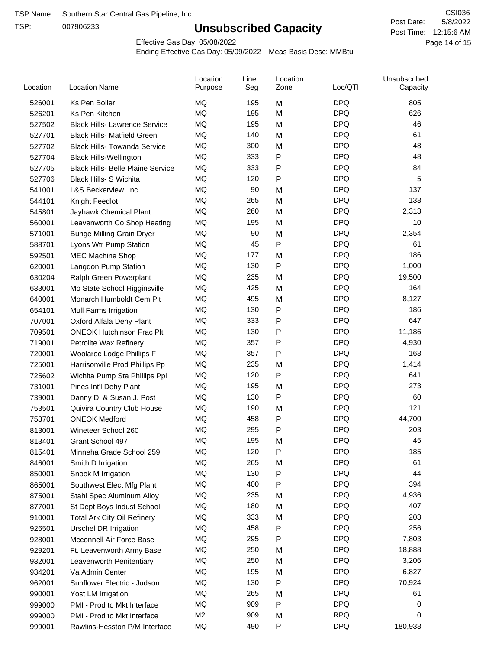TSP:

# **Unsubscribed Capacity**

5/8/2022 Page 14 of 15 Post Time: 12:15:6 AM CSI036 Post Date:

Effective Gas Day: 05/08/2022

| Location | <b>Location Name</b>                     | Location<br>Purpose | Line<br>Seg | Location<br>Zone | Loc/QTI    | Unsubscribed<br>Capacity |  |
|----------|------------------------------------------|---------------------|-------------|------------------|------------|--------------------------|--|
| 526001   | Ks Pen Boiler                            | MQ                  | 195         | M                | <b>DPQ</b> | 805                      |  |
| 526201   | Ks Pen Kitchen                           | MQ                  | 195         | M                | <b>DPQ</b> | 626                      |  |
| 527502   | <b>Black Hills- Lawrence Service</b>     | MQ                  | 195         | M                | <b>DPQ</b> | 46                       |  |
| 527701   | <b>Black Hills- Matfield Green</b>       | MQ                  | 140         | M                | <b>DPQ</b> | 61                       |  |
| 527702   | <b>Black Hills- Towanda Service</b>      | <b>MQ</b>           | 300         | M                | <b>DPQ</b> | 48                       |  |
| 527704   | <b>Black Hills-Wellington</b>            | <b>MQ</b>           | 333         | P                | <b>DPQ</b> | 48                       |  |
| 527705   | <b>Black Hills- Belle Plaine Service</b> | MQ                  | 333         | Ρ                | <b>DPQ</b> | 84                       |  |
| 527706   | Black Hills- S Wichita                   | <b>MQ</b>           | 120         | P                | <b>DPQ</b> | 5                        |  |
| 541001   | L&S Beckerview, Inc                      | MQ                  | 90          | M                | <b>DPQ</b> | 137                      |  |
| 544101   | Knight Feedlot                           | MQ                  | 265         | M                | <b>DPQ</b> | 138                      |  |
| 545801   | Jayhawk Chemical Plant                   | MQ                  | 260         | M                | <b>DPQ</b> | 2,313                    |  |
| 560001   | Leavenworth Co Shop Heating              | MQ                  | 195         | M                | <b>DPQ</b> | 10                       |  |
| 571001   | <b>Bunge Milling Grain Dryer</b>         | <b>MQ</b>           | 90          | M                | <b>DPQ</b> | 2,354                    |  |
| 588701   | Lyons Wtr Pump Station                   | <b>MQ</b>           | 45          | P                | <b>DPQ</b> | 61                       |  |
| 592501   | <b>MEC Machine Shop</b>                  | <b>MQ</b>           | 177         | M                | <b>DPQ</b> | 186                      |  |
| 620001   | Langdon Pump Station                     | <b>MQ</b>           | 130         | P                | <b>DPQ</b> | 1,000                    |  |
| 630204   | Ralph Green Powerplant                   | MQ                  | 235         | M                | <b>DPQ</b> | 19,500                   |  |
| 633001   | Mo State School Higginsville             | MQ                  | 425         | M                | <b>DPQ</b> | 164                      |  |
| 640001   | Monarch Humboldt Cem Plt                 | MQ                  | 495         | M                | <b>DPQ</b> | 8,127                    |  |
| 654101   | Mull Farms Irrigation                    | MQ                  | 130         | P                | <b>DPQ</b> | 186                      |  |
| 707001   | Oxford Alfala Dehy Plant                 | MQ                  | 333         | P                | <b>DPQ</b> | 647                      |  |
| 709501   | <b>ONEOK Hutchinson Frac Plt</b>         | <b>MQ</b>           | 130         | P                | <b>DPQ</b> | 11,186                   |  |
| 719001   | Petrolite Wax Refinery                   | MQ                  | 357         | Ρ                | <b>DPQ</b> | 4,930                    |  |
| 720001   | Woolaroc Lodge Phillips F                | MQ                  | 357         | Ρ                | <b>DPQ</b> | 168                      |  |
| 725001   | Harrisonville Prod Phillips Pp           | MQ                  | 235         | M                | <b>DPQ</b> | 1,414                    |  |
| 725602   | Wichita Pump Sta Phillips Ppl            | MQ                  | 120         | P                | <b>DPQ</b> | 641                      |  |
| 731001   | Pines Int'l Dehy Plant                   | MQ                  | 195         | M                | <b>DPQ</b> | 273                      |  |
| 739001   | Danny D. & Susan J. Post                 | MQ                  | 130         | P                | <b>DPQ</b> | 60                       |  |
| 753501   | Quivira Country Club House               | <b>MQ</b>           | 190         | M                | <b>DPQ</b> | 121                      |  |
| 753701   | <b>ONEOK Medford</b>                     | MQ                  | 458         | P                | <b>DPQ</b> | 44,700                   |  |
| 813001   | Wineteer School 260                      | MQ                  | 295         | P                | <b>DPQ</b> | 203                      |  |
| 813401   | Grant School 497                         | MQ                  | 195         | м                | <b>DPQ</b> | 45                       |  |
| 815401   | Minneha Grade School 259                 | MQ                  | 120         | Ρ                | <b>DPQ</b> | 185                      |  |
| 846001   | Smith D Irrigation                       | MQ                  | 265         | M                | <b>DPQ</b> | 61                       |  |
| 850001   | Snook M Irrigation                       | MQ                  | 130         | Ρ                | <b>DPQ</b> | 44                       |  |
| 865001   | Southwest Elect Mfg Plant                | MQ                  | 400         | Ρ                | <b>DPQ</b> | 394                      |  |
| 875001   | Stahl Spec Aluminum Alloy                | MQ                  | 235         | M                | <b>DPQ</b> | 4,936                    |  |
| 877001   | St Dept Boys Indust School               | MQ                  | 180         | M                | <b>DPQ</b> | 407                      |  |
| 910001   | <b>Total Ark City Oil Refinery</b>       | MQ                  | 333         | M                | <b>DPQ</b> | 203                      |  |
| 926501   | Urschel DR Irrigation                    | MQ                  | 458         | Ρ                | <b>DPQ</b> | 256                      |  |
| 928001   | Mcconnell Air Force Base                 | MQ                  | 295         | Ρ                | <b>DPQ</b> | 7,803                    |  |
| 929201   | Ft. Leavenworth Army Base                | MQ                  | 250         | M                | <b>DPQ</b> | 18,888                   |  |
| 932001   | Leavenworth Penitentiary                 | MQ                  | 250         | M                | <b>DPQ</b> | 3,206                    |  |
| 934201   | Va Admin Center                          | MQ                  | 195         | M                | <b>DPQ</b> | 6,827                    |  |
| 962001   | Sunflower Electric - Judson              | MQ                  | 130         | Ρ                | <b>DPQ</b> | 70,924                   |  |
| 990001   | Yost LM Irrigation                       | MQ                  | 265         | M                | <b>DPQ</b> | 61                       |  |
| 999000   | PMI - Prod to Mkt Interface              | MQ                  | 909         | P                | <b>DPQ</b> | 0                        |  |
| 999000   | PMI - Prod to Mkt Interface              | M <sub>2</sub>      | 909         | M                | <b>RPQ</b> | 0                        |  |
| 999001   | Rawlins-Hesston P/M Interface            | <b>MQ</b>           | 490         | Ρ                | <b>DPQ</b> | 180,938                  |  |